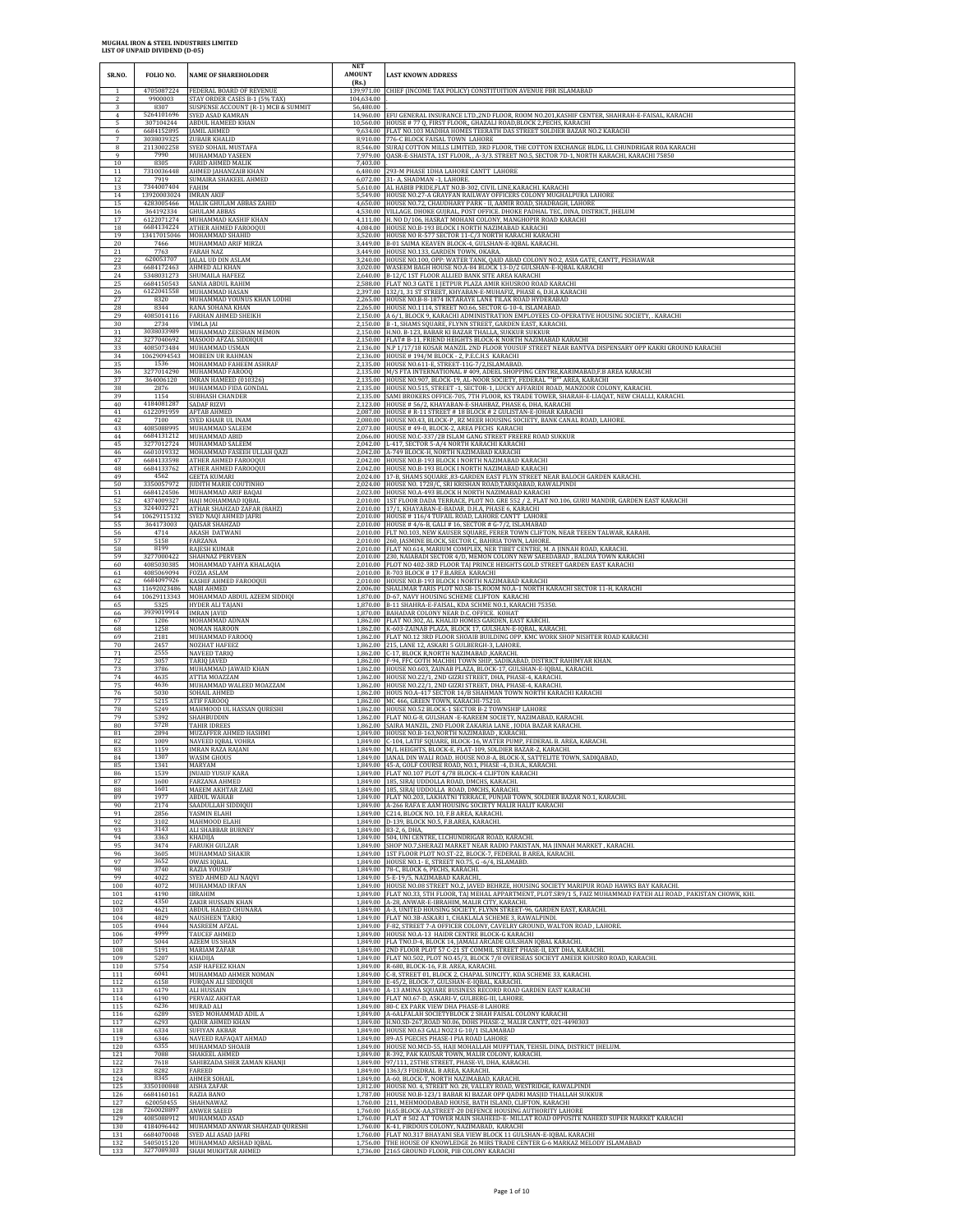| SR.NO.                              | FOLIO NO.                               | <b>NAME OF SHAREHOLODER</b>                                                                      | NET<br><b>AMOUNT</b><br>(Rs.) | <b>LAST KNOWN ADDRESS</b>                                                                                                                                                                                     |
|-------------------------------------|-----------------------------------------|--------------------------------------------------------------------------------------------------|-------------------------------|---------------------------------------------------------------------------------------------------------------------------------------------------------------------------------------------------------------|
| $\mathbf{1}$<br>$\overline{2}$<br>3 | 4705087224<br>9900003<br>8307           | FEDERAL BOARD OF REVENUE<br>STAY ORDER CASES B-1 (5% TAX)<br>SUSPENSE ACCOUNT (R-1) MCB & SUMMIT | 104,634.00<br>56,480.00       | 139,971.00 CHIEF (INCOME TAX POLICY) CONSTITUITION AVENUE FBR ISLAMABAD                                                                                                                                       |
| $\overline{4}$<br>5                 | 5264101696<br>307104244                 | SYED ASAD KAMRAN<br>ABDUL HAMEED KHAN                                                            |                               | 14,960.00 EFU GENERAL INSURANCE LTD.,2ND FLOOR, ROOM NO.201,KASHIF CENTER, SHAHRAH-E-FAISAL, KARACHI 10,560.00 HOUSE # 77 Q, FIRST FLOOR,, GHAZALI ROAD,BLOCK 2,PECHS, KARACHI                                |
| 6                                   | 6684152895                              | <b>JAMIL AHMED</b>                                                                               |                               | 9,634.00 FLAT NO.103 MADIHA HOMES TEERATH DAS STREET SOLDIER BAZAR NO.2 KARACHI                                                                                                                               |
| $\overline{7}$                      | 3038039325                              | <b>ZUBAIR KHALID</b>                                                                             |                               | 8,910.00 776-C BLOCK FAISAL TOWN LAHORE                                                                                                                                                                       |
| 8                                   | 2113002258                              | SYED SOHAIL MUSTAFA                                                                              |                               | 8,546.00 SURAJ COTTON MILLS LIMITED, 3RD FLOOR, THE COTTON EXCHANGE BLDG, I.I. CHUNDRIGAR ROA KARACHI                                                                                                         |
| 9                                   | 7990                                    | MUHAMMAD YASEEN                                                                                  |                               | 7,979.00 QASR-E-SHAISTA, 1ST FLOOR, , A-3/3. STREET NO.5, SECTOR 7D-1, NORTH KARACHI, KARACHI 75850                                                                                                           |
| $10\,$<br>$11\,$<br>12              | 8305<br>7310036448<br>7919              | FARID AHMED MALIK<br>AHMED JAHANZAIB KHAN<br>SUMAIRA SHAKEEL AHMED                               | 7,403.00<br>6,480.00          | 293-M PHASE 1DHA LAHORE CANTT LAHORE<br>6,072.00 31- A, SHADMAN - 1, LAHORE.                                                                                                                                  |
| 13                                  | 7344007404                              | FAHIM                                                                                            |                               | 5,610.00 AL HABIB PRIDE, FLAT NO.B-302, CIVIL LINE, KARACHI. KARACHI                                                                                                                                          |
| 14                                  | 13920003024                             | <b>IMRAN AKIF</b>                                                                                |                               | 5,549.00 HOUSE NO.27-A GRAYFAN RAILWAY OFFICERS COLONY MUGHALPURA LAHORE                                                                                                                                      |
| 15                                  | 4283005466                              | MALIK GHULAM ABBAS ZAHID                                                                         |                               | 4,650.00 HOUSE NO.72, CHAUDHARY PARK - II, AAMIR ROAD, SHADBAGH, LAHORE                                                                                                                                       |
| 16                                  | 364192334                               | <b>GHULAM ABBAS</b>                                                                              |                               | 4,530.00 VILLAGE. DHOKE GUJRAL, POST OFFICE. DHOKE PADHAL TEC, DINA, DISTRICT, JHELUM                                                                                                                         |
| 17<br>18<br>19                      | 6122071274<br>6684134224<br>13417015046 | MUHAMMAD KASHIF KHAN<br>ATHER AHMED FAROOQUI                                                     |                               | 4,111.00 H. NO D/106, HASRAT MOHANI COLONY, MANGHOPIR ROAD KARACHI<br>4.084.00 HOUSE NO.B-193 BLOCK I NORTH NAZIMABAD KARACHI                                                                                 |
| 20<br>21                            | 7466<br>7763                            | MOHAMMAD SHAHID<br>MUHAMMAD ARIF MIRZA<br><b>FARAH NAZ</b>                                       |                               | 3,520.00 HOUSE NO R-577 SECTOR 11-C/3 NORTH KARACHI KARACHI<br>3,449.00 B-01 SAIMA KEAVEN BLOCK-4, GULSHAN-E-IQBAL KARACHI.<br>3,449.00 HOUSE NO.133, GARDEN TOWN, OKARA.                                     |
| $\frac{22}{23}$                     | 620053707<br>6684172463                 | JALAL UD DIN ASLAM<br>AHMED ALI KHAN                                                             | 3.240.00                      | HOUSE NO.100, OPP: WATER TANK, QAID ABAD COLONY NO.2, ASIA GATE, CANTT, PESHAWAR<br>3,020.00 WASEEM BAGH HOUSE NO.A-84 BLOCK 13-D/2 GULSHAN-E-IQBAL KARACHI                                                   |
| 24                                  | 5348031273                              | SHUMAILA HAFEEZ                                                                                  |                               | 2,640.00 B-12/C 1ST FLOOR ALLIED BANK SITE AREA KARACHI                                                                                                                                                       |
| 25                                  | 6684150543                              | <b>SANIA ABDUL RAHIM</b>                                                                         |                               | 2,588.00 FLAT NO.3 GATE 1 JETPUR PLAZA AMIR KHUSROO ROAD KARACHI                                                                                                                                              |
| 26                                  | 6122041558                              | MUHAMMAD HASAN                                                                                   |                               | 2,397.00 132/1, 31 ST STREET, KHYABAN-E-MUHAFIZ, PHASE 6, D.H.A KARACHI                                                                                                                                       |
| 27                                  | 8320                                    | MUHAMMAD YOUNUS KHAN LODHI                                                                       |                               | 2,265.00 HOUSE NO.B-8-1874 IKTARAYE LANE TILAK ROAD HYDERABAD                                                                                                                                                 |
| 28                                  | 8344                                    | RANA SOHANA KHAN                                                                                 |                               | 2,265.00 HOUSE NO.1114, STREET NO.66, SECTOR G-10-4, ISLAMABAD.                                                                                                                                               |
| 29                                  | 4085014116                              | FARHAN AHMED SHEIKH                                                                              |                               | 2,150.00 A 6/1, BLOCK 9, KARACHI ADMINISTRATION EMPLOYEES CO-OPERATIVE HOUSING SOCIETY, . KARACHI                                                                                                             |
| 30                                  | 2734                                    | VIMLA JAI                                                                                        |                               | 2,150.00 B-1, SHAMS SQUARE, FLYNN STREET, GARDEN EAST, KARACHI.                                                                                                                                               |
| 31                                  | 3038033989                              | MUHAMMAD ZEESHAN MEMON                                                                           |                               | 2,150.00 H.NO. B-123, BABAR KI BAZAR THALLA, SUKKUR SUKKUR                                                                                                                                                    |
| 32                                  | 3277040692                              | MASOOD AFZAL SIDDIQUI                                                                            |                               | 2,150.00 FLAT# B-11, FRIEND HEIGHTS BLOCK-K NORTH NAZIMABAD KARACHI                                                                                                                                           |
| 33                                  | 4085073484                              | MUHAMMAD USMAN                                                                                   |                               | 2,136.00 N.P 1/17/18 KOSAR MANZIL 2ND FLOOR YOUSUF STREET NEAR BANTVA DISPENSARY OPP KAKRI GROUND KARACHI                                                                                                     |
| 34                                  | 10629094543                             | MOBEEN UR RAHMAN                                                                                 |                               | 2,136.00 HOUSE #194/M BLOCK - 2, P.E.C.H.S KARACHI                                                                                                                                                            |
| 35                                  | 1536                                    | MOHAMMAD FAHEEM ASHRAF                                                                           | 2,135.00                      | 2,135.00 HOUSE NO.611-E, STREET-11G-7/2,ISLAMABAD.                                                                                                                                                            |
| $\frac{36}{7}$                      | 3277014290                              | MUHAMMAD FAROOQ                                                                                  |                               | M/S FTA INTERNATIONAL #409, ADEEL SHOPPING CENTRE, KARIMABAD, F.B AREA KARACHI                                                                                                                                |
| 37                                  | 364006120                               | IMRAN HAMEED (010326)                                                                            |                               | 2,135.00 HOUSE NO.907, BLOCK-19, AL-NOOR SOCIETY, FEDERAL ""B"" AREA, KARACHI                                                                                                                                 |
| 38                                  | 2876                                    | MUHAMMAD FIDA GONDAL                                                                             |                               | 2,135.00 HOUSE NO.515, STREET - 1, SECTOR-1, LUCKY AFFARIDI ROAD, MANZOOR COLONY, KARACHI                                                                                                                     |
| 39                                  | 1154                                    | SUBHASH CHANDER                                                                                  |                               | 2,135.00 SAMI BROKERS OFFICE-705, 7TH FLOOR, KS TRADE TOWER, SHARAH-E-LIAQAT, NEW CHALLI, KARACHI.                                                                                                            |
| 40                                  | 4184081287                              | <b>SADAF RIZVI</b>                                                                               |                               | 2,123.00 HOUSE # 56/2, KHAYABAN-E-SHAHBAZ, PHASE 6, DHA, KARACHI                                                                                                                                              |
| 41                                  | 6122091959                              | <b>AFTAB AHMED</b>                                                                               |                               | 2,087.00 HOUSE # R-11 STREET # 18 BLOCK # 2 GULISTAN-E-JOHAR KARACHI                                                                                                                                          |
| 42                                  | 7100                                    | SYED KHAIR UL INAM                                                                               |                               | 2,080.00 HOUSE NO.43, BLOCK-P, RZ MEER HOUSING SOCIETY, BANK CANAL ROAD, LAHORE.                                                                                                                              |
| 43                                  | 4085088995                              | MUHAMMAD SALEEM                                                                                  |                               | 2,073.00 HOUSE #49-0, BLOCK-2, AREA PECHS KARACHI                                                                                                                                                             |
| 44                                  | 6684131212                              | MUHAMMAD ABID                                                                                    |                               | 2,066.00 HOUSE NO.C-337/2B ISLAM GANG STREET FREERE ROAD SUKKUR                                                                                                                                               |
| 45                                  | 3277012724                              | MUHAMMAD SALEEM                                                                                  |                               | 2,042.00 L-417, SECTOR 5-A/4 NORTH KARACHI KARACHI                                                                                                                                                            |
| 46                                  | 6601019332                              | MOHAMMAD FASEEH ULLAH QAZI                                                                       |                               | 2,042.00 A-749 BLOCK-H, NORTH NAZIMABAD KARACHI                                                                                                                                                               |
| 47                                  | 6684133598                              | ATHER AHMED FAROOQUI                                                                             | 2,042.00                      | HOUSE NO.B-193 BLOCK I NORTH NAZIMABAD KARACHI                                                                                                                                                                |
| 48                                  | 6684133762                              | ATHER AHMED FAROOQUI                                                                             |                               | 2,042.00 HOUSE NO.B-193 BLOCK I NORTH NAZIMABAD KARACHI                                                                                                                                                       |
| 49                                  | 4562                                    | <b>GEETA KUMARI</b>                                                                              |                               | 2,024.00 17-B, SHAMS SQUARE ,83-GARDEN EAST FLYN STREET NEAR BALOCH GARDEN KARACHI.                                                                                                                           |
| 50                                  | 3350057972                              | <b>JUDITH MARIE COUTINHO</b>                                                                     |                               | 2,024.00 HOUSE NO. 1728/C, SRI KRISHAN ROAD,TARIQABAD, RAWALPINDI                                                                                                                                             |
| 51                                  | 6684124506                              | MUHAMMAD ARIF BAQAI                                                                              |                               | 2,023.00 HOUSE NO.A-493 BLOCK H NORTH NAZIMABAD KARACHI                                                                                                                                                       |
| 52                                  | 4374009327                              | HAJI MOHAMMAD IQBAL                                                                              |                               | 2,010.00 1ST FLOOR DADA TERRACE, PLOT NO. GRE 552 / 2, FLAT NO.106, GURU MANDIR, GARDEN EAST KARACHI                                                                                                          |
| 53<br>$\frac{54}{55}$               | 3244032721<br>10629115132<br>364173003  | ATHAR SHAHZAD ZAFAR (8AHZ)<br>SYED NAQI AHMED JAFRI<br>QAISAR SHAHZAD                            |                               | 2,010.00 17/1, KHAYABAN-E-BADAR, D.H.A, PHASE 6, KARACHI<br>2,010.00 HOUSE #116/4 TUFAIL ROAD, LAHORE CANTT LAHORE<br>2,010.00 HOUSE # 4/6-B, GALI # 16, SECTOR # G-7/2, ISLAMABAD                            |
| 56                                  | 4714                                    | <b>AKASH DATWANI</b>                                                                             |                               | 2,010.00 FLT NO.103, NEW KAUSER SQUARE, FERER TOWN CLIFTON, NEAR TEEEN TALWAR, KARAHI                                                                                                                         |
| 57                                  | 5158                                    | FARZANA                                                                                          |                               | 2,010.00 260, JASMINE BLOCK, SECTOR C, BAHRIA TOWN, LAHORE                                                                                                                                                    |
| 58                                  | 8199                                    | <b>RAJESH KUMAR</b>                                                                              |                               | 2,010.00 FLAT NO.614, MARIUM COMPLEX, NER TIBET CENTRE, M. A JINNAH ROAD, KARACHI.                                                                                                                            |
| 59                                  | 3277000422                              | <b>SHAHNAZ PERVEEN</b>                                                                           |                               | 2,010.00 230, NAIABADI SECTOR 4/D, MEMON COLONY NEW SAEEDABAD, BALDIA TOWN KARACHI                                                                                                                            |
| 60                                  | 4085030385                              | MOHAMMAD YAHYA KHALAQIA                                                                          | 2.010.00                      | 2,010.00 PLOT NO 402-3RD FLOOR TAJ PRINCE HEIGHTS GOLD STREET GARDEN EAST KARACHI                                                                                                                             |
| 61                                  | 4085069094                              | <b>FOZIA ASLAM</b>                                                                               |                               | R-703 BLOCK #17 F.B.AREA KARACHI                                                                                                                                                                              |
| 62                                  | 6684097926                              | KASHIF AHMED FAROOQUI                                                                            |                               | 2,010.00 HOUSE NO.B-193 BLOCK I NORTH NAZIMABAD KARACHI                                                                                                                                                       |
| 63                                  | 11692023486                             | NABI AHMED                                                                                       |                               | 2,006.00 SHALIMAR TARIS PLOT NO.SB-15, ROOM NO.A-1 NORTH KARACHI SECTOR 11-H, KARACHI                                                                                                                         |
| 64                                  | 10629113343                             | MOHAMMAD ABDUL AZEEM SIDDIQI                                                                     |                               | 1,870.00 D-67, NAVY HOUSING SCHEME CLIFTON KARACHI                                                                                                                                                            |
| 65                                  | 5325                                    | HYDER ALI TAJANI                                                                                 | 1.870.00                      | B-11 SHAHRA-E-FAISAL, KDA SCHME NO.1, KARACHI 75350.                                                                                                                                                          |
| 66                                  | 3939019914                              | <b>IMRAN JAVID</b>                                                                               |                               | 1,870.00 BAHADAR COLONY NEAR D.C. OFFICE. KOHAT                                                                                                                                                               |
| 67                                  | 1206                                    | MOHAMMAD ADNAN                                                                                   | 1.862.00                      | 1,862.00 FLAT NO.302, AL KHALID HOMES GARDEN, EAST KARCHI.                                                                                                                                                    |
| 68                                  | 1258                                    | <b>NOMAN HAROON</b>                                                                              |                               | K-603-ZAINAB PLAZA, BLOCK 17, GULSHAN-E-IQBAL, KARACHI.                                                                                                                                                       |
| 69<br>70                            | 2181<br>2457                            | MUHAMMAD FAROOQ<br><b>NOZHAT HAFEEZ</b>                                                          |                               | 1,862.00 FLAT NO.12 3RD FLOOR SHOAIB BUILDING OPP. KMC WORK SHOP NISHTER ROAD KARACHI<br>1,862.00 215, LANE 12, ASKARI 5 GULBERGH-3, LAHORE.<br>1,862.00 C-17, BLOCK R, NORTH NAZIMABAD , KARACHI.            |
| 71<br>$\frac{72}{73}$               | 2555<br>3057<br>3786                    | NAVEED TARIQ<br>TARIQ JAVED<br>MUHAMMAD JAWAID KHAN                                              |                               | $1,862.00 \quad \text{F-94, FFC GOTH MACHHI TOWN SHIP, SADIKABAD, DISTRICT RAHIMYAR KHAN.} \\ 1,862.00 \quad \text{HOUSE NO.603, ZANAB PLAZA, BLOCK-17, GULSHAN-E-IQBAL, KARACHI.}$                           |
| 74                                  | 4635                                    | ATTIA MOAZZAM                                                                                    |                               | 1,862.00 HOUSE NO.22/1, 2ND GIZRI STREET, DHA, PHASE-4, KARACHI                                                                                                                                               |
| 75                                  | 4636                                    | MUHAMMAD WALEED MOAZZAM                                                                          |                               | 1,862.00 HOUSE NO.22/1, 2ND GIZRI STREET, DHA, PHASE-4, KARACHI                                                                                                                                               |
| 76                                  | 5030                                    | SOHAIL AHMED                                                                                     |                               | 1,862.00 HOUS NO.A-417 SECTOR 14/B SHAHMAN TOWN NORTH KARACHI KARACHI                                                                                                                                         |
| 77                                  | 5215                                    | <b>ATIF FAROOQ</b>                                                                               |                               | 1,862.00 MC 466, GREEN TOWN, KARACHI-75210.                                                                                                                                                                   |
| 78                                  | 5249                                    | MAHMOOD UL HASSAN QURESHI                                                                        | 1.862.00                      | 1,862.00 HOUSE NO.52 BLOCK-1 SECTOR B-2 TOWNSHIP LAHORE                                                                                                                                                       |
| 79                                  | 5392                                    | SHAHBUDDIN                                                                                       |                               | FLAT NO.G-8, GULSHAN - E-KAREEM SOCIETY, NAZIMABAD, KARACHI.                                                                                                                                                  |
| 80                                  | 5728                                    | <b>TAHIR IDREES</b>                                                                              |                               | 1,862.00 SAIRA MANZIL, 2ND FLOOR ZAKARIA LANE, JODIA BAZAR KARACHI.                                                                                                                                           |
| 81                                  | 2894                                    | MUZAFFER AHMED HASHMI                                                                            |                               | 1,849.00 HOUSE NO.B-163, NORTH NAZIMABAD, KARACHI.                                                                                                                                                            |
| 82                                  | 1009                                    | NAVEED IQBAL VOHRA                                                                               |                               | 1,849.00 C-104, LATIF SQUARE, BLOCK-16, WATER PUMP, FEDERAL B. AREA, KARACHI.                                                                                                                                 |
| 83                                  | 1159                                    | <b>IMRAN RAZA RAJANI</b>                                                                         |                               | 1,849.00 M/L HEIGHTS, BLOCK-E, FLAT-109, SOLDIER BAZAR-2, KARACHI.                                                                                                                                            |
| 84                                  | 1307                                    | <b>WASIM GHOUS</b>                                                                               |                               | 1,849.00   IANAL DIN WALI ROAD, HOUSE NO.8-A, BLOCK-X, SATTELITE TOWN, SADIQABAD                                                                                                                              |
| 85                                  | 1341                                    | MARYAM                                                                                           |                               | 1,849.00  45-A, GOLF COURSE ROAD, NO.1, PHASE -4, D.H.A., KARACH                                                                                                                                              |
| 86                                  | 1539                                    | <b>INUAID YUSUF KARA</b>                                                                         |                               | 1,849.00 FLAT NO.107 PLOT 4/78 BLOCK-4 CLIFTON KARACHI                                                                                                                                                        |
| 87                                  | 1600                                    | FARZANA AHMED                                                                                    | 1,849.00                      | 185, SIRAJ UDDOLLA ROAD, DMCHS, KARACHI                                                                                                                                                                       |
| 88                                  | 1601                                    | <b>MAEEM AKHTAR ZAKI</b>                                                                         |                               | 1,849.00 185, SIRAJ UDDOLLA ROAD, DMCHS, KARACHL                                                                                                                                                              |
| 89                                  | 1977                                    | ABDUL WAHAB                                                                                      |                               | 1,849.00 FLAT NO.203, LAKHATNI TERRACE, PUNJAB TOWN, SOLDIER BAZAR NO.1, KARACHI.                                                                                                                             |
| 90                                  | 2174                                    | SAADULLAH SIDDIQUI                                                                               | 1.849.00                      | A-266 RAFA E AAM HOUSING SOCIETY MALIR HALIT KARACHI                                                                                                                                                          |
| 91                                  | 2856                                    | YASMIN ELAHI                                                                                     |                               | 1,849.00 C214, BLOCK NO. 10, F.B AREA, KARACHI.                                                                                                                                                               |
| 92                                  | 3102                                    | MAHMOOD ELAHI                                                                                    |                               | 1,849.00 D-139, BLOCK NO.5, F.B.AREA, KARACHI.                                                                                                                                                                |
| 93                                  | 3143                                    | <b>ALI SHABBAR BURNEY</b>                                                                        |                               | 1.849.00 83-2.6 DHA                                                                                                                                                                                           |
| 94<br>95                            | 3363<br>3474<br>3605                    | KHADIJA<br><b>FARUKH GULZAR</b>                                                                  | 1,849.00                      | 1,849.00 504, UNI CENTRE, LLCHUNDRIGAR ROAD, KARACHL<br>SHOP NO.7, SHERAZI MARKET NEAR RADIO PAKISTAN, MA JINNAH MARKET, KARACHI.                                                                             |
| 96<br>97<br>98                      | 3652<br>3740                            | MUHAMMAD SHAKIR<br>OWAIS IQBAL<br>RAZIA YOUSUF                                                   | 1.849.00                      | 1,849.00 IST FLOOR PLOT NO.ST-22, BLOCK-7, FEDERAL B AREA, KARACHI.<br>HOUSE NO.1- E, STREET NO.75, G-6/4, ISLAMABD<br>1,849.00 78-C, BLOCK 6, PECHS, KARACHI.                                                |
| 99                                  | 4022                                    | SYED AHMED ALI NAQVI                                                                             |                               | 1,849.00 5-E-19/5, NAZIMABAD KARACHI,                                                                                                                                                                         |
| 100                                 | 4072                                    | MUHAMMAD IRFAN                                                                                   |                               | 1,849.00 HOUSE NO.08 STREET NO.2, JAVED BEHRZE, HOUSING SOCIETY MARIPUR ROAD HAWKS BAY KARACHI.                                                                                                               |
| 101                                 | 4190                                    | <b>IBRAHIM</b>                                                                                   |                               | 1,849.00 FLAT NO.33, 5TH FLOOR, TAJ MEHAL APPARTMENT, PLOT.SR9/1 5, FAIZ MUHAMMAD FATEH ALI ROAD, PAKISTAN CHOWK, KHI.                                                                                        |
| 102                                 | 4350                                    | ZAKIR HUSSAIN KHAN                                                                               |                               | 1.849.00 A-28, ANWAR-E-IBRAHIM, MALIR CITY, KARACHI,                                                                                                                                                          |
| 103<br>104                          | 4621<br>4829<br>4944                    | ABDUL HAEED CHUNARA<br><b>NAUSHEEN TARIQ</b>                                                     | 1,849.00                      | 1,849.00 A-3, UNITED HOUSING SOCIETY, FLYNN STREET-96, GARDEN EAST, KARACHI.<br>FLAT NO.3B-ASKARI 1, CHAKLALA SCHEME 3, RAWALPINDI.                                                                           |
| 105<br>106<br>107                   | 4999<br>5044                            | NASREEM AFZAL<br><b>TAUCEF AHMED</b><br><b>AZEEM US SHAN</b>                                     |                               | 1,849.00 F-82, STREET 7-A OFFICER COLONY, CAVELRY GROUND, WALTON ROAD, LAHORE.<br>1,849.00 HOUSE NO.A-13 HAIDR CENTRE BLOCK-G KARACHI<br>1,849.00 FLA TNO.D-4, BLOCK 14, JAMALI ARCADE GULSHAN IQBAL KARACHI. |
| 108                                 | 5191                                    | MARIAM ZAFAR                                                                                     |                               | 1,849.00 2ND FLOOR PLOT 57 C-21 ST COMMIL STREET PHASE-II, EXT DHA, KARACHI.                                                                                                                                  |
| 109                                 | 5207                                    | KHADIJA                                                                                          |                               | 1,849.00 FLAT NO.502, PLOT NO.45/3, BLOCK 7/8 OVERSEAS SOCIEYT AMEER KHUSRO ROAD, KARACHL                                                                                                                     |
| 110                                 | 5754                                    | ASIF HAFEEZ KHAN                                                                                 |                               | 1,849.00 R-680, BLOCK-16, F.B. AREA, KARACHI.                                                                                                                                                                 |
| 111                                 | 6041                                    | MUHAMMAD AHMER NOMAN                                                                             |                               | 1,849.00 C-8, STREET 01, BLOCK 2, CHAPAL SUNCITY, KDA SCHEME 33, KARACHI.                                                                                                                                     |
| 112                                 | 6158                                    | FURQAN ALI SIDDIQUI                                                                              |                               | 1,849.00 E-45/2, BLOCK-7, GULSHAN-E-IQBAL, KARACHI.                                                                                                                                                           |
| 113                                 | 6179                                    | <b>ALI HUSSAIN</b>                                                                               |                               | 1,849.00 A-13 AMINA SQUARE BUSINESS RECORD ROAD GARDEN EAST KARACHI                                                                                                                                           |
| 114                                 | 6190                                    | PERVAIZ AKHTAR                                                                                   | 1.849.00                      | 1,849.00 FLAT NO.67-D, ASKARI-V, GULBERG-III, LAHORE.                                                                                                                                                         |
| 115                                 | 6236                                    | MURAD ALI                                                                                        |                               | 80-C EX PARK VIEW DHA PHASE-8 LAHORE                                                                                                                                                                          |
| 116                                 | 6289                                    | SYED MOHAMMAD ADIL A                                                                             |                               | 1,849.00 A-6ALFALAH SOCIETYBLOCK 2 SHAH FAISAL COLONY KARACHI                                                                                                                                                 |
| 117                                 | 6293                                    | QADIR AHMED KHAN                                                                                 |                               | 1,849.00 H.NO.SD-267, ROAD NO.06, DOHS PHASE-2, MALIR CANTT, 021-4490303                                                                                                                                      |
| 118                                 | 6334                                    | <b>SUFIYAN AKBAR</b>                                                                             |                               | 1,849.00 HOUSE NO.63 GALI NO23 G-10/1 ISLAMABAD                                                                                                                                                               |
| 119                                 | 6346                                    | NAVEED RAFAQAT AHMAD                                                                             |                               | 1,849.00 89-A5 PGECHS PHASE-I PIA ROAD LAHORE                                                                                                                                                                 |
| 120                                 | 6355                                    | MUHAMMAD SHOAIB                                                                                  |                               | 1,849.00 HOUSE NO.MCD-55, HAJI MOHALLAH MUFFTIAN, TEHSIL DINA, DISTRICT JHELUM                                                                                                                                |
| 121                                 | 7088                                    | SHAKEEL AHMED                                                                                    | 1,849.00                      | 1,849.00 R-392, PAK KAUSAR TOWN, MALIR COLONY, KARACHI.                                                                                                                                                       |
| $\frac{122}{123}$                   | 7618                                    | SAHIBZADA SHER ZAMAN KHANJI                                                                      |                               | 97/111, 25THE STREET, PHASE-VI, DHA, KARACHI.                                                                                                                                                                 |
| 124                                 | 8282<br>8345<br>3350100848              | FAREED<br><b>AHMER SOHAIL</b>                                                                    | 1.849.00                      | 1363/3 FDEDRAL B AREA, KARACHI.<br>1,849.00 A-60, BLOCK-T, NORTH NAZIMABAD, KARACHI.<br>1,812.00 HOUSE NO. 4, STREET NO. 28, VALLEY ROAD, WESTRIDGE, RAWALPINDI                                               |
| 125<br>126<br>127                   | 6684160161<br>620050455                 | AISHA ZAFAR<br>RAZIA BANO<br>SHAHNAWAZ                                                           |                               | 1,787.00 HOUSE NO.B-123/1 BABAR KI BAZAR OPP QADRI MASJID THALLAH SUKKUR<br>1,760.00 211, MEHMOODABAD HOUSE, BATH ISLAND, CLIFTON, KARACHI                                                                    |
| 128                                 | 7260028897                              | <b>ANWER SAEED</b>                                                                               | 1,760.00                      | 1,760.00 H.65:BLOCK-AA,STREET-20 DEFENCE HOUSING AUTHORITY LAHORE                                                                                                                                             |
| 129                                 | 4085088912                              | MUHAMMAD ASAD                                                                                    |                               | FLAT # 502 A.T TOWER MAIN SHAHEED-E- MILLAT ROAD OPPOSITE NAHEED SUPER MARKET KARACHI                                                                                                                         |
| 130                                 | 4184096442                              | MUHAMMAD ANWAR SHAHZAD QURESHI                                                                   | 1.760.00                      | K-41, FIRDOUS COLONY, NAZIMABAD, KARACHI                                                                                                                                                                      |
| 131                                 | 6684070048                              | SYED ALI ASAD JAFRI                                                                              |                               | 1,760.00 FLAT NO.317 BHAYANI SEA VIEW BLOCK 11 GULSHAN-E-IQBAL KARACHI                                                                                                                                        |
| 132                                 | 5405015120                              | MUHAMMAD ARSHAD IQBAL                                                                            |                               | 1,756.00 THE HOUSE OF KNOWLEDGE 26 MIRS TRADE CENTER G-6 MARKAZ MELODY ISLAMABAD                                                                                                                              |
| 133                                 | 3277089303                              | SHAH MUKHTAR AHMED                                                                               |                               | 1,736.00 2165 GROUND FLOOR, PIB COLONY KARACHI                                                                                                                                                                |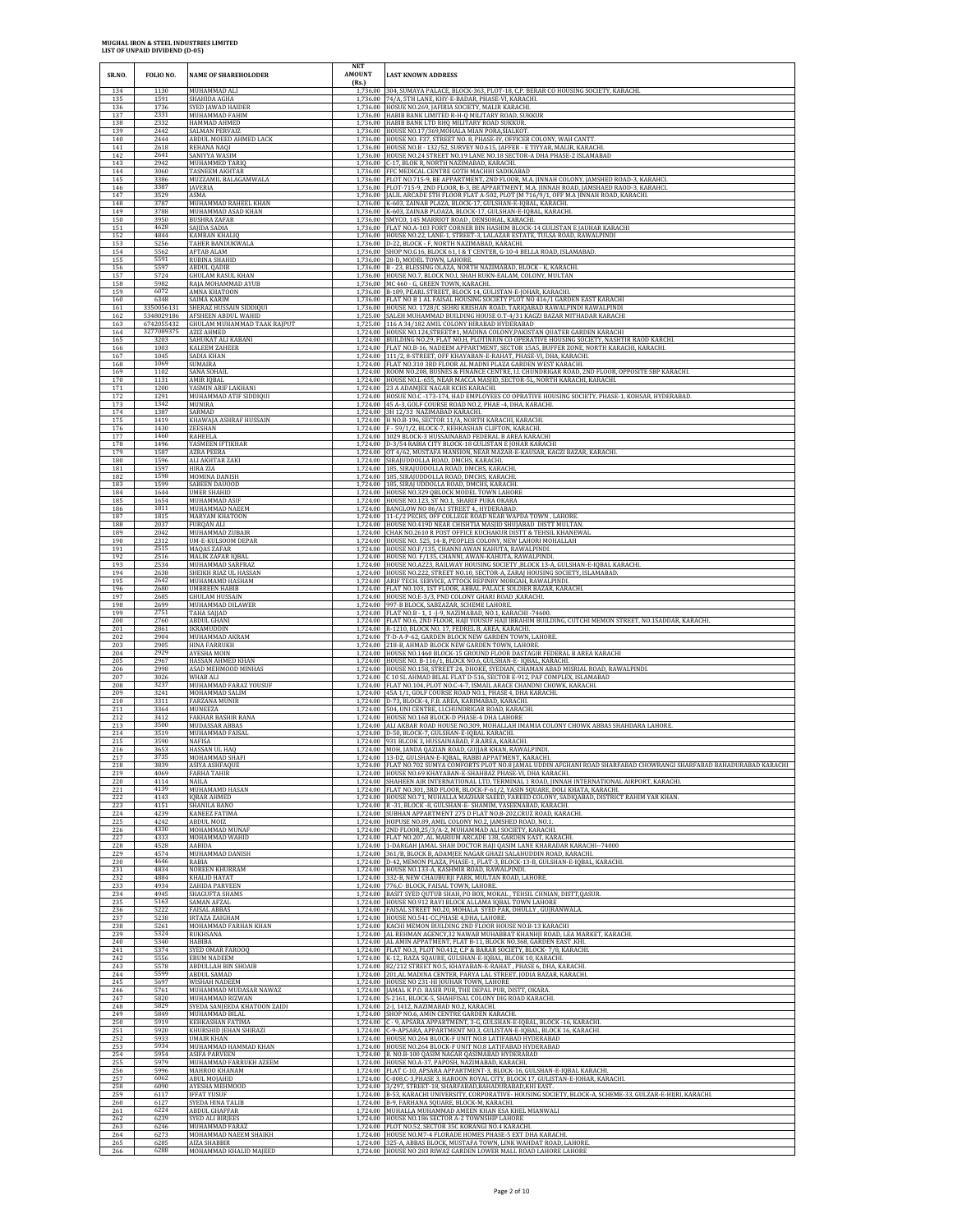| SR.NO.                   | FOLIO NO.                | <b>NAME OF SHAREHOLODER</b>                                     | NET<br><b>AMOUNT</b><br>(Rs.) | <b>LAST KNOWN ADDRESS</b>                                                                                                                                                                                                                                                             |
|--------------------------|--------------------------|-----------------------------------------------------------------|-------------------------------|---------------------------------------------------------------------------------------------------------------------------------------------------------------------------------------------------------------------------------------------------------------------------------------|
| 134                      | 1130                     | MUHAMMAD ALI                                                    |                               | 1,736.00 304, SUMAYA PALACE, BLOCK-363, PLOT-18, C.P. BERAR CO HOUSING SOCIETY, KARACHI.                                                                                                                                                                                              |
| 135                      | 1591                     | SHAHIDA AGHA                                                    |                               | 1,736.00 74/A, 5TH LANE, KHY-E-BADAR, PHASE-VI, KARACHI.                                                                                                                                                                                                                              |
| 136<br>$\frac{137}{138}$ | 1736<br>2331<br>2332     | SYED JAWAD HAIDER<br>MUHAMMAD FAHIM<br>HAMMAD AHMED             |                               | 1,736.00 HOSUE NO.269, JAFIRIA SOCIETY, MALIR KARACHI.<br>1,736.00 HABIB BANK LIMITED R-H-Q MILITARY ROAD, SUKKUR<br>1,736.00 HABIB BANK LTD RHQ MILITARY ROAD SUKKUR.                                                                                                                |
| 139                      | 2442                     | SALMAN PERVAIZ                                                  |                               | 1,736.00 HOUSE NO.17/369, MOHALA MIAN PORA, SIALKOT                                                                                                                                                                                                                                   |
| 140                      | 2444                     | ABDUL MOEED AHMED LACK                                          |                               | 1,736.00 HOUSE NO. F37, STREET NO. 8, PHASE-IV, OFFICER COLONY, WAH CANTT                                                                                                                                                                                                             |
| 141                      | 2618                     | REHANA NAQI                                                     |                               | 1,736.00 HOUSE NO.B - 132/52, SURVEY NO.615, JAFFER - E TIYYAR, MALIR, KARACHI                                                                                                                                                                                                        |
| 142                      | 2641                     | SANIYYA WASIM                                                   |                               | 1,736.00 HOUSE NO.24 STREET NO.19 LANE NO.18 SECTOR-A DHA PHASE-2 ISLAMABAD                                                                                                                                                                                                           |
| 143                      | 2942                     | MUHAMMED TARIQ                                                  | 1.736.00                      | 1,736.00 C-17, BLOK R, NORTH NAZIMABAD, KARACHI.                                                                                                                                                                                                                                      |
| 144                      | 3060                     | TASNEEM AKHTAR                                                  |                               | FFC MEDICAL CENTRE GOTH MACHHI SADIKABAD                                                                                                                                                                                                                                              |
| 145                      | 3386                     | MUZZAMIL BALAGAMWALA                                            |                               | 1,736.00 PLOT NO.715-9, BE APPARTMENT, 2ND FLOOR, M.A. JINNAH COLONY, JAMSHED ROAD-3, KARAHCL                                                                                                                                                                                         |
| 146                      | 3387                     | JAVERIA                                                         |                               | 1,736.00 PLOT-715-9, 2ND FLOOR, B-3, BE APPARTMENT, M.A. JINNAH ROAD, JAMSHAED RAOD-3, KARAHCL                                                                                                                                                                                        |
| 147                      | 3529                     | ASMA                                                            |                               | 1,736.00 JALIL ARCADE 5TH FLOOR FLAT A-502, PLOT JM 716/9/1, OFF M.A JINNAH ROAD, KARACHI.                                                                                                                                                                                            |
| 148                      | 3787                     | MUHAMMAD RAHEEL KHAN                                            |                               | 1,736.00 K-603, ZAINAB PLAZA, BLOCK-17, GULSHAN-E-IQBAL, KARACHI.                                                                                                                                                                                                                     |
| 149                      | 3788                     | MUHAMMAD ASAD KHAN                                              |                               | 1,736.00 K-603, ZAINAB PLOAZA, BLOCK-17, GULSHAN-E-IQBAL, KARACHI.                                                                                                                                                                                                                    |
| 150<br>151<br>152        | 3950<br>4628<br>4844     | <b>BUSHRA ZAFAR</b><br>SAIIDA SADIA<br>KAMRAN KHALIQ            |                               | 1,736.00 SMYCO, 145 MARRIOT ROAD, DENSOHAL, KARACHI.<br>1.736.00 FLAT NO.A-103 FORT CORNER BIN HASHIM BLOCK-14 GULISTAN E IAUHAR KARACHI                                                                                                                                              |
| 153<br>154               | 5256<br>5562             | TAHER BANDUKWALA<br>AFTAB ALAM                                  |                               | 1,736.00 HOUSE NO.22, LANE-1, STREET-3, LALAZAR ESTATE, TULSA ROAD, RAWALPINDI<br>1,736.00 D-22, BLOCK - F, NORTH NAZIMABAD, KARACHI.<br>1,736.00 SHOP NO.G16, BLOCK 61, I & T CENTER, G-10-4 BELLA ROAD, ISLAMABAD.                                                                  |
| 155                      | 5591                     | RUBINA SHAHID                                                   | 1.736.00                      | 28-D, MODEL TOWN, LAHORE                                                                                                                                                                                                                                                              |
| 156                      | 5597                     | <b>ABDUL QADIR</b>                                              |                               | 1,736.00 B - 23, BLESSING OLAZA, NORTH NAZIMABAD, BLOCK - K, KARACHI.                                                                                                                                                                                                                 |
| 157                      | 5724                     | <b>GHULAM RASUL KHAN</b>                                        |                               | 1,736.00 HOUSE NO.7, BLOCK NO.I, SHAH RUKN-EALAM, COLONY, MULTAN                                                                                                                                                                                                                      |
| 158                      | 5982                     | RAJA MOHAMMAD AYUB                                              |                               | 1,736.00 MC 460 - G, GREEN TOWN, KARACHI.                                                                                                                                                                                                                                             |
| 159                      | 6072                     | AMNA KHATOON                                                    |                               | 1,736.00 B-189, PEARL STREET, BLOCK 14, GULISTAN-E-JOHAR, KARACHI.                                                                                                                                                                                                                    |
| 160                      | 6348                     | SAIMA KARIM                                                     |                               | 1,736.00 FLAT NO B 1 AL FAISAL HOUSING SOCIETY PLOT NO 416/1 GARDEN EAST KARACHI                                                                                                                                                                                                      |
| 161                      | 3350056131               | SHERAZ HUSSAIN SIDDIQUI                                         |                               | 1,736.00 HOUSE NO. 1728/C SEHRI KRISHAN ROAD, TARIQABAD RAWALPINDI RAWALPINDI                                                                                                                                                                                                         |
| $\frac{162}{163}$        | 5348029186<br>6742055432 | AFSHEEN ABDUL WAHID<br>GHULAM MUHAMMAD TAAK RAJPUT              | 1.725.00                      | SALEH MUHAMMAD BUILDING HOUSE O.T-4/31 KAGZI BAZAR MITHADAR KARACHI<br>1,725.00 116 A 34/182 AMIL COLONY HIRABAD HYDERABAD                                                                                                                                                            |
| 164                      | 3277089375               | AZIZ AHMED                                                      |                               | 1,724.00 HOUSE NO.124,STREET#1, MADINA COLONY, PAKISTAN QUATER GARDEN KARACHI                                                                                                                                                                                                         |
| 165                      | 3203                     | SAHUKAT ALI KABANI                                              |                               | 1,724.00 BUILDING NO.29, FLAT NO.H, PLOTINIUN CO OPERATIVE HOUSING SOCIETY, NASHTIR RAOD KARCHI.                                                                                                                                                                                      |
| 166                      | 1003                     | KALEEM ZAHEER                                                   |                               | 1,724.00 FLAT NO.B-16, NADEEM APPARTMENT, SECTOR 15A5, BUFFER ZONE, NORTH KARACHI, KARACHI.                                                                                                                                                                                           |
| 167                      | 1045                     | SADIA KHAN                                                      |                               | 1,724.00 111/2, 8-STREET, OFF KHAYABAN-E-RAHAT, PHASE-VI, DHA, KARACHI.                                                                                                                                                                                                               |
| 168                      | 1069                     | SUMAIRA                                                         |                               | 1,724.00 FLAT NO.310 3RD FLOOR AL MADNI PLAZA GARDEN WEST KARACHI.                                                                                                                                                                                                                    |
| 169                      | 1102                     | SANA SOHAIL                                                     |                               | 1,724.00 ROOM NO.208, BUSNES & FINANCE CENTRE, I.I. CHUNDRIGAR ROAD, 2ND FLOOR, OPPOSITE SBP KARACHI.                                                                                                                                                                                 |
| 170                      | 1131                     | AMIR IQBAL                                                      |                               | 1,724.00 HOUSE NO.L-655, NEAR MACCA MASJID, SECTOR-5L, NORTH KARACHI, KARACHI                                                                                                                                                                                                         |
| 171                      | 1200                     | YASMIN ARIF LAKHANI                                             |                               | 1,724.00 23 A ADAMIEE NAGAR KCHS KARACHI.                                                                                                                                                                                                                                             |
| 172                      | 1291                     | MUHAMMAD ATIF SIDDIQUI                                          |                               | 1,724.00 HOSUE NO.C - 173-174, HAD EMPLOYEES CO OPRATIVE HOUSING SOCIETY, PHASE-1, KOHSAR, HYDERABAD.                                                                                                                                                                                 |
| 173                      | 1342                     | MUNIRA                                                          |                               | 1,724.00 45 A-3, GOLF COURSE ROAD NO.2, PHAE -4, DHA, KARACH                                                                                                                                                                                                                          |
| 174                      | 1387                     | SARMAD                                                          |                               | 1,724.00 3H 12/33 NAZIMABAD KARACHI.                                                                                                                                                                                                                                                  |
| 175                      | 1419                     | KHAWAJA ASHRAF HUSSAIN                                          |                               | 1,724.00 H NO.B-196, SECTOR 11/A, NORTH KARACHI, KARACHI.                                                                                                                                                                                                                             |
| 176                      | 1430                     | ZEESHAN                                                         |                               | 1,724.00 F - 59/1/2, BLOCK-7, KEHKASHAN CLIFTON, KARACHI.                                                                                                                                                                                                                             |
| 177                      | 1460                     | RAHEELA                                                         |                               | 1,724.00 1029 BLOCK-3 HUSSAINABAD FEDERAL B AREA KARACHI                                                                                                                                                                                                                              |
| 178                      | 1496                     | YASMEEN IFTIKHAR                                                |                               | 1,724.00 D-3/54 RABIA CITY BLOCK-18 GULISTAN E JOHAR KARACHI                                                                                                                                                                                                                          |
| 179                      | 1587                     | <b>AZRA PEERA</b>                                               |                               | 1,724.00 OT 4/62, MUSTAFA MANSION, NEAR MAZAR-E-KAUSAR, KAGZI BAZAR, KARACHI.                                                                                                                                                                                                         |
| 180                      | 1596                     | ALI AKHTAR ZAKI                                                 | 1,724.00                      | SIRAJUDDOLLA ROAD, DMCHS, KARACHI.                                                                                                                                                                                                                                                    |
| 181                      | 1597                     | HIRA ZIA                                                        |                               | 1,724.00 185, SIRAJUDDOLLA ROAD, DMCHS, KARACHI.                                                                                                                                                                                                                                      |
| 182                      | 1598                     | MOMINA DANISH                                                   |                               | 1,724.00 185, SIRAJUDDOLLA ROAD, DMCHS, KARACHI.                                                                                                                                                                                                                                      |
| 183                      | 1599                     | SABEEN DAUOOD                                                   |                               | 1,724.00 185, SIRAJ UDDOLLA ROAD, DMCHS, KARACHI.                                                                                                                                                                                                                                     |
| 184                      | 1644                     | <b>UMER SHAHID</b>                                              |                               | 1,724.00 HOUSE NO.329 QBLOCK MODEL TOWN LAHORE                                                                                                                                                                                                                                        |
| 185                      | 1654                     | MUHAMMAD ASIF                                                   |                               | 1,724.00 HOUSE NO.123, ST NO.1, SHARIF PURA OKARA                                                                                                                                                                                                                                     |
| 186                      | 1811                     | MUHAMMAD NAEEM                                                  |                               | 1,724.00 BANGLOW NO 86/A1 STREET 4., HYDERABAD.                                                                                                                                                                                                                                       |
| $\frac{187}{188}$<br>189 | 1815<br>2037<br>2042     | MARYAM KHATOON<br>FURQAN ALI<br>MUHAMMAD ZUBAIR                 |                               | $1,724.00$ $\,$ $11$ -C/2 PECHS, OFF COLLEGE ROAD NEAR WAPDA TOWN , LAHORE. $1,724.00$ $\,$ HOUSE NO.419D NEAR CHISHTIA MASJID SHUJABAD DISTT MULTAN<br>1,724.00 CHAK NO.2610 R POST OFFICE KUCHAKUR DISTT & TEHSIL KHANEWAL                                                          |
| 190                      | 2312                     | UM-E-KULSOOM DEPAR                                              |                               | 1,724.00 HOUSE NO. 525, 14-B, PEOPLES COLONY, NEW LAHORI MOHALLAH                                                                                                                                                                                                                     |
| 191                      | 2515                     | MAQAS ZAFAR                                                     |                               | 1,724.00 HOUSE NO.F/135, CHANNI AWAN KAHUTA, RAWALPINDI.                                                                                                                                                                                                                              |
| 192                      | 2516                     | <b>MALIK ZAFAR IQBAL</b>                                        |                               | 1,724.00 HOUSE NO. F/135, CHANNI, AWAN-KAHUTA, RAWALPINDI.                                                                                                                                                                                                                            |
| 193                      | 2534                     | MUHAMMAD SARFRAZ                                                |                               | 1,724.00 HOUSE NO.A223, RAILWAY HOUSING SOCIETY , BLOCK 13-A, GULSHAN-E-IQBAL KARACHI.                                                                                                                                                                                                |
| 194                      | 2638                     | SHEIKH RIAZ UL HASSAN                                           |                               | 1,724.00 HOUSE NO.222, STREET NO.10, SECTOR-A, ZARAJ HOUSING SOCIETY, ISLAMABAD.                                                                                                                                                                                                      |
| 195                      | 2642                     | MUHAMAMD HASHAM                                                 |                               | 1,724.00 ARIF TECH. SERVICE, ATTOCK REFINRY MORGAH, RAWALPINDI.                                                                                                                                                                                                                       |
| 196                      | 2680                     | <b>UMBREEN HABIB</b>                                            |                               | 1,724.00 FLAT NO.103, 1ST FLOOR, ABBAL PALACE SOLDIER BAZAR, KARACHI                                                                                                                                                                                                                  |
| 197                      | 2685                     | <b>GHULAM HUSSAIN</b>                                           |                               | 1,724.00 HOUSE NO.E-3/3, PND COLONY GHARI ROAD , KARACHI.                                                                                                                                                                                                                             |
| 198                      | 2699                     | MUHAMMAD DILAWER                                                |                               | 1,724.00 997-B BLOCK, SABZAZAR, SCHEME LAHORE                                                                                                                                                                                                                                         |
| 199                      | 2751                     | TAHA SAJJAD                                                     |                               | 1,724.00 FLAT NO.B - 1, 1 -J-9, NAZIMABAD, NO.1, KARACHI -74600.                                                                                                                                                                                                                      |
| 200                      | 2760                     | ABDUL GHANI                                                     |                               | 1,724.00 FLAT NO.6, 2ND FLOOR, HAJI YOUSUF HAJI IBRAHIM BUILDING, CUTCHI MEMON STREET, NO.1SADDAR, KARACHI.                                                                                                                                                                           |
| 201                      | 2861                     | <b>IKRAMUDDIN</b>                                               |                               | 1,724.00 R-1210, BLOCK NO. 17, FEDREL B, AREA, KARACHI.                                                                                                                                                                                                                               |
| 202                      | 2904                     | MUHAMMAD AKRAM                                                  |                               | 1,724.00 T-D-A-P-62, GARDEN BLOCK NEW GARDEN TOWN, LAHORE.                                                                                                                                                                                                                            |
| 203                      | 2905                     | <b>HINA FARRUKH</b>                                             |                               | 1,724.00 218-B, AHMAD BLOCK NEW GARDEN TOWN, LAHORE.                                                                                                                                                                                                                                  |
| 204                      | 2929                     | AYESHA MOIN                                                     |                               | 1,724.00 HOUSE NO.1460 BLOCK-15 GROUND FLOOR DASTAGIR FEDERAL B AREA KARACHI                                                                                                                                                                                                          |
| 205                      | 2967                     | HASSAN AHMED KHAN                                               |                               | 1,724.00 HOUSE NO. B-116/1, BLOCK NO.6, GULSHAN-E- IQBAL, KARACHI.                                                                                                                                                                                                                    |
| 206<br>207               | 2998<br>3026<br>3237     | ASAD MEHMOOD MINHAS<br>WHAB ALI<br>MUHAMMAD FARAZ YOUSUF        |                               | 1,724.00 HOUSE NO.158, STREET 24, DHOKE, SYEDIAN, CHAMAN ABAD MISRIAL ROAD, RAWALPINDI.<br>1,724.00 C 10 SL AHMAD BILAL FLAT D-516, SECTOR E-912, PAF COMPLEX, ISLAMABAD<br>1,724.00 FLAT NO.104, PLOT NO.C-4-7, ISMAIL ARACE CHANDNI CHOWK, KARACHI.                                 |
| 208<br>209<br>210        | 3241<br>3311             | MOHAMMAD SALIM<br><b>FARZANA MUNIR</b>                          |                               | 1,724.00 45A 1/1, GOLF COURSE ROAD NO.1, PHASE 4, DHA KARACHI<br>1,724.00 D-73, BLOCK-4, F.B. AREA, KARIMABAD, KARACHI.                                                                                                                                                               |
| 211                      | 3364                     | MUNEEZA                                                         |                               | 1,724.00 504, UNI CENTRE, LLCHUNDRIGAR ROAD, KARACHL                                                                                                                                                                                                                                  |
| 212                      | 3412                     | FAKHAR BASHIR RANA                                              |                               | 1,724.00 HOUSE NO.168 BLOCK-D PHASE-4 DHA LAHORE                                                                                                                                                                                                                                      |
| 213                      | 3500                     | MUDASSAR ABBAS                                                  |                               | 1,724.00 ALI AKBAR ROAD HOUSE NO.309, MOHALLAH IMAMIA COLONY CHOWK ABBAS SHAHDARA LAHORE.                                                                                                                                                                                             |
| 214                      | 3519                     | MUHAMMAD FAISAI                                                 |                               | 1,724.00 D-50, BLOCK-7, GULSHAN-E-IQBAL KARACHI.                                                                                                                                                                                                                                      |
| 215                      | 3590                     | NAFISA                                                          |                               | 1,724.00 931 BLCOK 3, HUSSAINABAD, F.B.AREA, KARACHI.                                                                                                                                                                                                                                 |
| 216                      | 3653                     | HASSAN UL HAQ                                                   |                               | 1,724.00 MOH, JANDA QAZIAN ROAD, GUJJAR KHAN, RAWALPINDI                                                                                                                                                                                                                              |
| 217                      | 3735                     | MOHAMMAD SHAFI                                                  |                               | 1,724.00 13-D2, GULSHAN-E-IQBAL, RABBI APPATMENT, KARACHI                                                                                                                                                                                                                             |
| 218                      | 3839                     | ASIYA ASHFAQUI                                                  |                               | 1,724.00    FLAT NO.702 SUMYA COMFORTS PLOT NO.8 JAMAL UDDIN AFGHANI ROAD SHARFABAD CHOWRANGI SHARFABAD BAHADURABAD KARACHI                                                                                                                                                           |
| 219                      | 4069                     | <b>FARHA TAHIR</b>                                              |                               | 1,724.00 HOUSE NO.69 KHAYABAN-E-SHAHBAZ PHASE-VI, DHA KARACHI.                                                                                                                                                                                                                        |
| 220<br>221<br>222        | 4114<br>4139<br>4143     | NAILA<br>MUHAMAMD HASAN<br><b>IQRAR AHMED</b>                   |                               | 1,724.00 SHAHEEN AIR INTERNATIONAL LTD, TERMINAL 1 ROAD, JINNAH INTERNATIONAL AIRPORT, KARACHL<br>1,724.00 FLAT NO.301, 3RD FLOOR, BLOCK-F-61/2, YASIN SOUARE, DOLI KHATA, KARACHI.<br>1,724.00 HOUSE NO.71, MUHALLA MAZHAR SAEED, FAREED COLONY, SADIQABAD, DISTRICT RAHIM YAR KHAN. |
| 223<br>224               | 4151<br>4239             | SHANILA BANO<br>KANEEZ FATIMA                                   |                               | 1,724.00 R -31, BLOCK -8, GULSHAN-E- SHAMIM, YASEENABAD, KARACHI.<br>1,724.00 SUBHAN APPARTMENT 275 D FLAT NO.B-202, CRUZ ROAD, KARACHI.                                                                                                                                              |
| $\frac{225}{226}$        | 4242<br>4330             | ABDUL MOIZ<br>MOHAMMAD MUNAF                                    |                               | 1,724.00 HOPUSE NO.89, AMIL COLONY NO.2, JAMSHED ROAD, NO.1.<br>1,724.00 2ND FLOOR, 25/3/A-2, MUHAMMAD ALI SOCIETY, KARACHI.                                                                                                                                                          |
| 227                      | 4333                     | MOHAMMAD WAHID                                                  |                               | 1,724.00 FLAT NO.207, AL MARIUM ARCADE 138, GARDEN EAST, KARACHI.                                                                                                                                                                                                                     |
| 228                      | 4528                     | AABIDA                                                          |                               | 1,724.00 1-DARGAH JAMAL SHAH DOCTOR HAJI QASIM LANE KHARADAR KARACHI-74000                                                                                                                                                                                                            |
| 229                      | 4574                     | MUHAMMAD DANISH                                                 |                               | 1,724.00 361/B, BLOCK B, ADAMJEE NAGAR GHAZI SALAHUDDIN ROAD, KARACHI.                                                                                                                                                                                                                |
| $\frac{230}{231}$        | 4646<br>4834             | RABIA<br><b>NOREEN KHURRAM</b>                                  | 1,724.00                      | D-42, MEMON PLAZA, PHASE-1, FLAT-3, BLOCK-13-B, GULSHAN-E-IQBAL, KARACHI.<br>1,724.00 HOUSE NO.133-A, KASHMIR ROAD, RAWALPINDI.                                                                                                                                                       |
| 232                      | 4884                     | <b>KHALID HAYAT</b>                                             |                               | 1,724.00 332-B, NEW CHAUBURJI PARK, MULTAN ROAD, LAHORE.                                                                                                                                                                                                                              |
| 233                      | 4934                     | ZAHIDA PARVEEN                                                  |                               | 1,724.00 776,C- BLOCK, FAISAL TOWN, LAHORE.                                                                                                                                                                                                                                           |
| 234                      | 4945                     | <b>SHAGUFTA SHAMS</b>                                           |                               | 1,724.00 BASIT SYED QUTUB SHAH, PO BOX, MOKAL , TEHSIL CHNIAN, DISTT, QASUR                                                                                                                                                                                                           |
| 235                      | 5163                     | SAMAN AFZAL                                                     |                               | 1,724.00 HOUSE NO.912 RAVI BLOCK ALLAMA IQBAL TOWN LAHORE                                                                                                                                                                                                                             |
| 236                      | 5222                     | <b>FAISAL ABBAS</b>                                             |                               | 1,724.00 FAISAL STREET NO.20, MOHALA SYED PAK, DHULLY, GUJRANWALA.                                                                                                                                                                                                                    |
| 237                      | 5238                     | <b>IRTAZA ZAIGHAM</b>                                           |                               | 1.724.00 HOUSE NO.541-CC.PHASE 4.DHA, LAHORE                                                                                                                                                                                                                                          |
| 238                      | 5261                     | MOHAMMAD FARHAN KHAN                                            |                               | 1,724.00 KACHI MEMON BUILDING 2ND FLOOR HOUSE NO.B-13 KARACHI                                                                                                                                                                                                                         |
| 239                      | 5324                     | RUKHSANA                                                        |                               | 1,724.00 AL REHMAN AGENCY,32 NAWAB MUHABBAT KHANHJI ROAD, LEA MARKET, KARACHI                                                                                                                                                                                                         |
| 240                      | 5340                     | HABIBA                                                          |                               | 1,724.00 AL AMIN APPATMENT, FLAT B-11, BLOCK NO.368, GARDEN EAST .KHI.                                                                                                                                                                                                                |
| 241                      | 5374                     | SYED OMAR FAROOQ                                                |                               | 1,724.00 FLAT NO.3, PLOT NO.412, C.P & BARAR SOCIETY, BLOCK- 7/8, KARACHI.                                                                                                                                                                                                            |
| 242                      | 5556                     | ERUM NADEEM                                                     |                               | 1,724.00 K-12,. RAZA SQAURE, GULSHAN-E-IQBAL, BLCOK 10, KARACHI.                                                                                                                                                                                                                      |
| 243                      | 5578                     | <b>ABDULLAH BIN SHOAIB</b>                                      |                               | 1,724.00 82/212 STREET NO.5, KHAYABAN-E-RAHAT, PHASE 6, DHA, KARACHI.                                                                                                                                                                                                                 |
| 244                      | 5599                     | <b>ABDUL SAMAD</b>                                              |                               | 1,724.00 201,AL MADINA CENTER, PARYA LAL STREET, JODIA BAZAR, KARACHI                                                                                                                                                                                                                 |
| 245                      | 5697                     | WISHAH NADEEM                                                   |                               | 1,724.00 HOUSE NO 231-HI JOUHAR TOWN, LAHORE                                                                                                                                                                                                                                          |
| 246                      | 5761                     | MUHAMMAD MUDASAR NAWAZ                                          | 1.724.00                      | 1,724.00 JAMAL K P.O. BASIR PUR, THE DEPAL PUR, DISTT, OKARA.                                                                                                                                                                                                                         |
| 247                      | 5820                     | MUHAMMAD RIZWAN                                                 |                               | 1,724.00 S-2161, BLOCK-5, SHAHFISAL COLONY DIG ROAD KARACHI.                                                                                                                                                                                                                          |
| 248                      | 5829                     | SYEDA SANJEEDA KHATOON ZAIDI                                    |                               | 2-J, 1412, NAZIMABAD NO.2, KARACHI.                                                                                                                                                                                                                                                   |
| 249                      | 5849                     | MUHAMMAD BILAL                                                  |                               | 1,724.00 SHOP NO.6, AMIN CENTRE GARDEN KARACHI.                                                                                                                                                                                                                                       |
| 250                      | 5919                     | <b>KEHKASHAN FATIMA</b>                                         |                               | 1,724.00 C - 9, APSARA APPARTMENT, 3-G, GULSHAN-E-IQBAL, BLOCK -16, KARACHI.                                                                                                                                                                                                          |
| $\frac{251}{252}$        | 5920<br>5933             | KHURSHID JEHAN SHIRAZI<br>UMAIR KHAN                            |                               | 1,724.00 C-9-APSARA, APPARTMENT NO.3, GULISTAN-E-IQBAL, BLOCK 16, KARACHI.<br>1,724.00 HOUSE NO.264 BLOCK-F UNIT NO.8 LATIFABAD HYDERABAD                                                                                                                                             |
| 253<br>254               | 5934<br>5954<br>5979     | MUHAMMAD HAMMAD KHAN<br>ASIFA PARVEEN<br>MUHAMMAD FARRUKH AZEEM |                               | 1,724.00 HOUSE NO.264 BLOCK-F UNIT NO.8 LATIFABAD HYDERABAD<br>1,724.00 B. NO.B-100 QASIM NAGAR QASIMABAD HYDERABAD<br>1,724.00 HOUSE NO.A-37, PAPOSH, NAZIMABAD, KARACHI.                                                                                                            |
| $\frac{255}{256}$        | 5996                     | MAHROO KHANAM                                                   |                               | 1,724.00 FLAT C-10, APSARA APPARTMENT-3, BLOCK-16, GULSHAN-E-IQBAL KARACHI.                                                                                                                                                                                                           |
| 257                      | 6062                     | <b>ABUL MOJAHID</b>                                             |                               | 1,724.00 C-008,C-3,PHASE 3, HAROON ROYAL CITY, BLOCK 17, GULISTAN-E-JOHAR, KARACHI.                                                                                                                                                                                                   |
| 258                      | 6090                     | AYESHA MEHMOOD                                                  |                               | 1,724.00 3/297, STREET-18, SHARFABAD, BAHADURABAD, KHI EAST.                                                                                                                                                                                                                          |
| 259                      | 6117                     | <b>IFFAT YUSUF</b>                                              |                               | 1,724.00 B-53, KARACHI UNIVERSITY, CORPORATIVE-HOUSING SOCIETY, BLOCK-A, SCHEME-33, GULZAR-E-HIJRI, KARACHI                                                                                                                                                                           |
| 260                      | 6127                     | SYEDA HINA TALIB                                                |                               | 1,724.00 B-9, FARHANA SQUARE, BLOCK-M, KARACHI.                                                                                                                                                                                                                                       |
| 261                      | 6224                     | ABDUL GHAFFAR                                                   |                               | 1,724.00 MUHALLA MUHAMMAD AMEEN KHAN ESA KHEL MIANWALI                                                                                                                                                                                                                                |
| 262                      | 6239                     | <b>SYED ALI BIRJEES</b>                                         |                               | 1,724.00 HOUSE NO.186 SECTOR A-2 TOWNSHIP LAHORE                                                                                                                                                                                                                                      |
| 263                      | 6246                     | MUHAMMAD FARAZ                                                  |                               | 1,724.00 PLOT NO.52, SECTOR 35C KORANGI NO.4 KARACHI.                                                                                                                                                                                                                                 |
| 264                      | 6273                     | MOHAMMAD NAEEM SHAIKH                                           |                               | 1,724.00 HOUSE NO.M7-4 FLORADE HOMES PHASE-5 EXT DHA KARACHI                                                                                                                                                                                                                          |
| 265                      | 6285                     | <b>AIZA SHABBIR</b>                                             |                               | 1,724.00 325-A, ABBAS BLOCK, MUSTAFA TOWN, LINK WAHDAT ROAD, LAHORE                                                                                                                                                                                                                   |
| 266                      | 6288                     | MOHAMMAD KHALID MAJEED                                          |                               | 1,724.00 HOUSE NO 283 RIWAZ GARDEN LOWER MALL ROAD LAHORE LAHORE                                                                                                                                                                                                                      |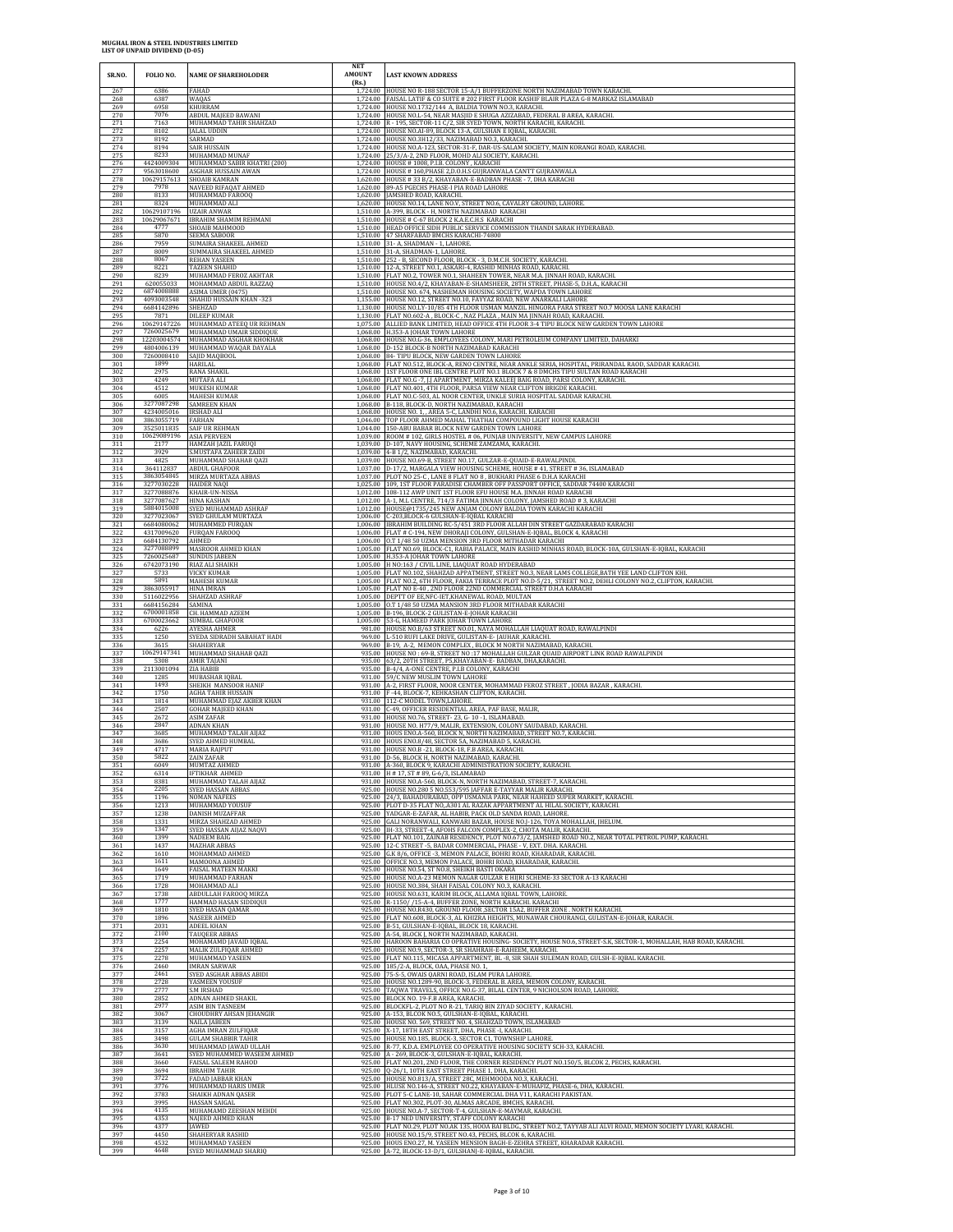| SR.NO.                   | FOLIO NO.                        | <b>NAME OF SHAREHOLODER</b>                                            | <b>NET</b><br><b>AMOUNT</b><br>(Rs.) | <b>LAST KNOWN ADDRESS</b>                                                                                                                                                                                                                       |
|--------------------------|----------------------------------|------------------------------------------------------------------------|--------------------------------------|-------------------------------------------------------------------------------------------------------------------------------------------------------------------------------------------------------------------------------------------------|
| 267                      | 6386                             | FAHAD                                                                  | 1,724.00                             | HOUSE NO R-188 SECTOR 15-A/1 BUFFERZONE NORTH NAZIMABAD TOWN KARACHI                                                                                                                                                                            |
| 268                      | 6387                             | WAQAS                                                                  |                                      | 1,724.00   FAISAL LATIF & CO SUITE # 202 FIRST FLOOR KASHIF BLAIR PLAZA G-8 MARKAZ ISLAMABAD                                                                                                                                                    |
| 269                      | 6958                             | KHURRAM                                                                |                                      | 1,724.00 HOUSE NO.1732/144 A, BALDIA TOWN NO.3, KARACHI.                                                                                                                                                                                        |
| 270                      | 7076                             | ABDUL MAJEED BAWANI                                                    |                                      | 1,724.00 HOUSE NO.L-54, NEAR MASJID E SHUGA AZIZABAD, FEDERAL B AREA, KARACHI.                                                                                                                                                                  |
| 271                      | 7163                             | MUHAMMAD TAHIR SHAHZAD                                                 |                                      | 1,724.00 R - 195, SECTOR-11 C/2, SIR SYED TOWN, NORTH KARACHI, KARACHI.                                                                                                                                                                         |
| 272                      | 8102                             | <b>JALAL UDDIN</b>                                                     |                                      | 1,724.00 HOUSE NO.AI-89, BLOCK 13-A, GULSHAN E IQBAL, KARACHI                                                                                                                                                                                   |
| 273                      | 8192                             | SARMAD                                                                 |                                      | 1,724.00 HOUSE NO.3H12/33, NAZIMABAD NO.3, KARACHI.                                                                                                                                                                                             |
| $\frac{274}{275}$<br>276 | 8194<br>8233<br>4424009304       | SAIR HUSSAIN<br>MUHAMMAD MUNAF<br>MUHAMMAD SABIR KHATRI (200)          | 1.724.00<br>1.724.00                 | HOUSE NO.A-123, SECTOR-31-F, DAR-US-SALAM SOCIETY, MAIN KORANGI ROAD, KARACHI.<br>25/3/A-2, 2ND FLOOR, MOHD ALI SOCIETY, KARACHI.<br>1,724.00 HOUSE # 1008, P.I.B. COLONY, KARACHI                                                              |
| 277                      | 9563018600                       | ASGHAR HUSSAIN AWAN                                                    |                                      | 1,724.00 HOUSE # 160, PHASE 2, D.O.H.S GUJRANWALA CANTT GUJRANWALA                                                                                                                                                                              |
| 278                      | 10629157613                      | SHOAIB KAMRAN                                                          |                                      | 1,620.00 HOUSE # 33 B/2, KHAYABAN-E-BADBAN PHASE - 7, DHA KARACHI                                                                                                                                                                               |
| 279                      | 7978                             | NAVEED RIFAQAT AHMED                                                   | 1.620.00                             | 1,620.00 89-A5 PGECHS PHASE-I PIA ROAD LAHORE                                                                                                                                                                                                   |
| 280                      | 8133                             | MUHAMMAD FAROOQ                                                        |                                      | 1,620.00 JAMSHED ROAD, KARACHI.                                                                                                                                                                                                                 |
| 281                      | 8324                             | MUHAMMAD ALI                                                           |                                      | HOUSE NO.14, LANE NO.V, STREET NO.6, CAVALRY GROUND, LAHORE.                                                                                                                                                                                    |
| 282                      | 10629107196                      | <b>UZAIR ANWAR</b>                                                     | 1.510.00                             | A-399, BLOCK - H, NORTH NAZIMABAD KARACHI                                                                                                                                                                                                       |
| 283                      | 10629067671                      | <b>IBRAHIM SHAMIM REHMANI</b>                                          |                                      | 1,510.00 HOUSE # C-67 BLOCK 2 K.A.E.C.H.S KARACHI                                                                                                                                                                                               |
| 284                      | 4777                             | SHOAIB MAHMOOD                                                         |                                      | 1,510.00 HEAD OFFICE SIDH PUBLIC SERVICE COMMISSION THANDI SARAK HYDERABAD.                                                                                                                                                                     |
| 285                      | 5870                             | SEEMA SABOOR                                                           |                                      | 1,510.00 47 SHARFABAD BMCHS KARACHI-74800                                                                                                                                                                                                       |
| 286                      | 7959                             | SUMAIRA SHAKEEL AHMED                                                  |                                      | 1,510.00 31- A, SHADMAN - 1, LAHORE                                                                                                                                                                                                             |
| 287                      | 8009                             | SUMMAIRA SHAKEEL AHMED                                                 |                                      | 1,510.00 31-A, SHADMAN-1, LAHORE.                                                                                                                                                                                                               |
| 288                      | 8067                             | <b>REHAN YASEEN</b>                                                    |                                      | 1,510.00 252 - B, SECOND FLOOR, BLOCK - 3, D.M.C.H. SOCIETY, KARACHI.                                                                                                                                                                           |
| 289<br>290               | 8221<br>8239<br>620055033        | <b>TAZEEN SHAHID</b><br>MUHAMMAD FEROZ AKHTAR                          |                                      | 1,510.00 12-A, STREET NO.1, ASKARI-4, RASHID MINHAS ROAD, KARACHI.<br>1,510.00 FLAT NO.2, TOWER NO.1, SHAHEEN TOWER, NEAR M.A. JINNAH ROAD, KARACHI                                                                                             |
| 291<br>292<br>293        | 6874008888<br>4093003548         | MOHAMMAD ABDUL RAZZAQ<br>ASIMA UMER (0475)<br>SHAHID HUSSAIN KHAN -323 | 1.510.00                             | 1,510.00 HOUSE NO.4/2, KHAYABAN-E-SHAMSHEER, 28TH STREET, PHASE-5, D.H.A., KARACHI<br>HOUSE NO. 674, NASHEMAN HOUSING SOCIETY, WAPDA TOWN LAHORE<br>1,155.00 HOUSE NO.12, STREET NO.10, FAYYAZ ROAD, NEW ANARKALI LAHORE                        |
| 294                      | 6684142896                       | SHEHZAD                                                                |                                      | 1,130.00 HOUSE NO.LY-10/85 4TH FLOOR USMAN MANZIL HINGORA PARA STREET NO.7 MOOSA LANE KARACHI                                                                                                                                                   |
| 295                      | 7871                             | <b>DILEEP KUMAR</b>                                                    |                                      | 1,130.00 FLAT NO.602-A, BLOCK-C, NAZ PLAZA, MAIN MA JINNAH ROAD, KARAACHI.                                                                                                                                                                      |
| 296                      | 10629147226                      | MUHAMMAD ATEEQ UR REHMAN                                               |                                      | 1,075.00 ALLIED BANK LIMITED, HEAD OFFICE 4TH FLOOR 3-4 TIPU BLOCK NEW GARDEN TOWN LAHORE                                                                                                                                                       |
| 297                      | 7260025679                       | MUHAMMAD UMAIR SIDDIQUE                                                |                                      | 1,068.00 H.353-A JOHAR TOWN LAHORE                                                                                                                                                                                                              |
| 298                      | 12203004574                      | MUHAMMAD ASGHAR KHOKHAR                                                |                                      | 1,068.00 HOUSE NO.G-36, EMPLOYEES COLONY, MARI PETROLEUM COMPANY LIMITED, DAHARKI                                                                                                                                                               |
| 299<br>300               | 4804006139<br>7260008410         | MUHAMMAD WAQAR DAYALA<br>SAJID MAQBOOL                                 |                                      | 1,068.00 D-152 BLOCK-B NORTH NAZIMABAD KARACHI<br>1,068.00 84- TIPU BLOCK, NEW GARDEN TOWN LAHORE                                                                                                                                               |
| 301                      | 1899                             | HARILAL                                                                |                                      | 1,068.00 FLAT NO.512, BLOCK-A, RENO CENTRE, NEAR ANKLE SERIA, HOSPITAL, PRIRANDAL RAOD, SADDAR KARACHI.                                                                                                                                         |
| 302                      | 2975                             | <b>RANA SHAKIL</b>                                                     |                                      | 1,068.00 1ST FLOOR ONE IBL CENTRE PLOT NO.1 BLOCK 7 & 8 DMCHS TIPU SULTAN ROAD KARACHI                                                                                                                                                          |
| 303                      | 4249                             | MUTAFA ALI                                                             |                                      | 1,068.00 FLAT NO.G - 7, J.J APARTMENT, MIRZA KALEEJ BAIG ROAD, PARSI COLONY, KARACHI.                                                                                                                                                           |
| 304                      | 4512                             | MUKESH KUMAR                                                           |                                      | 1,068.00 FLAT NO.401, 4TH FLOOR, PARSA VIEW NEAR CLIFTON BRIGDE KARACHI.                                                                                                                                                                        |
| 305                      | 6005                             | <b>MAHESH KUMAR</b>                                                    |                                      | 1,068.00 FLAT NO.C-503, AL NOOR CENTER, UNKLE SURIA HOSPITAL SADDAR KARACHI.                                                                                                                                                                    |
| 306                      | 3277087298                       | SAMREEN KHAN                                                           | 1.068.00                             | B-118, BLOCK-D, NORTH NAZIMABAD, KARACHI                                                                                                                                                                                                        |
| 307                      | 4234005016                       | <b>IRSHAD ALI</b>                                                      |                                      | 1,068.00 HOUSE NO. 1, , AREA 5-C, LANDHI NO.6, KARACHI. KARACHI                                                                                                                                                                                 |
| 308                      | 3863055719                       | FARHAN                                                                 |                                      | 1,046.00 TOP FLOOR AHMED MAHAL THATHAI COMPOUND LIGHT HOUSE KARACHI                                                                                                                                                                             |
| 309                      | 3525011835                       | SAIF UR REHMAN                                                         | 1.039.00                             | 1,044.00 150-ABU BABAR BLOCK NEW GARDEN TOWN LAHORE                                                                                                                                                                                             |
| 310                      | 10629089196                      | <b>ASIA PERVEEN</b>                                                    |                                      | ROOM # 102, GIRLS HOSTEL # 06, PUNJAB UNIVERSITY, NEW CAMPUS LAHORE                                                                                                                                                                             |
| 311<br>312<br>313        | 2177<br>3929<br>4825             | HAMZAH JAZIL FARUQI<br>S.MUSTAFA ZAHEER ZAIDI<br>MUHAMMAD SHAHAB QAZI  |                                      | 1,039.00 D-107, NAVY HOUSING, SCHEME ZAMZAMA, KARACHI.<br>1,039.00 4-B 1/2, NAZIMABAD, KARACHI.                                                                                                                                                 |
| 314<br>315               | 364112837<br>3863054845          | <b>ABDUL GHAFOOR</b><br>MIRZA MURTAZA ABBAS                            |                                      | 1,039.00 HOUSE NO.69-B, STREET NO.17, GULZAR-E-QUAID-E-RAWALPINDI.<br>1,037.00 D-17/2, MARGALA VIEW HOUSING SCHEME, HOUSE #41, STREET #36, ISLAMABAD<br>1,037.00 PLOT NO 25-C, LANE 8 FLAT NO 8, BUKHARI PHASE 6 D.H.A KARACHI                  |
| 316                      | 3277030228                       | HAIDER NAQI                                                            | 1.012.00                             | 1,025.00 109, 1ST FLOOR PARADISE CHAMBER OFF PASSPORT OFFICE, SADDAR 74400 KARACHI                                                                                                                                                              |
| 317                      | 3277088876                       | KHAIR-UN-NISSA                                                         |                                      | 108-112 AWP UNIT 1ST FLOOR EFU HOUSE M.A. JINNAH ROAD KARACHI                                                                                                                                                                                   |
| 318                      | 3277087627                       | <b>HINA KASHAN</b>                                                     |                                      | 1,012.00 A-1, M.L CENTRE, 714/3 FATIMA JINNAH COLONY, JAMSHED ROAD #3, KARACHI                                                                                                                                                                  |
| 319                      | 5884015008                       | SYED MUHAMMAD ASHRAF                                                   |                                      | 1,012.00 HOUSE@1735/245 NEW ANJAM COLONY BALDIA TOWN KARACHI KARACHI                                                                                                                                                                            |
| 320                      | 3277023067                       | SYED GHULAM MURTAZA                                                    |                                      | 1,006.00 C-203,BLOCK-6 GULSHAN-E-IQBAL KARACHI                                                                                                                                                                                                  |
| 321                      | 6684080062                       | MUHAMMED FURQAN                                                        |                                      | 1,006.00 IBRAHIM BUILDING RC-5/451 3RD FLOOR ALLAH DIN STREET GAZDARABAD KARACHI                                                                                                                                                                |
| 322                      | 4317009620                       | <b>FURQAN FAROOQ</b>                                                   |                                      | 1,006.00 FLAT # C-194, NEW DHORAJI COLONY, GULSHAN-E-IQBAL, BLOCK 4, KARACHI                                                                                                                                                                    |
| 323                      | 6684130792                       | AHMED                                                                  |                                      | 1,006.00 O.T 1/48 50 UZMA MENSION 3RD FLOOR MITHADAR KARACHI                                                                                                                                                                                    |
| 324                      | 3277088899                       | MASROOR AHMED KHAN                                                     |                                      | 1,005.00 FLAT NO.69, BLOCK-C1, RABIA PALACE, MAIN RASHID MINHAS ROAD, BLOCK-10A, GULSHAN-E-IQBAL, KARACHI                                                                                                                                       |
| 325                      | 7260025687                       | <b>SUNDUS JABEEN</b>                                                   |                                      | 1,005.00 H.353-A JOHAR TOWN LAHORE                                                                                                                                                                                                              |
| 326                      | 6742073190                       | RIAZ ALI SHAIKH                                                        |                                      | 1,005.00 H NO:163 / CIVIL LINE, LIAQUAT ROAD HYDERABAD                                                                                                                                                                                          |
| 327                      | 5733                             | <b>VICKY KUMAR</b>                                                     |                                      | 1,005.00 FLAT NO.102, SHAHZAD APPATMENT, STREET NO.3, NEAR LAMS COLLEGE, BATH YEE LAND CLIFTON KHI.                                                                                                                                             |
| 328<br>329<br>330        | 5891<br>3863055917<br>5116022956 | <b>MAHESH KUMAR</b><br><b>HINA IMRAN</b><br>SHAHZAD ASHRAF             |                                      | 1,005.00 FLAT NO.2, 6TH FLOOR, FAKIA TERRACE PLOT NO.D-5/21, STREET NO.2, DEHLI COLONY NO.2, CLIFTON, KARACHI.<br>1,005.00 FLAT NO E-40, 2ND FLOOR 22ND COMMERCIAL STREET D.H.A KARACHI<br>1,005.00 DEPTT OF EE, NFC-IET, KHANEWAL ROAD, MULTAN |
| 331                      | 6684156284                       | SAMINA                                                                 | 1,005.00                             | 1,005.00 O.T 1/48 50 UZMA MANSION 3RD FLOOR MITHADAR KARACHI                                                                                                                                                                                    |
| 332                      | 6700001858                       | CH. HAMMAD AZEEM                                                       |                                      | B-196, BLOCK-2 GULISTAN-E-JOHAR KARACHI                                                                                                                                                                                                         |
| 333                      | 6700023662                       | SUMBAL GHAFOOR                                                         | 969.00                               | 1,005.00 53-G, HAMEED PARK JOHAR TOWN LAHORE                                                                                                                                                                                                    |
| 334                      | 6226                             | AYESHA AHMER                                                           |                                      | 981.00 HOUSE NO.B/63 STREET NO.01, NAYA MOHALLAH LIAQUAT ROAD, RAWALPINDI                                                                                                                                                                       |
| 335                      | 1250                             | SYEDA SIDRADH SABAHAT HADI                                             |                                      | L-510 RUFI LAKE DRIVE, GULISTAN-E- JAUHAR, KARACHI.                                                                                                                                                                                             |
| 336                      | 3615                             | SHAHERYAR                                                              |                                      | 969.00 B-19, A-2, MEMON COMPLEX, BLOCK M NORTH NAZIMABAD, KARACHI.                                                                                                                                                                              |
| 337                      | 10629147341                      | MUHAMMAD SHAHAB QAZI                                                   |                                      | 935.00 HOUSE NO: 69-B, STREET NO:17 MOHALLAH GULZAR QUAID AIRPORT LINK ROAD RAWALPINDI                                                                                                                                                          |
| 338<br>339<br>340        | 5308<br>2113001094<br>1285       | AMIR TAJANI<br>ZIA HABIB<br>MUBASHAR IQBAL                             | 935.00<br>931.00                     | 935.00 63/2, 20TH STREET, P5, KHAYABAN-E- BADBAN, DHA, KARACHI.<br>B-4/4, A-ONE CENTRE, P.I.B COLONY, KARACHI<br>59/C NEW MUSLIM TOWN LAHORE                                                                                                    |
| 341                      | 1493                             | SHEIKH MANSOOR HANIF                                                   | 931.00                               | 931.00   A-2, FIRST FLOOR, NOOR CENTER, MOHAMMAD FEROZ STREET, JODIA BAZAR, KARACHI.                                                                                                                                                            |
| 342                      | 1750                             | <b>AGHA TAHIR HUSSAIN</b>                                              |                                      | F-44, BLOCK-7, KEHKASHAN CLIFTON, KARACHI                                                                                                                                                                                                       |
| 343<br>344               | 1814<br>2507<br>2672             | MUHAMMAD EJAZ AKBER KHAN<br><b>GOHAR MAJEED KHAN</b>                   |                                      | 931.00 112-C MODEL TOWN, LAHORE<br>931.00 C-49, OFFICER RESIDENTIAL AREA, PAF BASE, MALIR,                                                                                                                                                      |
| 345<br>346<br>347        | 2847<br>3685                     | <b>ASIM ZAFAR</b><br><b>ADNAN KHAN</b><br>MUHAMMAD TALAH AIIAZ         |                                      | 931.00 HOUSE NO.76, STREET-23, G-10-1, ISLAMABAD.<br>931.00 HOUSE NO. H77/9, MALIR, EXTENSION, COLONY SAUDABAD, KARACHI.<br>931.00 HOUS ENO.A-560, BLOCK N, NORTH NAZIMABAD, STREET NO.7, KARACHI.                                              |
| 348                      | 3686                             | SYED AHMED HUMBAL                                                      |                                      | 931.00 HOUS ENO.8/48, SECTOR 5A, NAZIMABAD 5, KARACHI.                                                                                                                                                                                          |
| 349                      | 4717                             | <b>MARIA RAJPUT</b>                                                    |                                      | 931.00 HOUSE NO.B - 21. BLOCK-18, F.B AREA, KARACHL                                                                                                                                                                                             |
| 350                      | 5822                             | ZAIN ZAFAR                                                             |                                      | 931.00 D-56, BLOCK H, NORTH NAZIMABAD, KARACHI.                                                                                                                                                                                                 |
| 351                      | 6049                             | MUMTAZ AHMED                                                           |                                      | 931.00 A-360, BLOCK 9, KARACHI ADMINISTRATION SOCIETY, KARACHI.                                                                                                                                                                                 |
| 352                      | 6314                             | <b>IFTIKHAR AHMED</b>                                                  |                                      | 931.00 H # 17, ST # 89, G-6/3, ISLAMABAD                                                                                                                                                                                                        |
| 353                      | 8381                             | MUHAMMAD TALAH AIJAZ                                                   |                                      | 931.00 HOUSE NO.A-560, BLOCK-N, NORTH NAZIMABAD, STREET-7, KARACHI.                                                                                                                                                                             |
| 354                      | 2205                             | <b>SYED HASSAN ABBAS</b>                                               |                                      | 925.00 HOUSE NO.280 5 NO.553/595 JAFFAR E-TAYYAR MALIR KARACHI.                                                                                                                                                                                 |
| 355<br>356<br>357        | 1196<br>1213<br>1238             | <b>NOMAN NAFEES</b><br>MUHAMMAD YOUSUF<br>DANISH MUZAFFAR              | 925.00<br>925.00                     | 925.00 24/3, BAHADURABAD, OPP USMANIA PARK, NEAR HAHEED SUPER MARKET, KARACHI.<br>PLOT D-35 FLAT NO, A301 AL RAZAK APPARTMENT AL HILAL SOCIETY, KARACHI<br>YADGAR-E-ZAFAR, AL HABIB, PACK OLD SANDA ROAD, LAHORE.                               |
| 358                      | 1331                             | MIRZA SHAHZAD AHMED                                                    | 925.00                               | GALI NORANWALI, KANWARI BAZAR, HOUSE NO. [-126, TOYA MOHALLAH, [HELUM.                                                                                                                                                                          |
| 359                      | 1347                             | SYED HASSAN AIJAZ NAQVI                                                |                                      | 925.00 IH-33, STREET-4, AFOHS FALCON COMPLEX-2, CHOTA MALIR, KARACHI.                                                                                                                                                                           |
| 360                      | 1399                             | NADEEM BAIG                                                            | 925.00                               | FLAT NO.101, ZAINAB RESIDENCY, PLOT NO.673/2, JAMSHED ROAD NO.2, NEAR TOTAL PETROL PUMP, KARACHI.                                                                                                                                               |
| 361                      | 1437                             | MAZHAR ABBAS                                                           |                                      | 925.00 12-C STREET -5, BADAR COMMERCIAL, PHASE - V, EXT. DHA. KARACHI.                                                                                                                                                                          |
| 362                      | 1610                             | MOHAMMAD AHMED                                                         |                                      | 925.00 G.K 8/6, OFFICE - 3, MEMON PALACE, BOHRI ROAD, KHARADAR, KARACHI.                                                                                                                                                                        |
| 363                      | 1611                             | MAMOONA AHMED                                                          | 925.00                               | OFFICE NO.3, MEMON PALACE, BOHRI ROAD, KHARADAR, KARACHI.                                                                                                                                                                                       |
| 364                      | 1649                             | FAISAL MATEEN MAKKI                                                    | 925.00                               | HOUSE NO.54, ST NO.8, SHEIKH BASTI OKARA                                                                                                                                                                                                        |
| 365<br>366               | 1719<br>1728<br>1738             | MUHAMMAD FARHAN<br>MOHAMMAD ALI<br><b>ABDULLAH FAROOQ MIRZA</b>        | 925.00                               | 925.00 HOUSE NO.A-23 MEMON NAGAR GULZAR E HIJRI SCHEME-33 SECTOR A-13 KARACHI<br>925.00 HOUSE NO.384, SHAH FAISAL COLONY NO.3, KARACHI.<br>HOUSE NO.631, KARIM BLOCK, ALLAMA IQBAL TOWN, LAHORE.                                                |
| $\frac{367}{368}$        | 1777                             | HAMMAD HASAN SIDDIQUI                                                  |                                      | 925.00 R-1150/ /15-A-4, BUFFER ZONE, NORTH KARACHI, KARACHI                                                                                                                                                                                     |
| 369                      | 1810                             | SYED HASAN QAMAR                                                       |                                      | 925.00 HOUSE NO.R430, GROUND FLOOR , SECTOR 15A2, BUFFER ZONE . NORTH KARACHI.                                                                                                                                                                  |
| 370                      | 1896                             | <b>NASEER AHMED</b>                                                    |                                      | 925.00 FLAT NO.608, BLOCK-3, AL KHIZRA HEIGHTS, MUNAWAR CHOURANGI, GULISTAN-E-JOHAR, KARACH.                                                                                                                                                    |
| 371                      | 2031                             | ADEEL KHAN                                                             |                                      | 925.00 B-51, GULSHAN-E-IQBAL, BLOCK 18, KARACHI.                                                                                                                                                                                                |
| 372                      | 2100                             | <b>TAUQEER ABBAS</b>                                                   |                                      | 925.00 A-54, BLOCK J, NORTH NAZIMABAD, KARACHI.                                                                                                                                                                                                 |
| 373                      | 2254                             | MOHAMAMD JAVAID IQBAL                                                  | 925.00                               | 925.00 HAROON BAHARIA CO OPRATIVE HOUSING-SOCIETY, HOUSE NO.6, STREET-S.K, SECTOR-1, MOHALLAH, HAB ROAD, KARACHI.                                                                                                                               |
| 374                      | 2257                             | MALIK ZULFIQAR AHMED                                                   |                                      | HOUSE NO.9, SECTOR-3, SR SHAHRAH-E-RAHEEM, KARACHI.                                                                                                                                                                                             |
| 375                      | 2278                             | MUHAMMAD YASEEN                                                        |                                      | 925.00 FLAT NO.115, MICASA APPARTMENT, BL -8, SIR SHAH SULEMAN ROAD, GULSH-E-IQBAL KARACHL                                                                                                                                                      |
| 376                      | 2460                             | <b>IMRAN SARWAR</b>                                                    |                                      | 925.00 185/2-A, BLOCK, OAA, PHASE NO. 1,                                                                                                                                                                                                        |
| 377                      | 2461                             | SYED ASGHAR ABBAS ABIDI                                                |                                      | 925.00 75-S-5, OWAIS QARNI ROAD, ISLAM PURA LAHORE                                                                                                                                                                                              |
| 378                      | 2728                             | YASMEEN YOUSUF                                                         |                                      | 925.00 HOUSE NO.1289-90, BLOCK-3, FEDERAL B. AREA, MEMON COLONY, KARACHI.                                                                                                                                                                       |
| 379                      | 2777                             | S.M IRSHAD                                                             |                                      | 925.00 TAQWA TRAVELS, OFFICE NO.G-37, BILAL CENTER, 9 NICHOLSON ROAD, LAHORE                                                                                                                                                                    |
| 380                      | 2852                             | <b>ADNAN AHMED SHAKIL</b>                                              | 925.00                               | 925.00 BLOCK NO. 19-F.B AREA, KARACHI.                                                                                                                                                                                                          |
| 381                      | 2977                             | <b>ASIM BIN TASNEEM</b>                                                | 925.00                               | BLOCKFL-2, PLOT NO R-21, TARIQ BIN ZIYAD SOCIETY, KARACHI.                                                                                                                                                                                      |
| 382                      | 3067                             | <b>CHOUDHRY AHSAN JEHANGIR</b>                                         |                                      | A-153, BLCOK NO.5, GULSHAN-E-IQBAL, KARACHI                                                                                                                                                                                                     |
| 383                      | 3139                             | <b>NAILA JABEEN</b>                                                    |                                      | 925.00 HOUSE NO. 569, STREET NO. 4, SHAHZAD TOWN, ISLAMABAD                                                                                                                                                                                     |
| 384                      | 3157                             | AGHA IMRAN ZULFIQAR                                                    |                                      | 925.00 X-17, 18TH EAST STREET, DHA, PHASE -I, KARACHI.                                                                                                                                                                                          |
| 385                      | 3498                             | <b>GULAM SHABBIR TAHIR</b>                                             |                                      | 925.00 HOUSE NO.185, BLOCK-3, SECTOR C1, TOWNSHIP LAHORE                                                                                                                                                                                        |
| 386                      | 3630                             | MUHAMMAD JAWAD ULLAH                                                   |                                      | 925.00 R-77, K.D.A. EMPLOYEE CO OPERATIVE HOUSING SOCIETY SCH-33, KARACHI                                                                                                                                                                       |
| 387                      | 3641                             | SYED MUHAMMED WASEEM AHMED                                             | 925.00                               | 925.00 A - 269, BLOCK-3, GULSHAN-E-IQBAL, KARACHI.                                                                                                                                                                                              |
| 388                      | 3660                             | FAISAL SALEEM RAHOD                                                    |                                      | 925.00 FLAT NO.201, 2ND FLOOR, THE CORNER RESIDENCY PLOT NO.150/5, BLCOK 2, PECHS, KARACHI.                                                                                                                                                     |
| 389                      | 3694                             | <b>IBRAHIM TAHIR</b>                                                   |                                      | Q-26/1, 10TH EAST STREET PHASE 1, DHA, KARACHI.                                                                                                                                                                                                 |
| 390                      | 3722                             | <b>FADAD JABBAR KHAN</b>                                               |                                      | 925.00 HOUSE NO.813/A, STREET 28C, MEHMOODA NO.3, KARACHI.                                                                                                                                                                                      |
| 391                      | 3776                             | MUHAMMAD HARIS UMER                                                    |                                      | 925.00 HLUSE NO.146-A, STREET NO.22, KHAYABAN-E-MUHAFIZ, PHASE-6, DHA, KARACHI.                                                                                                                                                                 |
| 392<br>393<br>394        | 3783<br>3995<br>4135             | SHAIKH ADNAN QASER<br>HASSAN SAIGAL<br>MUHAMAMD ZEESHAN MEHDI          | 925.00                               | PLOT 5-C LANE-10, SAHAR COMMERCIAL DHA V11, KARACHI PAKISTAN.<br>925.00 FLAT NO.302, PLOT-30, ALMAS ARCADE, BMCHS, KARACHI.<br>925.00 HOUSE NO.A-7, SECTOR-T-4, GULSHAN-E-MAYMAR, KARACHI.                                                      |
| 395                      | 4353                             | NAJEED AHMED KHAN                                                      |                                      | 925.00 B-17 NED UNIVERSITY, STAFF COLONY KARACHI                                                                                                                                                                                                |
| 396                      | 4377                             | <b>IAWED</b>                                                           |                                      | 925.00 FLAT NO.29, PLOT NO.AK 135, HOOA BAI BLDG., STREET NO.2, TAYYAB ALI ALVI ROAD, MEMON SOCIETY LYARI, KARACHI.                                                                                                                             |
| 397                      | 4450                             | SHAHERYAR RASHID                                                       |                                      | 925.00 HOUSE NO.15/9, STREET NO.43, PECHS, BLCOK 6, KARACHI.                                                                                                                                                                                    |
| 398                      | 4532                             | MUHAMMAD YASEEN                                                        |                                      | 925.00 HOUS ENO.27, M. YASEEN MENSION BAGH-E-ZEHRA STREET, KHARADAR KARACHI.                                                                                                                                                                    |
| 399                      | 4648                             | SYED MUHAMMAD SHARIQ                                                   |                                      | 925.00 A-72, BLOCK-13-D/1, GULSHANJ-E-IQBAL, KARACHI.                                                                                                                                                                                           |
|                          |                                  |                                                                        |                                      |                                                                                                                                                                                                                                                 |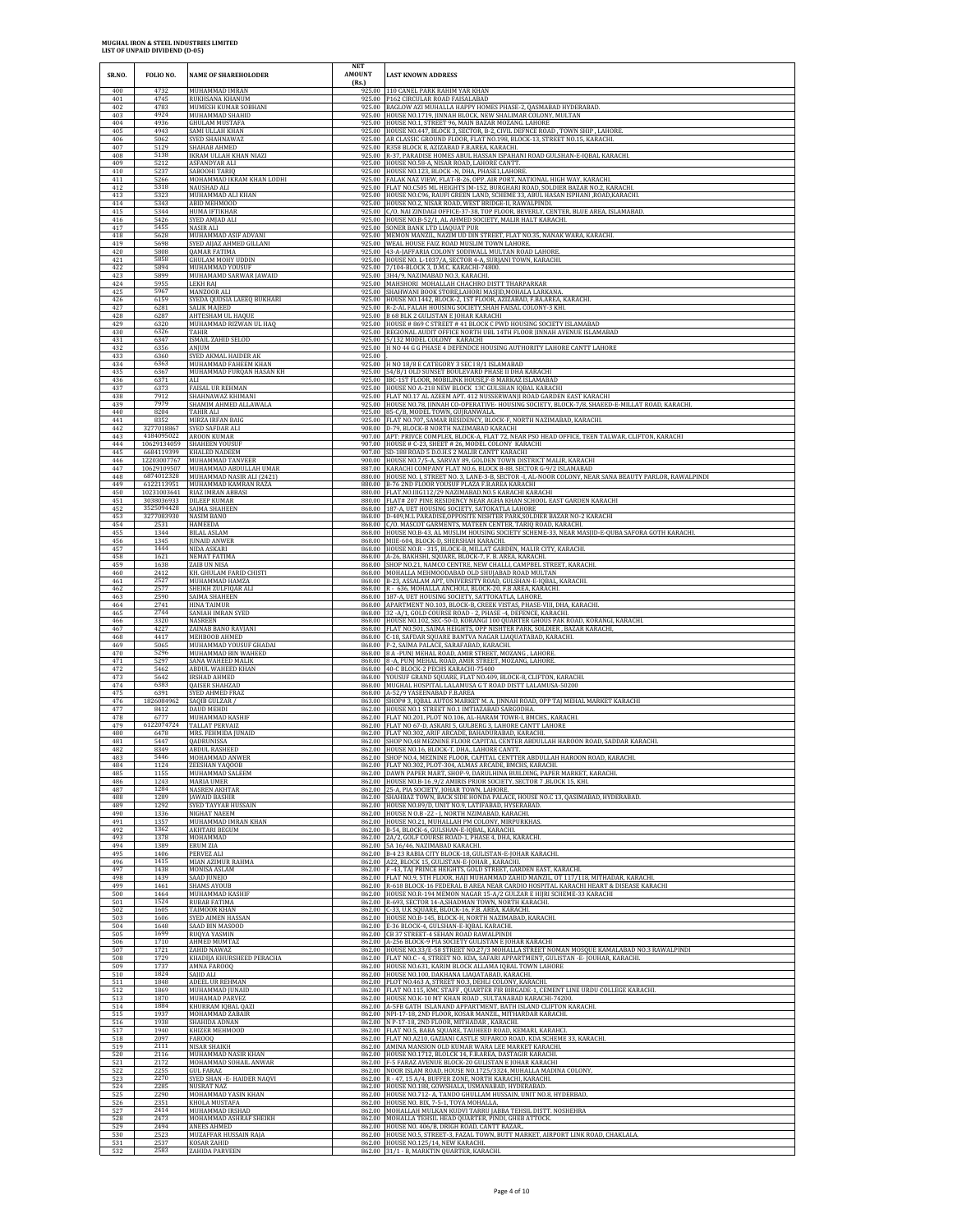| SR.NO.            | FOLIO NO.            | <b>NAME OF SHAREHOLODER</b>                                | <b>NET</b><br><b>AMOUNT</b> | <b>LAST KNOWN ADDRESS</b>                                                                                                                                                                     |
|-------------------|----------------------|------------------------------------------------------------|-----------------------------|-----------------------------------------------------------------------------------------------------------------------------------------------------------------------------------------------|
| 400               | 4732                 | <b>MUHAMMAD IMRAN</b>                                      | (Rs.)                       | 110 CANEL PARK RAHIM YAR KHAN                                                                                                                                                                 |
| 401               | 4745                 | RUKHSANA KHANUM                                            | 925.00                      | 925.00 P162 CIRCULAR ROAD FAISALABAD                                                                                                                                                          |
| 402               | 4783                 | MUMESH KUMAR SOBHANI                                       |                             | 925.00 BAGLOW AZI MUHALLA HAPPY HOMES PHASE-2, QASMABAD HYDERABAD.                                                                                                                            |
| 403               | 4924                 | MUHAMMAD SHAHID                                            |                             | 925.00 HOUSE NO.1719, JINNAH BLOCK, NEW SHALIMAR COLONY, MULTAN                                                                                                                               |
| 404               | 4936                 | GHULAM MUSTAFA                                             |                             | 925.00 HOUSE NO.1, STREET 96, MAIN BAZAR MOZANG. LAHORE                                                                                                                                       |
| 405               | 4943                 | SAMI ULLAH KHAN                                            |                             | 925.00 HOUSE NO.447, BLOCK 3, SECTOR, B-2, CIVIL DEFNCE ROAD, TOWN SHIP, LAHORE                                                                                                               |
| 406               | 5062                 | SYED SHAHNAWAZ                                             | 925.00                      | 925.00 AR CLASSIC GROUND FLOOR, FLAT NO.198, BLOCK-13, STREET NO.15, KARACHI.                                                                                                                 |
| 407               | 5129                 | SHAHAB AHMED                                               |                             | R358 BLOCK 8, AZIZABAD F.B.AREA, KARACHI.                                                                                                                                                     |
| 408               | 5138                 | IKRAM ULLAH KHAN NIAZI                                     |                             | 925.00 R-37, PARADISE HOMES ABUL HASSAN ISPAHANI ROAD GULSHAN-E-IQBAL KARACHI.                                                                                                                |
| 409               | 5212                 | ASFANDYAR ALI                                              |                             | 925.00 HOUSE NO.58-A, NISAR ROAD, LAHORE CANTT.                                                                                                                                               |
| 410               | 5237                 | SABOOHI TARIQ                                              |                             | 925.00 HOUSE NO.123, BLOCK -N, DHA, PHASE1,LAHORE                                                                                                                                             |
| 411               | 5266                 | MOHAMMAD IKRAM KHAN LODHI                                  |                             | 925.00 FALAK NAZ VIEW, FLAT-B-26, OPP. AIR PORT, NATIONAL HIGH WAY, KARACHI                                                                                                                   |
| 412               | 5318                 | NAUSHAD ALI                                                |                             | 925.00 FLAT NO.C505 ML HEIGHTS JM-152, BURGHARI ROAD, SOLDIER BAZAR NO.2, KARACHL                                                                                                             |
| 413               | 5323                 | MUHAMMAD ALI KHAN                                          |                             | 925.00 HOUSE NO.C96, RAUFI GREEN LAND, SCHEME 33, ABUL HASAN ISPHANI ,ROAD,KARACHI.                                                                                                           |
| 414               | 5343                 | <b>ABID MEHMOOD</b>                                        | 925.00                      | HOUSE NO.2, NISAR ROAD, WEST BRIDGE-II, RAWALPINDI.                                                                                                                                           |
| 415               | 5344                 | <b>HUMA IFTIKHAR</b>                                       |                             | 925.00 C/O. NAI ZINDAGI OFFICE-37-38, TOP FLOOR, BEVERLY, CENTER, BLUE AREA, ISLAMABAD.                                                                                                       |
| 416               | 5426                 | SYED AMJAD ALI                                             | 925.00                      | 925.00 HOUSE NO.B-52/1, AL AHMED SOCIETY, MALIR HALT KARACHI.                                                                                                                                 |
| 417               | 5455                 | NASIR ALI                                                  |                             | SONER BANK LTD LIAQUAT PUR                                                                                                                                                                    |
| 418               | 5628                 | MUHAMMAD ASIF ADVANI                                       |                             | 925.00 MEMON MANZIL, NAZIM UD DIN STREET, FLAT NO.35, NANAK WARA, KARACHI                                                                                                                     |
| 419               | 5698                 | SYED AIJAZ AHMED GILLANI                                   |                             | 925.00 WEAL HOUSE FAIZ ROAD MUSLIM TOWN LAHORE.                                                                                                                                               |
| 420               | 5808                 | QAMAR FATIMA                                               |                             | 925.00 43-A-JAFFARIA COLONY SODIWALL MULTAN ROAD LAHORE.                                                                                                                                      |
| 421               | 5858                 | <b>GHULAM MOHY UDDIN</b>                                   |                             | 925.00 HOUSE NO. L-1037/A, SECTOR 4-A, SURJANI TOWN, KARACHI.                                                                                                                                 |
| 422               | 5894                 | MUHAMMAD YOUSUF                                            |                             | 925.00 7/104-BLOCK 3, D.M.C. KARACHI-74800                                                                                                                                                    |
| 423               | 5899                 | MUHAMAMD SARWAR JAWAID                                     |                             | 925.00 3H4/9, NAZIMABAD NO.3, KARACHL                                                                                                                                                         |
| 424               | 5955                 | <b>LEKH RAJ</b>                                            |                             | 925.00 MAHSHORI MOHALLAH CHACHRO DISTT THARPARKAR                                                                                                                                             |
| 425               | 5967                 | MANZOOR ALI                                                | 925.00                      | SHAHWANI BOOK STORE,LAHORI MASJID,MOHALA LARKAN.                                                                                                                                              |
| 426               | 6159                 | SYEDA QUDSIA LAEEQ BUKHARI                                 |                             | 925.00 HOUSE NO.1442, BLOCK-2, 1ST FLOOR, AZIZABAD, F.BA.AREA, KARACHI                                                                                                                        |
| 427               | 6281                 | SALIK MAJEED                                               |                             | 925.00 R-2-AL FALAH HOUSING SOCIETY, SHAH FAISAL COLONY-3 KHI.                                                                                                                                |
| 428               | 6287                 | AHTESHAM UL HAQUE                                          |                             | 925.00 B 68 BLK 2 GULISTAN E JOHAR KARACHI                                                                                                                                                    |
| 429               | 6320                 | MUHAMMAD RIZWAN UL HAQ                                     |                             | 925.00 HOUSE # 869 C STREET # 41 BLOCK C PWD HOUSING SOCIETY ISLAMABAD                                                                                                                        |
| 430               | 6326                 | <b>TAHIR</b>                                               |                             | 925.00 REGIONAL AUDIT OFFICE NORTH UBL 14TH FLOOR JINNAH AVENUE ISLAMABAD                                                                                                                     |
| 431               | 6347                 | <b>ISMAIL ZAHID SELOD</b>                                  |                             | 925.00 5/132 MODEL COLONY KARACHI                                                                                                                                                             |
| 432<br>433        | 6356<br>6360         | ANIUM<br>SYED AKMAL HAIDER AK                              | 925.00                      | 925.00 H NO 44 G G PHASE 4 DEFENDCE HOUSING AUTHORITY LAHORE CANTT LAHORE                                                                                                                     |
| 434               | 6363                 | MUHAMMAD FAHEEM KHAN                                       |                             | 925.00 H NO 18/8 E CATEGORY 3 SEC 18/1 ISLAMABAD                                                                                                                                              |
| 435               | 6367                 | MUHAMMAD FURQAN HASAN KH                                   |                             | 925.00 54/B/1 OLD SUNSET BOULEVARD PHASE II DHA KARACHI                                                                                                                                       |
| 436               | 6371                 | ALI                                                        |                             | 925.00 IBC-1ST FLOOR, MOBILINK HOUSE,F-8 MARKAZ ISLAMABAD                                                                                                                                     |
| 437               | 6373                 | <b>FAISAL UR REHMAN</b>                                    |                             | 925.00 HOUSE NO A-218 NEW BLOCK 13C GULSHAN IQBAL KARACHI                                                                                                                                     |
| 438               | 7912                 | SHAHNAWAZ KHIMANI                                          | 925.00                      | 925.00 FLAT NO.17 AL AZEEM APT. 412 NUSSERWANJI ROAD GARDEN EAST KARACHI                                                                                                                      |
| 439               | 7979                 | SHAMIM AHMED ALLAWALA                                      |                             | HOUSE NO.78, JINNAH CO-OPERATIVE- HOUSING SOCIETY, BLOCK-7/8, SHAEED-E-MILLAT ROAD, KARACHL                                                                                                   |
| 440               | 8204                 | TAHIR ALI                                                  |                             | 925.00 85-C/B, MODEL TOWN, GUJRANWALA.                                                                                                                                                        |
| 441               | 8352                 | MIRZA IRFAN BAIG                                           |                             | 925.00 FLAT NO.707, SAMAR RESIDENCY, BLOCK-F, NORTH NAZIMABAD, KARACHI.                                                                                                                       |
| 442               | 3277018867           | SYED SAFDAR ALI                                            |                             | 908.00 D-79, BLOCK-B NORTH NAZIMABAD KARACHI                                                                                                                                                  |
| 443               | 4184095022           | AROON KUMAR                                                |                             | 907.00 APT: PRIVCE COMPLEX, BLOCK-A, FLAT 72, NEAR PSO HEAD OFFICE, TEEN TALWAR, CLIFTON, KARACHI                                                                                             |
| 444               | 10629134059          | <b>SHAHEEN YOUSUF</b>                                      |                             | 907.00 HOUSE # C-23, SHEET # 26, MODEL COLONY KARACHI                                                                                                                                         |
| 445               | 6684119399           | KHALED NADEEM                                              | 900.00                      | 907.00 SD-188 ROAD 5 D.O.H.S 2 MALIR CANTT KARACHI                                                                                                                                            |
| 446               | 12203007767          | MUHAMMAD TANVEER                                           |                             | HOUSE NO.7/5-A, SARVAY 89, GOLDEN TOWN DISTRICT MALIR, KARACHI                                                                                                                                |
| 447               | 10629109507          | MUHAMMAD ABDULLAH UMAR                                     |                             | 887.00 KARACHI COMPANY FLAT NO.6, BLOCK B-88, SECTOR G-9/2 ISLAMABAD                                                                                                                          |
| 448               | 6874012328           | MUHAMMAD NASIR ALI (2421)                                  |                             | 880.00 HOUSE NO. I, STREET NO. 3, LANE-3-B, SECTOR -I, AL-NOOR COLONY, NEAR SANA BEAUTY PARLOR, RAWALPINDI                                                                                    |
| 449               | 6122113951           | MUHAMMAD KAMRAN RAZA                                       | 880.00                      | 880.00 B-76 2ND FLOOR YOUSUF PLAZA F.B.AREA KARACHI                                                                                                                                           |
| 450               | 10231003641          | RIAZ IMRAN ABBASI                                          |                             | FLAT.NO.IIIG112/29 NAZIMABAD.NO.5 KARACHI KARACHI                                                                                                                                             |
| 451               | 3038036933           | <b>DILEEP KUMAR</b>                                        |                             | 880.00 FLAT# 207 PINE RESIDENCY NEAR AGHA KHAN SCHOOL EAST GARDEN KARACHI                                                                                                                     |
| 452               | 3525094428           | SAIMA SHAHEEN                                              |                             | 868.00 187-A, UET HOUSING SOCIETY, SATOKATLA LAHORE                                                                                                                                           |
| 453               | 3277083930           | <b>NASIM BANO</b>                                          |                             | 868.00 D-409, M.L PARADISE, OPPOSITE NISHTER PARK, SOLDIER BAZAR NO-2 KARACHI                                                                                                                 |
| 454               | 2531                 | HAMEEDA                                                    |                             | 868.00 C/O. MASCOT GARMENTS, MATEEN CENTER, TARIQ ROAD, KARACHI.                                                                                                                              |
| 455               | 1344                 | <b>BILAL ASLAM</b>                                         |                             | 868.00 HOUSE NO.B-43, AL MUSLIM HOUSING SOCIETY SCHEME-33, NEAR MASJID-E-QUBA SAFORA GOTH KARACHI.                                                                                            |
| 456               | 1345                 | <b>JUNAID ANWER</b>                                        | 868.00                      | 868.00 MIIE-604, BLOCK-D, SHERSHAH KARACHI.                                                                                                                                                   |
| 457               | 1444                 | NIDA ASKARI                                                |                             | HOUSE NO.R - 315, BLOCK-B, MILLAT GARDEN, MALIR CITY, KARACHI.                                                                                                                                |
| 458               | 1621                 | <b>NEMAT FATIMA</b>                                        |                             | 868.00 A-26, BAKHSHI, SQUARE, BLOCK-7, F. B. AREA, KARACHI.                                                                                                                                   |
| 459               | 1638                 | ZAIB UN NISA                                               |                             | 868.00 SHOP NO.21, NAMCO CENTRE, NEW CHALLI, CAMPBEL STREET, KARACHI.                                                                                                                         |
| 460<br>461        | 2412<br>2527<br>2577 | KH. GHULAM FARID CHISTI<br>MUHAMMAD HAMZA                  |                             | 868.00 MOHALLA MEHMOODABAD OLD SHUJABAD ROAD MULTAN<br>868.00 B-23, ASSALAM APT, UNIVERSITY ROAD, GULSHAN-E-IQBAL, KARACHI.                                                                   |
| 462<br>463<br>464 | 2590<br>2741         | SHEIKH ZULFIQAR ALI<br>SAIMA SHAHEEN<br><b>HINA TAIMUR</b> | 868.00                      | 868.00 R - 636, MOHALLA ANCHOLI, BLOCK-20, F.B AREA, KARACHI.<br>868.00 187-A, UET HOUSING SOCIETY, SATTOKATLA, LAHORE.<br>APARTMENT NO.103, BLOCK-B, CREEK VISTAS, PHASE-VIII, DHA, KARACHI. |
| 465               | 2744                 | SANIAH IMRAN SYED                                          | 868.00                      | 32 - A/1, GOLD COURSE ROAD - 2, PHASE -4, DEFENCE, KARACHI.                                                                                                                                   |
| 466               | 3320                 | <b>NASREEN</b>                                             |                             | 868.00 HOUSE NO.102, SEC-50-D, KORANGI 100 QUARTER GHOUS PAK ROAD, KORANGI, KARACHI.                                                                                                          |
| 467               | 4227                 | ZAINAB BANO RAVJANI                                        |                             | 868.00 FLAT NO.501, SAIMA HEIGHTS, OPP NISHTER PARK, SOLDIER, BAZAR KARACHI,                                                                                                                  |
| 468               | 4417                 | MEHBOOB AHMED                                              |                             | 868.00 C-18, SAFDAR SQUARE BANTVA NAGAR LIAQUATABAD, KARACHI.                                                                                                                                 |
| 469               | 5065                 | MUHAMMAD YOUSUF GHADAI                                     |                             | 868.00 P-2, SAIMA PALACE, SARAFABAD, KARACHI.                                                                                                                                                 |
| 470               | 5296                 | MUHAMMAD BIN WAHEED                                        |                             | 868.00 8 A -PUNJ MEHAL ROAD, AMIR STREET, MOZANG, LAHORE                                                                                                                                      |
| 471               | 5297                 | SANA WAHEED MALIK                                          |                             | 868.00 8 - A, PUNJ MEHAL ROAD, AMIR STREET, MOZANG, LAHORE.                                                                                                                                   |
| 472               | 5462                 | ABDUL WAHEED KHAN                                          |                             | 868.00 40-C BLOCK-2 PECHS KARACHI-75400                                                                                                                                                       |
| 473               | 5642                 | <b>IRSHAD AHMED</b>                                        |                             | 868.00 YOUSUF GRAND SQUARE, FLAT NO.409, BLOCK-8, CLIFTON, KARACHI.                                                                                                                           |
| 474               | 6383                 | QAISER SHAHZAD                                             | 868.00                      | 868.00 MUGHAL HOSPITAL LALAMUSA G T ROAD DISTT LALAMUSA-50200                                                                                                                                 |
| 475               | 6391                 | SYED AHMED FRAZ                                            |                             | A-52/9 YASEENABAD F.B.AREA                                                                                                                                                                    |
| 476               | 1826084962           | SAQIB GULZAR /                                             |                             | 863.00 SHOP# 3, IQBAL AUTOS MARKET M. A. JINNAH ROAD, OPP TAJ MEHAL MARKET KARACHI                                                                                                            |
| 477               | 8412                 | DAUD MEHDI                                                 |                             | 862.00 HOUSE NO.1 STREET NO.1 IMTIAZABAD SARGODHA                                                                                                                                             |
| 478               | 6777                 | MUHAMMAD KASHIF                                            |                             | 862.00 FLAT NO.201, PLOT NO.106, AL-HARAM TOWR-I, BMCHS., KARACHI.                                                                                                                            |
| 479               | 6122074724           | <b>TALLAT PERVAIZ</b>                                      |                             | 862.00 FLAT NO 67-D, ASKARI 5, GULBERG 3, LAHORE CANTT LAHORE                                                                                                                                 |
| 480               | 6478                 | MRS. FEHMIDA JUNAID                                        |                             | 862.00 FLAT NO.302, ARIF ARCADE, BAHADURABAD, KARACHI.                                                                                                                                        |
| 481               | 5447                 | QADRUNISSA                                                 |                             | 862.00 SHOP NO,48 MEZNINE FLOOR CAPITAL CENTER ABDULLAH HAROON ROAD, SADDAR KARACHI.                                                                                                          |
| 482               | 8349                 | <b>ABDUL RASHEED</b>                                       |                             | 862.00 HOUSE NO.16, BLOCK-T, DHA., LAHORE CANTT.                                                                                                                                              |
| 483               | 5446                 | MOHAMMAD ANWER                                             |                             | 862.00 SHOP NO.4, MEZNINE FLOOR, CAPITAL CENTTER ABDULLAH HAROON ROAD, KARACHI                                                                                                                |
| 484               | 1124                 | ZEESHAN YAQOOB                                             |                             | 862.00 FLAT NO.302, PLOT-304, ALMAS ARCADE, BMCHS, KARACHI                                                                                                                                    |
| 485               | 1155                 | MUHAMMAD SALEEM                                            |                             | 862.00 DAWN PAPER MART, SHOP-9, DARULHINA BUILDING, PAPER MARKET, KARACHI                                                                                                                     |
| 486               | 1243                 | MARIA UMER                                                 |                             | 862.00 HOUSE NO.B-16 ,9/2 AMIRIS PRIOR SOCIETY, SECTOR 7 ,BLOCK 15, KHI                                                                                                                       |
| 487               | 1284                 | <b>NASREN AKHTAR</b>                                       |                             | 862.00 25-A, PIA SOCIETY, JOHAR TOWN, LAHORE.                                                                                                                                                 |
| 488               | 1289                 | <b>JAWAID BASHIR</b>                                       |                             | 862.00 SHAHBAZ TOWN, BACK SIDE HONDA PALACE, HOUSE NO.C 13, QASIMABAD, HYDERABAD.                                                                                                             |
| 489               | 1292                 | SYED TAYYAB HUSSAIN                                        | 862.00                      | HOUSE NO.89/D, UNIT NO.9, LATIFABAD, HYSERABAD.                                                                                                                                               |
| 490               | 1336                 | NIGHAT NAEEM                                               |                             | 862.00 HOUSE N O.B - 22 - J, NORTH NZIMABAD, KARACHI.                                                                                                                                         |
| 491               | 1357                 | MUHAMMAD IMRAN KHAN                                        | 862.00                      | 862.00 HOUSE NO.21, MUHALLAH PM COLONY, MIRPURKHAS                                                                                                                                            |
| 492               | 1362                 | AKHTARI BEGUM                                              |                             | B-54, BLOCK-6, GULSHAN-E-IQBAL, KARACHI.                                                                                                                                                      |
| 493               | 1378                 | MOHAMMAD                                                   |                             | 862.00 2A/2, GOLF COURSE ROAD-1, PHASE 4, DHA, KARACHI.                                                                                                                                       |
| 494               | 1389                 | ERUM ZIA                                                   |                             | 862.00 5A 16/46, NAZIMABAD KARACHI.                                                                                                                                                           |
| 495               | 1406                 | PERVEZ ALI                                                 |                             | 862.00 B-4 23 RABIA CITY BLOCK-18, GULISTAN-E-JOHAR KARACHI.                                                                                                                                  |
| 496               | 1415                 | MIAN AZIMUR RAHMA                                          | 862.00                      | A22. BLOCK 15. GULISTAN-E-IOHAR . KARACHI                                                                                                                                                     |
| 497               | 1438                 | MONISA ASLAM                                               |                             | 862.00 F -43, TAJ PRINCE HEIGHTS, GOLD STREET, GARDEN EAST, KARACHI.                                                                                                                          |
| 498               | 1439                 | SAAD JUNEJO                                                |                             | 862.00 FLAT NO.9, 5TH FLOOR, HAJI MUHAMMAD ZAHID MANZIL, OT 117/118, MITHADAR, KARACHI.                                                                                                       |
| 499               | 1461                 | <b>SHAMS AYOUB</b>                                         |                             | 862.00 R-618 BLOCK-16 FEDERAL B AREA NEAR CARDIO HOSPITAL KARACHI HEART & DISEASE KARACHI                                                                                                     |
| 500               | 1464                 | MUHAMMAD KASHIF                                            | 862.00                      | HOUSE NO.R-194 MEMON NAGAR 15-A/2 GULZAR E HIJRI SCHEME-33 KARACHI                                                                                                                            |
| 501               | 1524                 | RUBAB FATIMA                                               |                             | 862.00 R-693, SECTOR 14-A, SHADMAN TOWN, NORTH KARACHI.                                                                                                                                       |
| 502               | 1605                 | TAIMOOR KHAN                                               |                             | 862.00 C-33, U.K SQUARE, BLOCK-16, F.B. AREA, KARACHI.                                                                                                                                        |
| 503               | 1606                 | <b>SYED AIMEN HASSAN</b>                                   |                             | 862.00 HOUSE NO.B-145, BLOCK-H, NORTH NAZIMABAD, KARACHI.                                                                                                                                     |
| 504               | 1648                 | SAAD BIN MASOOD                                            |                             | 862.00 E-36 BLOCK-4, GULSHAN-E-IQBAL KARACHI.                                                                                                                                                 |
| 505               | 1699                 | RUQYA YASMIN                                               |                             | 862.00 CB 37 STREET-4 SEHAN ROAD RAWALPINDI                                                                                                                                                   |
| 506               | 1710                 | AHMED MUMTAZ                                               |                             | 862.00 A-256 BLOCK-9 PIA SOCIETY GULISTAN E JOHAR KARACHI                                                                                                                                     |
| 507               | 1721                 | ZAHID NAWAZ                                                |                             | 862.00 HOUSE NO.33/E-58 STREET NO.27/3 MOHALLA STREET NOMAN MOSQUE KAMALABAD NO.3 RAWALPINDI                                                                                                  |
| 508               | 1729                 | KHADIJA KHURSHEED PERACHA                                  |                             | 862.00 FLAT NO.C - 4, STREET NO. KDA, SAFARI APPARTMENT, GULISTAN - E-JOUHAR, KARACHI.                                                                                                        |
| 509               | 1737                 | AMNA FAROOQ                                                |                             | 862.00 HOUSE NO.631, KARIM BLOCK ALLAMA IQBAL TOWN LAHORE                                                                                                                                     |
| 510               | 1824                 | SAJID ALI                                                  |                             | 862.00 HOUSE NO.100, DAKHANA LIAQATABAD, KARACHI.                                                                                                                                             |
| 511               | 1848                 | ADEEL UR REHMAN                                            |                             | 862.00 PLOT NO.463 A, STREET NO.3, DEHLI COLONY, KARACHI.                                                                                                                                     |
| 512               | 1869                 | MUHAMMAD JUNAID                                            |                             | 862.00 FLAT NO.115, KMC STAFF, QUARTER FIR BIRGADE-1, CEMENT LINE URDU COLLEGE KARACHI                                                                                                        |
| 513               | 1870                 | <b>MUHAMAD PARVEZ</b>                                      |                             | 862.00 HOUSE NO.K-10 MT KHAN ROAD, SULTANABAD KARACHI-74200.                                                                                                                                  |
| 514               | 1884                 | KHURRAM IQBAL QAZ                                          |                             | 862.00 A-5FB GATH ISLANAND APPARTMENT, BATH ISLAND CLIFTON KARACHI                                                                                                                            |
| 515<br>516        | 1937<br>1938<br>1940 | MOHAMMAD ZABAIR<br>SHAHIDA ADNAN                           |                             | 862.00 NPI-17-18, 2ND FLOOR, KOSAR MANZIL, MITHARDAR KARACHI.<br>862.00 N P-17-18, 2ND FLOOR, MITHADAR, KARACHI.<br>862.00 FLAT NO.5, BABA SQUARE, TAUHEED ROAD, KEMARI, KARAHCI.             |
| 517<br>518<br>519 | 2097<br>2111         | KHIZER MEHMOOD<br>FAR00Q<br><b>NISAR SHAIKH</b>            |                             | 862.00 FLAT NO.A210, GAZIANI CASTLE SUPARCO ROAD, KDA SCHEME 33, KARACHI<br>862.00 AMINA MANSION OLD KUMAR WARA LEE MARKET KARACHI.                                                           |
| 520               | 2116                 | MUHAMMAD NASIR KHAN                                        |                             | 862.00 HOUSE NO.1712, BLOLCK 14, F.B.AREA, DASTAGIR KARACHI.                                                                                                                                  |
| 521               | 2172                 | MOHAMMAD SOHAIL ANWAR                                      |                             | 862.00 F-5 FARAZ AVENUE BLOCK-20 GULISTAN E JOHAR KARACHI                                                                                                                                     |
| 522               | 2255                 | GUL FARAZ                                                  |                             | 862.00 NOOR ISLAM ROAD, HOUSE NO.1725/3324, MUHALLA MADINA COLONY,                                                                                                                            |
| 523               | 2270                 | SYED SHAN - E- HAIDER NAQVI                                |                             | 862.00 R - 47, 15 A/4, BUFFER ZONE, NORTH KARACHI, KARACHI.                                                                                                                                   |
| 524               | 2285                 | NUSRAT NAZ                                                 |                             | 862.00 HOUSE NO.188, GOWSHALA, USMANABAD, HYDERABAD.                                                                                                                                          |
| 525<br>526        | 2290                 | MOHAMMAD YASIN KHAN                                        |                             | 862.00 HOUSE NO.712- A, TANDO GHULLAM HUSSAIN, UNIT NO.8, HYDERBAD,                                                                                                                           |
| 527<br>528        | 2351<br>2414<br>2473 | KHOLA MUSTAFA<br>MUHAMMAD IRSHAD<br>MOHAMMAD ASHRAF SHEIKH |                             | 862.00 HOUSE NO. BIX, 7-5-1, TOYA MOHALLA,<br>862.00 MOHALLAH MULKAN KUDVI TARRU JABBA TEHSIL DISTT. NOSHEHRA<br>862.00 MOHALLA TEHSIL HEAD QUARTER, PINDI, GHEB ATTOCK.                      |
| 529               | 2494                 | ANEES AHMED                                                |                             | 862.00 HOUSE NO. 406/B, DRIGH ROAD, CANTT BAZAR,                                                                                                                                              |
| 530               | 2523                 | MUZAFFAR HUSSAIN RAJA                                      |                             | 862.00 HOUSE NO.5, STREET-3, FAZAL TOWN, BUTT MARKET, AIRPORT LINK ROAD, CHAKLALA.                                                                                                            |
| 531               | 2537                 | KOSAR ZAHID                                                |                             | 862.00 HOUSE NO.125/14, NEW KARACHI.                                                                                                                                                          |
| 532               | 2583                 | ZAHIDA PARVEEN                                             |                             | 862.00 31/1 - B, MARKTIN QUARTER, KARACHI.                                                                                                                                                    |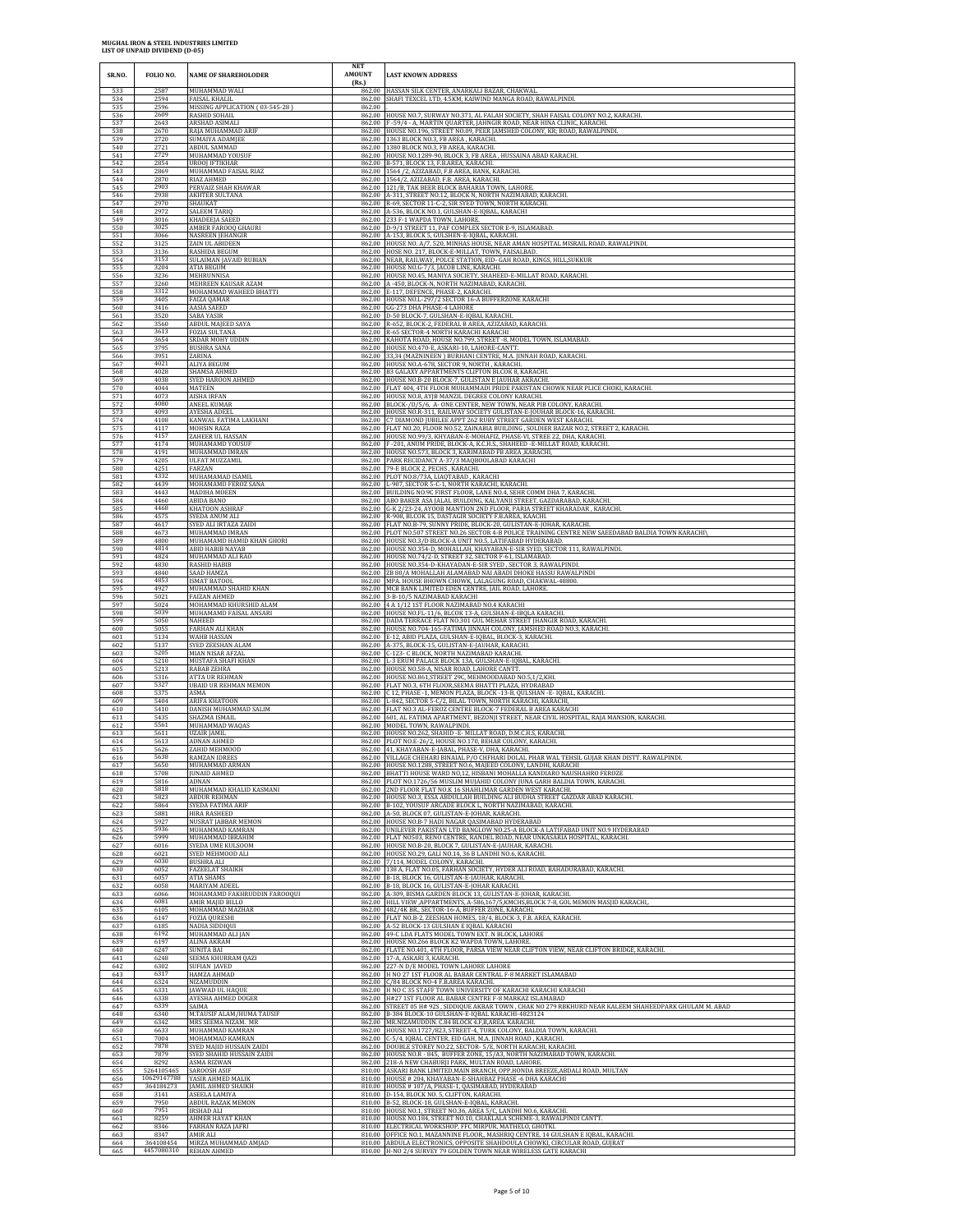| SR.NO.            | FOLIO NO.            | <b>NAME OF SHAREHOLODER</b>                                               | <b>NET</b><br><b>AMOUNT</b><br>(Rs.) | <b>LAST KNOWN ADDRESS</b>                                                                                                                                                                                           |
|-------------------|----------------------|---------------------------------------------------------------------------|--------------------------------------|---------------------------------------------------------------------------------------------------------------------------------------------------------------------------------------------------------------------|
| 533<br>534        | 2587<br>2594<br>2596 | MUHAMMAD WALI<br>FAISAL KHALIL                                            | 862.00                               | 862.00 HASSAN SILK CENTER, ANARKALI BAZAR, CHAKWAL<br>SHAFI TEXCEL LTD, 4.5KM, KAIWIND MANGA ROAD, RAWALPINDI.                                                                                                      |
| 535<br>536<br>537 | 2609<br>2643         | MISSING APPLICATION (03-545-28)<br>RASHID SOHAIL<br>ARSHAD ASIMALI        | 862.00                               | 862.00 HOUSE NO.7, SURWAY NO.371, AL FALAH SOCIETY, SHAH FAISAL COLONY NO.2, KARACHI.<br>862.00 F -59/4 - A, MARTIN QUARTER, JAHNGIR ROAD, NEAR HINA CLINIC, KARACHI.                                               |
| 538               | 2670                 | RAJA MUHAMMAD ARIF                                                        |                                      | 862.00 HOUSE NO.196, STREET NO.09, PEER JAMSHED COLONY, KR; ROAD, RAWALPINDI                                                                                                                                        |
| 539               | 2720                 | SUMAIYA ADAMJEE                                                           |                                      | 862.00 1363 BLOCK NO.3, FB AREA, KARACHI.                                                                                                                                                                           |
| 540               | 2721                 | ABDUL SAMMAD                                                              |                                      | 862.00 1380 BLOCK NO.3, FB AREA, KARACHI.                                                                                                                                                                           |
| 541               | 2729                 | <b>MUHAMMAD YOUSUF</b>                                                    |                                      | 862.00 HOUSE NO.1289-90, BLOCK 3, FB AREA , HUSSAINA ABAD KARACHI                                                                                                                                                   |
| 542<br>543        | 2854<br>2869<br>2870 | UROOJ IFTIKHAR<br>MUHAMMAD FAISAL RIAZ                                    |                                      | 862.00 B-571, BLOCK 13, F.B.AREA, KARACHI.<br>862.00 1564 /2, AZIZABAD, F.B AREA, BANK, KARACHI.                                                                                                                    |
| 544<br>545<br>546 | 2903<br>2938         | RIAZ AHMED<br>PERVAIZ SHAH KHAWAR<br><b>AKHTER SULTANA</b>                |                                      | 862.00 1564/2, AZIZABAD, F.B. AREA, KARACHI.<br>862.00 121/B, TAK BEER BLOCK BAHARIA TOWN, LAHORE<br>862.00 A-311, STREET NO.12, BLOCK N, NORTH NAZIMABAD, KARACHI                                                  |
| 547               | 2970                 | SHAUKAT                                                                   |                                      | 862.00 R-69, SECTOR 11-C-2, SIR SYED TOWN, NORTH KARACHI.                                                                                                                                                           |
| 548               | 2972                 | <b>SALEEM TARIQ</b>                                                       |                                      | 862.00 A-536, BLOCK NO.1, GULSHAN-E-IQBAL, KARACHI                                                                                                                                                                  |
| 549               | 3016                 | KHADEEJA SAEED                                                            |                                      | 862.00 233 F-1 WAPDA TOWN, LAHORE.                                                                                                                                                                                  |
| 550               | 3025                 | AMBER FAROOQ GHAURI                                                       |                                      | 862.00 D-9/1 STREET 11, PAF COMPLEX SECTOR E-9, ISLAMABAD.                                                                                                                                                          |
| 551               | 3066                 | NASREEN JEHANGIR                                                          |                                      | 862.00 A-153, BLOCK 5, GULSHEN-E-IQBAL, KARACHI.                                                                                                                                                                    |
| 552               | 3125                 | ZAIN UL ABIDEEN                                                           |                                      | 862.00 HOUSE NO. A/7, 520, MINHAS HOUSE, NEAR AMAN HOSPITAL MISRAIL ROAD, RAWALPINDI.                                                                                                                               |
| 553               | 3136                 | RASHIDA BEGUM                                                             |                                      | 862.00 HOSE NO. 217, BLOCK-E-MILLAT, TOWN, FAISALBAD.                                                                                                                                                               |
| 554               | 3153                 | SULAIMAN JAVAID RUBIAN                                                    |                                      | 862.00 NEAR, RAILWAY, POLCE STATION, EID- GAH ROAD, KINGS, HILL, SUKKUR                                                                                                                                             |
| 555               | 3204                 | ATIA BEGUM                                                                |                                      | 862.00 HOUSE NO.G-7/3, JACOB LINE, KARACHI.                                                                                                                                                                         |
| 556               | 3236                 | MEHRUNNISA                                                                |                                      | 862.00 HOUSE NO.45, MANIYA SOCIETY, SHAHEED-E-MILLAT ROAD, KARACHI.                                                                                                                                                 |
| 557               | 3260                 | MEHREEN KAUSAR AZAM                                                       |                                      | 862.00 A -450, BLOCK-N, NORTH NAZIMABAD, KARACHI.                                                                                                                                                                   |
| 558<br>559<br>560 | 3312<br>3405<br>3416 | MOHAMMAD WAHEED BHATTI<br>FAIZA QAMAR                                     |                                      | 862.00 E-117, DEFENCE, PHASE-2, KARACHI.<br>862.00 HOUSE NO.L-297/2 SECTOR 16-A BUFFERZONE KARACHI                                                                                                                  |
| 561<br>562        | 3520<br>3560         | AASIA SAEED<br>SABA YASIR<br><b>ABDUL MAJEED SAYA</b>                     |                                      | 862.00 GG-273 DHA PHASE-4 LAHORE<br>862.00 D-50 BLOCK-7, GULSHAN-E-IQBAL KARACHI.<br>862.00 R-652, BLOCK-2, FEDERAL B AREA, AZIZABAD, KARACHI.                                                                      |
| 563               | 3613                 | FOZIA SULTANA                                                             |                                      | 862.00 R-65 SECTOR-4 NORTH KARACHI KARACHI                                                                                                                                                                          |
| 564               | 3654                 | SRDAR MOHY UDDIN                                                          |                                      | 862.00 KAHOTA ROAD, HOUSE NO.799, STREET - 8, MODEL TOWN, ISLAMABAD.                                                                                                                                                |
| 565               | 3795                 | BUSHRA SANA                                                               |                                      | 862.00 HOUSE NO.470-E, ASKARI-10, LAHORE-CANTT.                                                                                                                                                                     |
| 566               | 3951                 | ZARINA                                                                    |                                      | 862.00 33,34 (MAZNINEEN) BURHANI CENTRE, M.A. JINNAH ROAD, KARACHI.                                                                                                                                                 |
| 567               | 4021                 | ALIYA BEGUM                                                               |                                      | 862.00 HOUSE NO.A-678, SECTOR 9, NORTH, KARACHI.                                                                                                                                                                    |
| 568               | 4028                 | SHAMSA AHMED                                                              |                                      | 862.00 B3 GALAXY APPARTMENTS CLIFTON BLCOK 8, KARACHI.                                                                                                                                                              |
| 569               | 4038                 | SYED HAROON AHMED                                                         |                                      | 862.00 HOUSE NO.B-20 BLOCK-7, GULISTAN E JAUHAR AKRACHI                                                                                                                                                             |
| 570               | 4044                 | MATEEN                                                                    |                                      | 862.00 FLAT 404, 4TH FLOOR MUHAMMADI PRIDE PAKISTAN CHOWK NEAR PLICE CHOKI, KARACHI.                                                                                                                                |
| 571               | 4073                 | <b>AISHA IRFAN</b>                                                        |                                      | 862.00 HOUSE NO.8, AYJB MANZIL DEGREE COLONY KARACHI.                                                                                                                                                               |
| 572               | 4080                 | ANEEL KUMAR                                                               |                                      | 862.00 BLOCK-/D/5/6, A- ONE CENTER, NEW TOWN, NEAR PIB COLONY, KARACHI.                                                                                                                                             |
| 573               | 4093                 | AYESHA ADEEL                                                              |                                      | 862.00 HOUSE NO.R-311, RAILWAY SOCIETY GULISTAN-E-JOUHAR BLOCK-16, KARACHI.                                                                                                                                         |
| 574               | 4108                 | KANWAL FATIMA LAKHANI                                                     |                                      | 862.00 C7 DIAMOND JUBILEE APPT 262 RUBY STREET GARDEN WEST KARACHI.                                                                                                                                                 |
| 575               | 4117                 | MOHSIN RAZA                                                               |                                      | 862.00 FLAT NO.20, FLOOR NO.52, ZAINABIA BUILDING, SOLDIER BAZAR NO.2, STREET 2, KARACHI.                                                                                                                           |
| 576               | 4157                 | ZAHEER UL HASSAN                                                          |                                      | 862.00 HOUSE NO.99/3, KHYABAN-E-MOHAFIZ, PHASE-VI, STREE 22, DHA, KARACHI.                                                                                                                                          |
| 577               | 4174                 | MUHAMAMD YOUSUF                                                           |                                      | 862.00 F -201, ANUM PRIDE, BLOCK-A, K.C.H.S., SHAHEED -E-MILLAT ROAD, KARACHI                                                                                                                                       |
| 578               | 4191                 | MUHAMMAD IMRAN                                                            |                                      | 862.00 HOUSE NO.573, BLOCK 3, KARIMABAD FB AREA ,KARACHI,                                                                                                                                                           |
| 579               | 4205                 | ULFAT MUZZAMIL                                                            |                                      | 862.00 PARK RECIDANCY A-37/3 MAQBOOLABAD KARACHI                                                                                                                                                                    |
| 580               | 4251                 | <b>ARZAN</b>                                                              |                                      | 862.00 79-E BLOCK 2, PECHS, KARACHI.                                                                                                                                                                                |
| 581               | 4332                 | MUHAMAMAD ISAMIL                                                          |                                      | 862.00 PLOT NO.8/73A, LIAQTABAD, KARACHI                                                                                                                                                                            |
| 582               | 4439                 | MOHAMAMD FEROZ SANA                                                       |                                      | 862.00 L-907, SECTOR 5-C-1, NORTH KARACHI, KARACHI.                                                                                                                                                                 |
| 583               | 4443                 | MADIHA MOEEN                                                              |                                      | 862.00 BUILDING NO.9C FIRST FLOOR, LANE NO.4, SEHR COMM DHA 7, KARACHI                                                                                                                                              |
| 584               | 4460                 | <b>ABIDA BANO</b>                                                         |                                      | 862.00 ABO BAKER ASA JALAL BUILDING, KALYANJI STREET, GAZDARABAD, KARACHI                                                                                                                                           |
| 585               | 4468                 | KHATOON ASHRAF                                                            |                                      | 862.00 G-K 2/23-24, AYOOB MANTION 2ND FLOOR, PARIA STREET KHARADAR, KARACHI.                                                                                                                                        |
| 586               | 4575                 | SYEDA ANUM ALI                                                            |                                      | 862.00 R-908, BLCOK 15, DASTAGIR SOCIETY F.B.AREA, KAACHL                                                                                                                                                           |
| 587               | 4617                 | SYED ALI IRTAZA ZAIDI                                                     |                                      | 862.00 FLAT NO.B-79, SUNNY PRIDE, BLOCK-20, GULISTAN-E-JOHAR, KARACHI.                                                                                                                                              |
| 588               | 4673                 | MUHAMMAD IMRAN                                                            |                                      | 862.00 PLOT NO.507 STREET NO.26 SECTOR 4-B POLICE TRAINING CENTRE NEW SAEEDABAD BALDIA TOWN KARACHI\                                                                                                                |
| 589               | 4800                 | MUHAMAMD HAMID KHAN GHORI                                                 |                                      | 862.00 HOUSE NO.3/D BLOCK-A UNIT NO.5, LATIFABAD HYDERABAD.                                                                                                                                                         |
| 590               | 4814                 | ABID HABIB NAYAB                                                          |                                      | 862.00 HOUSE NO.354-D, MOHALLAH, KHAYABAN-E-SIR SYED, SECTOR 111, RAWALPINDI.                                                                                                                                       |
| 591               | 4824                 | <b>MUHAMMAD ALI RAO</b>                                                   |                                      | 862.00 HOUSE NO.74/2-D, STREET 32, SECTOR F-61, ISLAMABAD.                                                                                                                                                          |
| 592               | 4830                 | RASHID HABIB                                                              |                                      | 862.00 HOUSE NO.354-D-KHAYADAN-E-SIR SYED, SECTOR 3, RAWALPINDI.                                                                                                                                                    |
| 593               | 4840                 | SAAD HAMZA                                                                |                                      | 862.00 ZB 80/A MOHALLAH ALAMABAD NAI ABADI DHOKE HASSU RAWALPINDI                                                                                                                                                   |
| 594               | 4853                 | <b>ISMAT BATOOL</b>                                                       |                                      | 862.00 MPA. HOUSE BHOWN CHOWK, LALAGUNG ROAD, CHAKWAL-48800.                                                                                                                                                        |
| 595               | 4927                 | MUHAMMAD SHAHID KHAN                                                      |                                      | 862.00 MCB BANK LIMITED EDEN CENTRE, JAIL ROAD, LAHORE                                                                                                                                                              |
| 596               | 5021                 | <b>FAIZAN AHMED</b>                                                       |                                      | 862.00 3-B-10/5 NAZIMABAD KARACHI                                                                                                                                                                                   |
| 597               | 5024                 | MOHAMMAD KHURSHID ALAM                                                    |                                      | 862.00 4 A 1/12 1ST FLOOR NAZIMABAD NO.4 KARACHI                                                                                                                                                                    |
| 598               | 5039                 | MUHAMAMD FAISAL ANSARI                                                    |                                      | 862.00 HOUSE NO.FL-11/6, BLCOK 13-A, GULSHAN-E-IBQLA KARACHI                                                                                                                                                        |
| 599               | 5050                 | NAHEED                                                                    |                                      | 862.00 DADA TERRACE FLAT NO.301 GUL MEHAR STREET JHANGIR ROAD, KARACHI.                                                                                                                                             |
| 600               | 5055                 | FARHAN ALI KHAN                                                           |                                      | 862.00 HOUSE NO.704-165-FATIMA JINNAH COLONY, JAMSHED ROAD NO.3, KARACHI                                                                                                                                            |
| 601               | 5134                 | <b>WAHB HASSAN</b>                                                        |                                      | 862.00 E-12, ABID PLAZA, GULSHAN-E-IQBAL, BLOCK-3, KARACHI.                                                                                                                                                         |
| 602               | 5137                 | SYED ZEESHAN ALAM                                                         |                                      | 862.00 A-375, BLOCK-15, GULISTAN-E-JAUHAR, KARACHI                                                                                                                                                                  |
| 603               | 5205                 | MIAN NISAR AFZAL                                                          |                                      | 862.00 C-123- C BLOCK, NORTH NAZIMABAD KARACHI.                                                                                                                                                                     |
| 604               | 5210                 | MUSTAFA SHAFI KHAN                                                        |                                      | 862.00 L-3 ERUM PALACE BLOCK 13A, GULSHAN-E-IQBAL, KARACHI.                                                                                                                                                         |
| 605               | 5213                 | RABAB ZEHRA                                                               |                                      | 862.00 HOUSE NO.58-A, NISAR ROAD, LAHORE CANTI                                                                                                                                                                      |
| 606               | 5316                 | <b>ATTA UR REHMAN</b>                                                     |                                      | 862.00 HOUSE NO.861, STREET 29C, MEHMOODABAD NO.5,1/2, KHI                                                                                                                                                          |
| 607               | 5327                 | UBAID UR REHMAN MEMON                                                     |                                      | 862.00 FLAT NO.3. 6TH FLOOR SEEMA BHATTI PLAZA. HYDRABAD                                                                                                                                                            |
| 608               | 5375                 | ASMA                                                                      |                                      | 862.00 C 12, PHASE -1, MEMON PLAZA, BLOCK -13-B, QULSHAN -E- IQBAL, KARACHI.                                                                                                                                        |
| 609               | 5404                 | ARIFA KHATOON                                                             |                                      | 862.00 L-842, SECTOR 5-C/2, BILAL TOWN, NORTH KARACHI, KARACHI                                                                                                                                                      |
| 610               | 5410                 | DANISH MUHAMMAD SALIM                                                     |                                      | 862.00 FLAT NO.3 AL-FEROZ CENTRE BLOCK-7 FEDERAL B AREA KARACH                                                                                                                                                      |
| 611               | 5435                 | SHAZMA ISMAIL                                                             |                                      | 862.00 601, AL FATIMA APARTMENT, BEZONJI STREET, NEAR CIVIL HOSPITAL, RAJA MANSION, KARACHI                                                                                                                         |
| 612               | 5561                 | MUHAMMAD WAQAS                                                            |                                      | 862.00 MODEL TOWN, RAWALPINDI.                                                                                                                                                                                      |
| 613               | 5611                 | UZAIR JAMIL                                                               |                                      | 862.00 HOUSE NO.262, SHAHID - E- MILLAT ROAD, D.M.C.H.S, KARACHI                                                                                                                                                    |
| 614               | 5613                 | <b>ADNAN AHMED</b>                                                        |                                      | 862.00 PLOT NO.E-26/2, HOUSE NO.170, BEHAR COLONY, KARACHI.                                                                                                                                                         |
| 615               | 5626                 | ZAHID MEHMOOD                                                             |                                      | 862.00 41, KHAYABAN-E-JABAL, PHASE-V, DHA, KARACHI.                                                                                                                                                                 |
| 616               | 5638                 | <b>RAMZAN IDREES</b>                                                      |                                      | 862.00 VILLAGE CHEHARI BINAIAL P/O CHFHARI DOLAL PHAR WAL TEHSIL GUJAR KHAN DISTT. RAWALPIND                                                                                                                        |
| 617               | 5650                 | MUHAMMAD ARMAN                                                            |                                      | 862.00 HOUSE NO.1288, STREET NO.6, MAJEED COLONY, LANDHI, KARACHI                                                                                                                                                   |
| 618               | 5708                 | <b>JUNAID AHMED</b>                                                       |                                      | 862.00 BHATTI HOUSE WARD NO,12, HISBANI MOHALLA KANDIARO NAUSHAHRO FEROZE                                                                                                                                           |
| 619               | 5816                 | ADNAN                                                                     |                                      | 862.00 PLOT NO.1726/56 MUSLIM MUJAHID COLONY JUNA GARH BALDIA TOWN, KARACHI                                                                                                                                         |
| 620               | 5818                 | MUHAMMAD KHALID KASMANI                                                   |                                      | 862.00 2ND FLOOR FLAT NO.K 16 SHAHLIMAR GARDEN WEST KARACHI.                                                                                                                                                        |
| 621               | 5823                 | ABDUR REHMAN                                                              |                                      | 862.00 HOUSE NO.3, ESSA ABDULLAH BUILDING ALI BUDHA STREET GAZDAR ABAD KARACHI                                                                                                                                      |
| 622               | 5864                 | SYEDA FATIMA ARIF                                                         |                                      | 862.00 B-102, YOUSUF ARCADE BLOCK L, NORTH NAZIMABAD, KARACHI.                                                                                                                                                      |
| 623               | 5881                 | <b>HIRA RASHEED</b>                                                       |                                      | 862.00 A-50, BLOCK 07, GULISTAN-E-JOHAR, KARACHI                                                                                                                                                                    |
| 624               | 5927                 | <b>NUSRAT JABBAR MEMON</b>                                                |                                      | 862.00 HOUSE NO.B-7 HADI NAGAR QASIMABAD HYDERABAD                                                                                                                                                                  |
| 625               | 5936                 | MUHAMMAD KAMRAN                                                           |                                      | 862.00 UNILEVER PAKISTAN LTD BANGLOW NO.25-A BLOCK-A LATIFABAD UNIT NO.9 HYDERABAD                                                                                                                                  |
| 626               | 5999                 | MUHAMMAD IBRAHIM                                                          |                                      | 862.00 FLAT NO503, RENO CENTRE, RANDEL ROAD, NEAR UNKASARIA HOSPITAL, KARACHI.                                                                                                                                      |
| 627               | 6016                 | <b>SYEDA UME KULSOOM</b>                                                  |                                      | 862.00 HOUSE NO.B-20, BLOCK 7, GULISTAN-E-JAUHAR, KARACHI.                                                                                                                                                          |
| 628               | 6021                 | SYED MEHMOOD ALI                                                          |                                      | 862.00 HOUSE NO.29, GALI NO.14, 36 B LANDHI NO.6, KARACHI.                                                                                                                                                          |
| 629               | 6030                 | BUSHRA ALI                                                                |                                      | 862.00 7/114, MODEL COLONY, KARACHI.                                                                                                                                                                                |
| 630               | 6052                 | FAZEELAT SHAIKH                                                           |                                      | 862.00 138 A, FLAT NO.05, FARHAN SOCIETY, HYDER ALI ROAD, BAHADURABAD, KARACHI                                                                                                                                      |
| 631<br>632        | 6057<br>6058<br>6066 | ATIA SHAMS<br>MARIYAM ADEEI                                               |                                      | 862.00 B-18, BLOCK 16, GULISTAN-E-JAUHAR, KARACHI.<br>862.00 B-18, BLOCK 16, GULISTAN-E-JOHAR KARACHI.                                                                                                              |
| 633<br>634<br>635 | 6081<br>6105         | MOHAMAMD FAKHRUDDIN FAROOQUI<br><b>MIR MAJID BILLO</b><br>MOHAMMAD MAZHAR |                                      | 862.00 A-309, BISMA GARDEN BLOCK 13, GULISTAN-E-JOHAR, KARACHI.<br>862.00 HILL VIEW , APPARTMENTS, A-586,167/5, KMCHS, BLOCK 7-8, GOL MEMON MASJID KARACHI,<br>862.00 482/4K BR., SECTOR-16-A, BUFFER ZONE, KARACHL |
| 636               | 6147                 | FOZIA QURESHI                                                             |                                      | 862.00 FLAT NO.B-2, ZEESHAN HOMES, 18/4, BLOCK-3, F.B. AREA, KARACHI.                                                                                                                                               |
| 637               | 6185                 | NADIA SIDDIQUI                                                            |                                      | 862.00 A-52 BLOCK-13 GULSHAN E IQBAL KARACHI                                                                                                                                                                        |
| 638               | 6192                 | MUHAMMAD ALI JAN                                                          |                                      | 862.00 49-C LDA FLATS MODEL TOWN EXT. N BLOCK, LAHORE                                                                                                                                                               |
| 639               | 6197                 | ALINA AKRAM                                                               |                                      | 862.00 HOUSE NO.266 BLOCK K2 WAPDA TOWN, LAHORE.                                                                                                                                                                    |
| 640<br>641        | 6247<br>6248<br>6302 | SUNITA BAI<br><b>GEEMA KHURRAM QAZI</b>                                   |                                      | 862.00 FLATE NO.401, 4TH FLOOR, PARSA VIEW NEAR CLIFTON VIEW, NEAR CLIFTON BRIDGE, KARACHI.<br>862.00 17-A, ASKARI 3, KARACHI.<br>862.00 227-N D/E MODEL TOWN LAHORE LAHORE                                         |
| 642<br>643<br>644 | 6317<br>6324         | SUFIAN JAVED<br>HAMZA AHMAD<br>NIZAMUDDIN                                 |                                      | 862.00 H NO 27 1ST FLOOR AL BABAR CENTRAL F-8 MARKET ISLAMABAD<br>862.00 C/84 BLOCK NO-4 F.B.AREA KARACHI.                                                                                                          |
| 645               | 6331                 | AWWAD UL HAQUE                                                            |                                      | 862.00 H NO C 35 STAFF TOWN UNIVERSITY OF KARACHI KARACHI KARACHI                                                                                                                                                   |
| 646               | 6338                 | AYESHA AHMED DOGER                                                        |                                      | 862.00 H#27 1ST FLOOR AL BABAR CENTRE F-8 MARKAZ ISLAMABAD                                                                                                                                                          |
| 647               | 6339                 | SAIMA                                                                     |                                      | 862.00 STREET 05 H# 92S, SIDDIQUE AKBAR TOWN, CHAK NO 279 RBKHURD NEAR KALEEM SHAHEEDPARK GHULAM M. ABAD                                                                                                            |
| 648               | 6340                 | M.TAUSIF ALAM/HUMA TAUSIF                                                 |                                      | 862.00 B-384 BLOCK-10 GULSHAN-E-IQBAL KARACHI-4823124                                                                                                                                                               |
| 649<br>650        | 6342<br>6633<br>7004 | MRS SEEMA NIZAM. MR<br>MUHAMMAD KAMRAN                                    |                                      | 862.00 MR.NIZAMUDDIN. C.84 BLOCK 4.F,B,AREA. KARACHI.<br>862.00 HOUSE NO.1727/823, STREET-4, TURK COLONY, BALDIA TOWN, KARACHI.                                                                                     |
| 651<br>652<br>653 | 7878<br>7879         | MOHAMMAD KAMRAN<br>SYED MAJID HUSSAIN ZAIDI<br>SYED SHAHID HUSSAIN ZAIDI  |                                      | 862.00 C-5/4, IQBAL CENTER, EID GAH, M.A. JINNAH ROAD, KARACHI.<br>862.00 DOUBLE STOREY NO.22, SECTOR- 5/E, NORTH KARACHI, KARACHI<br>862.00 HOUSE NO.R - 845, BUFFER ZONE, 15/A3, NORTH NAZIMABAD TOWN, KARACHI    |
| 654               | 8292                 | ASMA RIZWAN                                                               |                                      | 862.00 218-A NEW CHABURJI PARK, MULTAN ROAD, LAHORE.                                                                                                                                                                |
| 655               | 5264105465           | SAROOSH ASIF                                                              |                                      | 810.00 ASKARI BANK LIMITED, MAIN BRANCH, OPP.HONDA BREEZE, ABDALI ROAD, MULTAN                                                                                                                                      |
| 656               | 10629147788          | YASIR AHMED MALIK                                                         |                                      | 810.00 HOUSE # 204, KHAYABAN-E-SHAHBAZ PHASE -6 DHA KARACHI                                                                                                                                                         |
| 657               | 364184273            | JAMIL AHMED SHAIKH                                                        |                                      | 810.00 HOUSE #107/A, PHASE-1, QASIMABAD, HYDERABAD                                                                                                                                                                  |
| 658               | 3141                 | ASEELA LAMIYA                                                             |                                      | 810.00 D-154, BLOCK NO. 5, CLIFTON, KARACHI.                                                                                                                                                                        |
| 659               | 7950                 | <b>ABDUL RAZAK MEMON</b>                                                  |                                      | 810.00 B-52, BLOCK-18, GULSHAN-E-IQBAL, KARACHI.                                                                                                                                                                    |
| 660               | 7951                 | IRSHAD ALI                                                                |                                      | 810.00 HOUSE NO.1, STREET NO.36, AREA 5/C, LANDHI NO.6, KARACHI.                                                                                                                                                    |
| 661               | 8259                 | AHMER HAYAT KHAN                                                          |                                      | 810.00 HOUSE NO.184, STREET NO.10, CHAKLALA SCHEME-3, RAWALPINDI CANTT.                                                                                                                                             |
| 662               | 8346                 | FARHAN RAZA JAFRI                                                         |                                      | 810.00 ELECTRICAL WORKSHOP, FFC MIRPUR, MATHELO, GHOTKI.                                                                                                                                                            |
| 663               | 8347                 | AMIR ALI                                                                  |                                      | 810.00 OFFICE NO.1, MAZANNINE FLOOR,, MASHRIQ CENTRE, 14 GULSHAN E IQBAL, KARACHI.                                                                                                                                  |
| 664               | 364108454            | MIRZA MUHAMMAD AMJAD                                                      |                                      | 810.00 ABDULA ELECTRONICS, OPPOSITE SHAHDOULA CHOWKI, CIRCULAR ROAD, GUJRAT                                                                                                                                         |
| 665               |                      | 4457080310 REHAN AHMED                                                    |                                      | 810.00 H-NO 2/4 SURVEY 79 GOLDEN TOWN NEAR WIRELESS GATE KARACHI                                                                                                                                                    |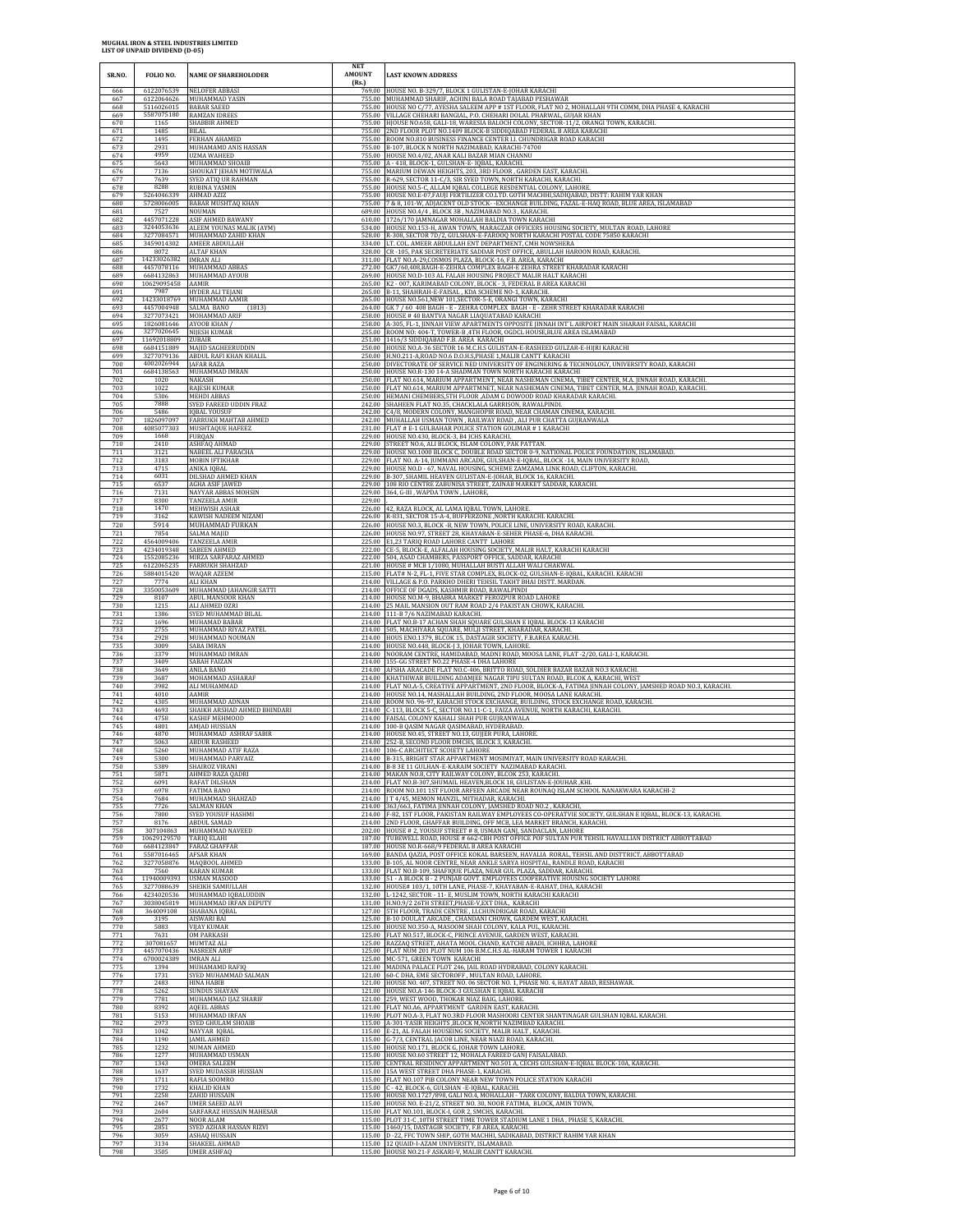| SR.NO.            | FOLIO NO.                                   | <b>NAME OF SHAREHOLODER</b>                                  | <b>NET</b><br><b>AMOUNT</b><br>(Rs.) | <b>LAST KNOWN ADDRESS</b>                                                                                                                                                                                                                          |
|-------------------|---------------------------------------------|--------------------------------------------------------------|--------------------------------------|----------------------------------------------------------------------------------------------------------------------------------------------------------------------------------------------------------------------------------------------------|
| 666               | 6122076539                                  | <b>NELOFER ABBAS</b>                                         | 769.00                               | HOUSE NO. B-329/7, BLOCK 1 GULISTAN-E-JOHAR KARACH                                                                                                                                                                                                 |
| 667               | 6122064626                                  | MUHAMMAD YASIN                                               |                                      | 755.00 MUHAMMAD SHARIF, ACHINI BALA ROAD TAJABAD PESHAWAF                                                                                                                                                                                          |
| 668               | 5116026015                                  | <b>BABAR SAEED</b>                                           |                                      | 755.00 HOUSE NO C/77, AYESHA SALEEM APP # 1ST FLOOR, FLAT NO 2, MOHALLAH 9TH COMM, DHA PHASE 4, KARACHI                                                                                                                                            |
| 669               | 5587075180                                  | <b>RAMZAN IDREES</b>                                         |                                      | 755.00 VILLAGE CHEHARI BANGIAL, P.O. CHEHARI DOLAL PHARWAL, GUJAR KHAN                                                                                                                                                                             |
| 670               | 1165                                        | SHABBIR AHMED                                                |                                      | 755.00 HJOUSE NO.658, GALI-18, WARESIA BALOCH COLONY, SECTOR-11/2, ORANGI TOWN, KARACHI.                                                                                                                                                           |
| 671               | 1485                                        | <b>BILAL</b>                                                 |                                      | 755.00 2ND FLOOR PLOT NO.1409 BLOCK-B SIDDIQABAD FEDERAL B AREA KARACHI                                                                                                                                                                            |
| 672               | 1495                                        | FERHAN AHAMED                                                |                                      | 755.00 ROOM NO.810 BUSINESS FINANCE CENTER I.I. CHUNDRIGAR ROAD KARACHI                                                                                                                                                                            |
| 673               | 2931                                        | MUHAMAMD ANIS HASSAN                                         |                                      | 755.00 B-107, BLOCK N NORTH NAZIMABAD, KARACHI-74700                                                                                                                                                                                               |
| 674               | 4959                                        | UZMA WAHEED                                                  |                                      | 755.00 HOUSE NO.4/02, ANAR KALI BAZAR MIAN CHANNU                                                                                                                                                                                                  |
| 675               | 5643                                        | MUHAMMAD SHOAIB                                              |                                      | 755.00 A - 418, BLOCK-1, GULSHAN-E- IQBAL, KARACHI.                                                                                                                                                                                                |
| 676               | 7136                                        | SHOUKAT JEHAN MOTIWALA                                       |                                      | 755.00 MARIUM DEWAN HEIGHTS, 203, 3RD FLOOR, GARDEN EAST, KARACHI                                                                                                                                                                                  |
| 677               | 7639                                        | SYED ATIQ UR RAHMAN                                          |                                      | 755.00 R-629, SECTOR 11-C/3, SIR SYED TOWN, NORTH KARACHI, KARACHI.                                                                                                                                                                                |
| 678               | 8288                                        | <b>RUBINA YASMIN</b>                                         |                                      | 755.00 HOUSE NO.5-C, ALLAM IQBAL COLLEGE RESDENTIAL COLONY, LAHORI                                                                                                                                                                                 |
| 679               | 5264046339                                  | AHMAD AZIZ                                                   |                                      | 755.00 HOUSE NO.E-07, FAUJI FERTILIZER CO.LTD. GOTH MACHHI, SADIQABAD, DISTT: RAHIM YAR KHAN                                                                                                                                                       |
| 680               | 5728006005                                  | <b>BABAR MUSHTAQ KHAN</b>                                    |                                      | 755.00 7 & 8, 101-W, ADJACENT OLD STOCK--EXCHANGE BUILDING, FAZAL-E-HAQ ROAD, BLUE AREA, ISLAMABAD                                                                                                                                                 |
| 681               | 7527                                        | NOUMAN                                                       |                                      | 689.00 HOUSE NO.4/4, BLOCK 3B, NAZIMABAD NO.3, KARACHI.                                                                                                                                                                                            |
| 682               | 4457071228                                  | <b>ASIF AHMED BAWANY</b>                                     |                                      | 610.00 1726/170 JAMNAGAR MOHALLAH BALDIA TOWN KARACHI                                                                                                                                                                                              |
| 683               | 3244053636                                  | ALEEM YOUNAS MALIK (AYM)                                     |                                      | 534.00 HOUSE NO.153-H, AWAN TOWN, MARAGZAR OFFICERS HOUSING SOCIETY, MULTAN ROAD, LAHORE                                                                                                                                                           |
| 684               | 3277084571                                  | MUHAMMAD ZAHID KHAN                                          |                                      | 528.00 R-308, SECTOR 7D/2, GULSHAN-E-FAROOQ NORTH KARACHI POSTAL CODE 75850 KARACH                                                                                                                                                                 |
| 685               | 3459014302                                  | AMEER ABDULLAH                                               |                                      | 334.00 LT. COL. AMEER ABDULLAH ENT DEPARTMENT, CMH NOWSHERA                                                                                                                                                                                        |
| 686<br>687<br>688 | 8072<br>14233026382 IMRAN ALI<br>4457078116 | <b>ALTAF KHAN</b><br>MUHAMMAD ABBAS                          |                                      | 328.00 CR - 105, PAK SECRETERIATE SADDAR POST OFFICE, ABULLAH HAROON ROAD, KARACHI<br>311.00 FLAT NO.A-29.COSMOS PLAZA, BLOCK-16, F.B. AREA, KARACHI<br>272.00 GK7/60,408,BAGH-E-ZEHRA COMPLEX BAGH-E ZEHRA STREET KHARADAR KARACHI                |
| 689               | 6684132863                                  | MUHAMMAD AYOUB                                               |                                      | 269.00 HOUSE NO.D-103 AL FALAH HOUSING PROJECT MALIR HALT KARACHI                                                                                                                                                                                  |
| 690               | 10629095458                                 | AAMIR                                                        |                                      | 265.00 K2 - 007, KARIMABAD COLONY, BLOCK - 3, FEDERAL B AREA KARACHI                                                                                                                                                                               |
| 691               | 7987                                        | HYDER ALI TEJANI                                             | 265.00                               | B-11, SHAHRAH-E-FAISAL, KDA SCHEME NO-1, KARACHI                                                                                                                                                                                                   |
| 692               | 14233018769                                 | MUHAMMAD AAMIR                                               |                                      | 265.00 HOUSE NO.561, NEW 101, SECTOR-5-E, ORANGI TOWN, KARACHI                                                                                                                                                                                     |
| 693<br>694<br>695 | 4457004948<br>3277073421<br>1826081646      | SALMA BANO<br>(1813)<br>MOHAMMAD ARIF<br>AYOOB KHAN /        |                                      | 264.00 GK 7 / 60 408 BAGH - E - ZEHRA COMPLEX BAGH - E - ZEHR STREET KHARADAR KARACHI<br>258.00 HOUSE #40 BANTVA NAGAR LIAQUATABAD KARACHI<br>258.00 A-305, FL-1, JINNAH VIEW APARTMENTS OPPOSITE JINNAH INT'L AIRPORT MAIN SHARAH FAISAL, KARACHI |
| 696               | 3277020645                                  | <b>NIJESH KUMAR</b>                                          |                                      | 255.00 ROOM NO: 404-T, TOWER-B, 4TH FLOOR, OGDCL HOUSE, BLUE AREA ISLAMABAD                                                                                                                                                                        |
| 697               | 11692018809                                 | ZUBAIR                                                       |                                      | 251.00 1416/3 SIDDIQABAD F.B. AREA KARACHI                                                                                                                                                                                                         |
| 698               | 6684151889                                  | MAJID SAGHEERUDDIN                                           |                                      | 250.00 HOUSE NO.A-36 SECTOR 16 M.C.H.S GULISTAN-E-RASHEED GULZAR-E-HIJRI KARACHI                                                                                                                                                                   |
| 699               | 3277079136                                  | ABDUL RAFI KHAN KHALIL                                       |                                      | 250.00 H.NO.211-A,ROAD NO.6 D.O.H.S,PHASE 1,MALIR CANTT KARACHI                                                                                                                                                                                    |
| 700               | 4002026944                                  | JAFAR RAZA                                                   |                                      | 250.00 DIVECTORATE OF SERVICE NED UNIVERSITY OF ENGINERING & TECHNOLOGY, UNIVERSITY ROAD, KARACHI                                                                                                                                                  |
| 701               | 6684138563                                  | MUHAMMAD IMRAN                                               |                                      | 250.00 HOUSE NO.R-130 14-A SHADMAN TOWN NORTH KARACHI KARACHI                                                                                                                                                                                      |
| 702               | 1020                                        | NAKASH                                                       |                                      | 250.00 FLAT NO.614, MARIUM APPARTMENT, NEAR NASHEMAN CINEMA, TIBET CENTER, M.A. JINNAH ROAD, KARACHI                                                                                                                                               |
| 703               | 1022                                        | RAJESH KUMAR                                                 |                                      | 250.00 FLAT NO.614, MARIUM APPARTMNET, NEAR NASHEMAN CINEMA, TIBET CENTER, M.A. JINNAH ROAD, KARACHI                                                                                                                                               |
| 704               | 5306                                        | <b>MEHDI ABBAS</b>                                           |                                      | 250.00 HEMANI CHEMBERS, 5TH FLOOR , ADAM G DOWOOD ROAD KHARADAR KARACHI.                                                                                                                                                                           |
| 705               | 7888                                        | SYED FAREED UDDIN FRAZ                                       | 242.00                               | SHAHEEN FLAT NO.35, CHACKLALA GARRISON, RAWALPIND!                                                                                                                                                                                                 |
| 706               | 5486                                        | IQBAL YOUSUF                                                 |                                      | 242.00 C4/8, MODERN COLONY, MANGHOPIR ROAD, NEAR CHAMAN CINEMA, KARACHI                                                                                                                                                                            |
| 707               | 1826097097                                  | FARRUKH MAHTAB AHMED                                         |                                      | 242.00 MUHALLAH USMAN TOWN, RAILWAY ROAD, ALI PUR CHATTA GUJRANWALA                                                                                                                                                                                |
| 708               | 4085077303                                  | MUSHTAQUE HAFEEZ                                             |                                      | 231.00 FLAT # E-1 GULBAHAR POLICE STATION GOLIMAR # 1 KARACHI                                                                                                                                                                                      |
| 709               | 1668                                        | FURQAN                                                       |                                      | 229.00 HOUSE NO.430, BLOCK-3, B4 JCHS KARACHL                                                                                                                                                                                                      |
| 710               | 2410                                        | ASHFAQ AHMAD                                                 |                                      | 229.00 STREET NO.6, ALI BLOCK, ISLAM COLONY, PAK PATTAN.                                                                                                                                                                                           |
| 711               | 3121                                        | NABEEL ALI PARACHA                                           |                                      | 229.00 HOUSE NO.1000 BLOCK C, DOUBLE ROAD SECTOR 0-9, NATIONAL POLICE FOUNDATION, ISLAMABAD                                                                                                                                                        |
| 712               | 3183                                        | <b>MOBIN IFTIKHAR</b>                                        |                                      | 229.00 FLAT NO. A-14. JUMMANI ARCADE, GULSHAN-E-JOBAL, BLOCK -14, MAIN UNIVERSITY ROAD                                                                                                                                                             |
| 713               | 4715                                        | ANIKA IQBAL                                                  |                                      | 229.00 HOUSE NO.D - 67, NAVAL HOUSING, SCHEME ZAMZAMA LINK ROAD, CLIFTON, KARACHI                                                                                                                                                                  |
| 714               | 6031                                        | DILSHAD AHMED KHAN                                           |                                      | 229.00 B-307, SHAMIL HEAVEN GULISTAN-E-JOHAR, BLOCK 16, KARACHL                                                                                                                                                                                    |
| 715               | 6537                                        | AGHA ASIF JAWED                                              |                                      | 229.00 108 RIO CENTRE ZABUNISA STREET, ZAINAB MARKET SADDAR, KARACHI.                                                                                                                                                                              |
| 716               | 7131                                        | NAYYAR ABBAS MOHSIN                                          |                                      | 229.00 364, G-III, WAPDA TOWN, LAHORE                                                                                                                                                                                                              |
| 717<br>718        | 8300<br>1470                                | <b>TANZEELA AMIR</b><br>MEHWISH ASHAR                        | 229.00                               | 226.00 42, RAZA BLOCK, AL LAMA IQBAL TOWN, LAHORE                                                                                                                                                                                                  |
| 719               | 3162                                        | KAWISH NADEEM NIZAMI                                         |                                      | 226.00 R-831, SECTOR 15-A-4, BUFFERZONE , NORTH KARACHI. KARACHI.                                                                                                                                                                                  |
| 720               | 5914                                        | MUHAMMAD FURKAN                                              |                                      | 226.00 HOUSE NO.3, BLOCK -B, NEW TOWN, POLICE LINE, UNIVERSITY ROAD, KARACHI                                                                                                                                                                       |
| 721               | 7854                                        | SALMA MAJID                                                  |                                      | 226.00 HOUSE NO.97, STREET 28, KHAYABAN-E-SEHER PHASE-6, DHA KARACHI                                                                                                                                                                               |
| 722               | 4564009406                                  | <b>TANZEELA AMIR</b>                                         |                                      | 225.00 E1,23 TARIQ ROAD LAHORE CANTT LAHORE                                                                                                                                                                                                        |
| 723               | 4234019348                                  | SABEEN AHMED                                                 |                                      | 222.00 CE-5, BLOCK-E, ALFALAH HOUSING SOCIETY, MALIR HALT, KARACHI KARACHI                                                                                                                                                                         |
| 724               | 1552085236                                  | MIRZA SARFARAZ AHMED                                         |                                      | 222.00 504, ASAD CHAMBERS, PASSPORT OFFICE, SADDAR, KARACHI                                                                                                                                                                                        |
| 725               | 6122065235                                  | <b>FARRUKH SHAHZAD</b>                                       |                                      | 221.00 HOUSE # MCB 1/1080, MUHALLAH BUSTI ALLAH WALI CHAKWAI                                                                                                                                                                                       |
| 726               | 5884015420                                  | WAQAR AZEEM                                                  |                                      | 215.00 FLAT# N-2, FL-1, FIVE STAR COMPLEX, BLOCK-02, GULSHAN-E-IQBAL, KARACHI. KARACHI                                                                                                                                                             |
| 727               | 7774                                        | <b>ALI KHAN</b>                                              |                                      | 214.00 VILLAGE & P.O. PARKHO DHERI TEHSIL TAKHT BHAI DISTT. MARDAN                                                                                                                                                                                 |
| 728               | 3350053609                                  | MUHAMMAD JAHANGIR SATTI                                      |                                      | 214.00 OFFICE OF DGADS, KASHMIR ROAD, RAWALPINDI                                                                                                                                                                                                   |
| 729               | 8107                                        | <b>ABUL MANSOOR KHAN</b>                                     |                                      | 214.00 HOUSE NO.M-9, BHABRA MARKET FEROZPUR ROAD LAHORE                                                                                                                                                                                            |
| 730               | 1215                                        | ALI AHMED OZRI                                               |                                      | 214.00 25 MAIL MANSION OUT RAM ROAD 2/4 PAKISTAN CHOWK, KARACHI.                                                                                                                                                                                   |
| 731               | 1386                                        | SYED MUHAMMAD BILAL                                          |                                      | 214.00 111-B 7/6 NAZIMABAD KARACHI                                                                                                                                                                                                                 |
| 732               | 1696                                        | MUHAMAD BABAR                                                |                                      | 214.00 FLAT NO.B-17 ACHAN SHAH SQUARE GULSHAN E IQBAL BLOCK-13 KARACHI                                                                                                                                                                             |
| 733               | 2755                                        | MUHAMMAD RIYAZ PATEL                                         |                                      | 214.00 505, MACHIYARA SQUARE, MULJI STREET, KHARADAR, KARACHI.                                                                                                                                                                                     |
| 734               | 2928                                        | MUHAMMAD NOUMAN                                              |                                      | 214.00 HOUS ENO.1379, BLCOK 15, DASTAGIR SOCIETY, F.B.AREA KARACHI                                                                                                                                                                                 |
| 735               | 3009                                        | SABA IMRAN                                                   |                                      | 214.00 HOUSE NO.448, BLOCK-J 3, JOHAR TOWN, LAHORE.                                                                                                                                                                                                |
| 736               | 3379                                        | MUHAMMAD IMRAN                                               |                                      | 214.00 NOORAM CENTRE, HAMIDABAD, MADNI ROAD, MOOSA LANE, FLAT -2/20, GALI-1, KARACHI                                                                                                                                                               |
| 737               | 3409                                        | SABAH FAIZAN                                                 |                                      | 214.00 155-GG STREET NO.22 PHASE-4 DHA LAHORE                                                                                                                                                                                                      |
| 738               | 3649                                        | ANILA BANO                                                   |                                      | 214.00 AFSHA ARACADE FLAT NO.C-406, BRITTO ROAD, SOLDIER BAZAR BAZAR NO.3 KARACHI                                                                                                                                                                  |
| 739               | 3687                                        | MOHAMMAD ASHARAF                                             |                                      | 214.00 KHATHIWAR BUILDING ADAMJEE NAGAR TIPU SULTAN ROAD, BLCOK A, KARACHI, WEST                                                                                                                                                                   |
| 740               | 3982                                        | ALI MUHAMMAD                                                 |                                      | 214.00 FLAT NO.A-5, CREATIVE APPARTMENT, 2ND FLOOR, BLOCK-A, FATIMA JINNAH COLONY, JAMSHED ROAD NO.3, KARACHI                                                                                                                                      |
| 741               | 4010                                        | <b>AAMIR</b>                                                 |                                      | 214.00 HOUSE NO.14, MASHALLAH BUILDING, 2ND FLOOR, MOOSA LANE KARACHI.                                                                                                                                                                             |
| 742               | 4305                                        | MUHAMMAD ADNAN                                               |                                      | 214.00 ROOM NO. 96-97, KARACHI STOCK EXCHANGE, BUILDING, STOCK EXCHANGE ROAD, KARACHI.                                                                                                                                                             |
| 743               | 4693                                        | SHAIKH ARSHAD AHMED BHINDARI                                 |                                      | 214.00 C-113, BLOCK 5-C, SECTOR NO.11-C-1, FAIZA AVENUE, NORTH KARACHI, KARACHI                                                                                                                                                                    |
| 744               | 4758                                        | KASHIF MEHMOOD                                               |                                      | 214.00 FAISAL COLONY KAHALI SHAH PUR GUJRANWALA                                                                                                                                                                                                    |
| 745               | 4801                                        | <b>AMJAD HUSSIAN</b>                                         |                                      | 214.00 100-B QASIM NAGAR QASIMABAD, HYDERABAD                                                                                                                                                                                                      |
| 746               | 4870                                        | MUHAMMAD ASHRAF SABIR                                        |                                      | 214.00 HOUSE NO.45, STREET NO.13, GUJJER PURA, LAHORE                                                                                                                                                                                              |
| 747               | 5063                                        | <b>ABDUR RASHEED</b>                                         |                                      | 214.00 252-B, SECOND FLOOR DMCHS, BLOCK 3, KARACHI                                                                                                                                                                                                 |
| 748               | 5260                                        | MUHAMMAD ATIF RAZA                                           |                                      | 214.00 106-C ARCHITECT SCOIETY LAHORE                                                                                                                                                                                                              |
| 749               | 5300                                        | MUHAMMAD PARVAIZ                                             |                                      | 214.00 B-315, BRIGHT STAR APPARTMENT MOSIMIYAT, MAIN UNIVERSITY ROAD KARACHI                                                                                                                                                                       |
| 750               | 5389                                        | SHAIROZ VIRANI                                               |                                      | 214.00 B-8 3E 11 GULHAN-E-KARAIM SOCIETY NAZIMABAD KARACHI.                                                                                                                                                                                        |
| 751               | 5871                                        | AHMED RAZA QADRI                                             |                                      | 214.00 MAKAN NO.8, CITY RAILWAY COLONY, BLCOK 253, KARACHI.                                                                                                                                                                                        |
| 752               | 6091                                        | RAFAT DILSHAN                                                |                                      | 214.00 FLAT NO.B-307, SHUMAIL HEAVEN, BLOCK 18, GULISTAN-E-JOUHAR, KHI.                                                                                                                                                                            |
| 753               | 6978                                        | FATIMA BANO                                                  |                                      | 214.00 ROOM NO.101 1ST FLOOR ARFEEN ARCADE NEAR ROUNAQ ISLAM SCHOOL NANAKWARA KARACHI-2                                                                                                                                                            |
| 754               | 7684                                        | MUHAMMAD SHAHZAD                                             |                                      | 214.00   T 4/45, MEMON MANZIL, MITHADAR, KARACHI.                                                                                                                                                                                                  |
| 755               | 7726                                        | SALMAN KHAN                                                  |                                      | 214.00 363/663, FATIMA JINNAH COLONY, JAMSHED ROAD NO.2, KARACHI,                                                                                                                                                                                  |
| 756               | 7800                                        | SYED YOUSUF HASHMI                                           |                                      | 214.00 F-82, 1ST FLOOR, PAKISTAN RAILWAY EMPLOYEES CO-OPERATVIE SOCIETY, GULSHAN E IQBAL, BLOCK-13, KARACHI.                                                                                                                                       |
| 757               | 8176                                        | ABDUL SAMAD                                                  |                                      | 214.00 2ND FLOOR, GHAFFAR BUILDING, OFF MCB, LEA MARKET BRANCH, KARACHI                                                                                                                                                                            |
| 758               | 307104863                                   | MUHAMMAD NAVEED                                              |                                      | 202.00 HOUSE # 2, YOUSUF STREET # 8, USMAN GANJ, SANDACLAN, LAHORE                                                                                                                                                                                 |
| 759               | 10629129570                                 | <b>TARIO ELAHI</b>                                           |                                      | 187.00 TUBEWELL ROAD, HOUSE # 662-CBH POST OFFICE POF SULTAN PUR TEHSIL HAVALLIAN DISTRICT ABBOTTABAD                                                                                                                                              |
| 760               | 6684123847                                  | <b>FARAZ GHAFFAF</b>                                         |                                      | 187.00 HOUSE NO.R-668/9 FEDERAL B AREA KARACHI                                                                                                                                                                                                     |
| 761               | 5587016465                                  | <b>AFSAR KHAN</b>                                            |                                      | 169.00 BANDA QAZIA, POST OFFICE KOKAL BARSEEN, HAVALIA RORAL, TEHSIL AND DISTTRICT, ABBOTTABAD                                                                                                                                                     |
| 762               | 3277058876                                  | MAQBOOL AHMED                                                |                                      | 133.00 B-105, AL NOOR CENTRE, NEAR ANKLE SARYA HOSPITAL, RANDLE ROAD, KARACHI                                                                                                                                                                      |
| 763               | 7560                                        | <b>KARAN KUMAR</b>                                           |                                      | 133.00 FLAT NO.B-109, SHAFIQUE PLAZA, NEAR GUL PLAZA, SADDAR, KARACHI                                                                                                                                                                              |
| 764               | 11940009393                                 | USMAN MASOOD                                                 |                                      | 133.00 51 - A BLOCK B - 2 PUNJAB GOVT. EMPLOYEES COOPERATIVE HOUSING SOCIETY LAHORE                                                                                                                                                                |
| 765               | 3277088639                                  | SHEIKH SAMIULLAF                                             |                                      | 132.00 HOUSE# 103/1, 10TH LANE, PHASE-7, KHAYABAN-E-RAHAT, DHA, KARACHI                                                                                                                                                                            |
| 766               | 4234020536                                  | MUHAMMAD IQBALUDDIN                                          |                                      | 132.00 L-1242, SECTOR - 11- E. MUSLIM TOWN, NORTH KARACHI KARACHI                                                                                                                                                                                  |
| 767               | 3038045819                                  | MUHAMMAD IRFAN DEPUTY                                        |                                      | 131.00 H.NO.9/2 26TH STREET, PHASE-V, EXT DHA., KARACHI                                                                                                                                                                                            |
| 768               | 364009108                                   | SHABANA IQBAL                                                |                                      | 127.00 5TH FLOOR, TRADE CENTRE, LLCHUNDRIGAR ROAD, KARACHI                                                                                                                                                                                         |
| 769               | 3195                                        | <b>AISWARI BAI</b>                                           |                                      | 125.00 B-10 DOULAT ARCADE, CHANDANI CHOWK, GARDEM WEST, KARACHI.                                                                                                                                                                                   |
| 770               | 5883                                        | VIJAY KUMAR                                                  | 125.00                               | HOUSE NO.350-A, MASOOM SHAH COLONY, KALA PUL, KARACHI                                                                                                                                                                                              |
| 771               | 7631                                        | OM PARKASH                                                   |                                      | 125.00 FLAT NO.517, BLOCK-C, PRINCE AVENUE, GARDEN WEST, KARACHI                                                                                                                                                                                   |
| 772               | 307081657                                   | MUMTAZ ALI                                                   |                                      | 125.00 RAZZAQ STREET, AHATA MOOL CHAND, KATCHI ABADI, ICHHRA, LAHORI                                                                                                                                                                               |
| 773               | 4457070436                                  | <b>NASREEN ARIF</b>                                          |                                      | 125.00 FLAT NUM 201 PLOT NUM 106 B.M.C.H.S AL-HARAM TOWER 1 KARACHI                                                                                                                                                                                |
| 774               | 6700024389                                  | <b>IMRAN ALI</b>                                             |                                      | 125.00 MC-571, GREEN TOWN KARACHI                                                                                                                                                                                                                  |
| 775               | 1394                                        | MUHAMAMD RAFIQ                                               |                                      | 121.00 MADINA PALACE PLOT 246, JAIL ROAD HYDRABAD, COLONY KARACHI                                                                                                                                                                                  |
| 776               | 1731                                        | SYED MUHAMMAD SALMAN                                         |                                      | 121.00 60-C DHA, EME SECTOROFF, MULTAN ROAD, LAHORE.                                                                                                                                                                                               |
| 777<br>778<br>779 | 2483<br>5262                                | <b>HINA HARIR</b><br><b>SUNDUS SHAYAN</b>                    |                                      | 121.00 HOUSE NO. 407, STREET NO. 06 SECTOR NO. 1, PHASE NO. 4, HAYAT ABAD, RESHAWAR<br>121.00 HOUSE NO.A-146 BLOCK-3 GULSHAN E IQBAL KARACHI                                                                                                       |
| 780<br>781        | 7781<br>8392<br>5153                        | MUHAMMAD IJAZ SHARIF<br><b>AQEEL ABBAS</b><br>MUHAMMAD IRFAN |                                      | 121.00 259, WEST WOOD, THOKAR NIAZ BAIG, LAHORE<br>121.00 FLAT NO.A6, APPARTMENT GARDEN EAST, KARACHI.<br>119.00 PLOT NO.A-3, FLAT NO.3RD FLOOR MASHOORI CENTER SHANTINAGAR GULSHAN IQBAL KARACHI                                                  |
| 782               | 2973                                        | SYED GHULAM SHOAIB                                           |                                      | 115.00 A-301-YASIR HEIGHTS , BLOCK M, NORTH NAZIMBAD KARACHI.                                                                                                                                                                                      |
| 783               | 1042                                        | NAYYAR IQBAL                                                 |                                      | 115.00 E-21, AL FALAH HOUSEING SOCIETY, MALIR HALT, KARACHI.                                                                                                                                                                                       |
| 784               | 1190                                        | <b>JAMIL AHMED</b>                                           |                                      | 115.00 G-7/3, CENTRAL JACOB LINE, NEAR NIAZI ROAD, KARACHI.                                                                                                                                                                                        |
| 785               | 1232                                        | NUMAN AHMED                                                  |                                      | 115.00 HOUSE NO.171, BLOCK G, JOHAR TOWN LAHORE.                                                                                                                                                                                                   |
| 786               | 1277                                        | MUHAMMAD USMAN                                               |                                      | 115.00 HOUSE NO.60 STREET 12, MOHALA FAREED GANJ FAISALABAD                                                                                                                                                                                        |
| 787               | 1343                                        | OMERA SALEEM                                                 |                                      | 115.00 CENTRAL RESIDINCY APPARTMENT NO.501 A, CECHS GULSHAN-E-IQBAL BLOCK-10A, KARACHI                                                                                                                                                             |
| 788               | 1637                                        | SYED MUDASSIR HUSSIAN                                        |                                      | 115.00 15A WEST STREET DHA PHASE-1, KARACHI.                                                                                                                                                                                                       |
| 789               | 1711                                        | RAFIA SOOMRO                                                 |                                      | 115.00 FLAT NO.107 PIB COLONY NEAR NEW TOWN POLICE STATION KARACHI                                                                                                                                                                                 |
| 790               | 1732                                        | KHALID KHAN                                                  |                                      | 115.00 C - 42, BLOCK-6, GULSHAN - E-IQBAL, KARACHI.                                                                                                                                                                                                |
| 791               | 2258                                        | ZAHID HUSSAIN                                                |                                      | 115.00 HOUSE NO.1727/898, GALI NO.4, MOHALLAH - TARK COLONY, BALDIA TOWN, KARACHI.                                                                                                                                                                 |
| 792               | 2467                                        | <b>UMER SAEED ALVI</b>                                       |                                      | 115.00 HOUSE NO. E-21/2, STREET NO. 30, NOOR FATIMA, BLOCK, AMIN TOWN                                                                                                                                                                              |
| 793               | 2604                                        | SARFARAZ HUSSAIN MAHESAR                                     |                                      | 115.00 FLAT NO.101, BLOCK-I, GOR 2, SMCHS, KARACHI.                                                                                                                                                                                                |
| 794               | 2677                                        | NOOR ALAM                                                    |                                      | 115.00 PLOT 31-C , 10TH STREET TIME TOWER STADIUM LANE 1 DHA , PHASE 5, KARACHI.                                                                                                                                                                   |
| 795               | 2851                                        | SYED AZHAR HASSAN RIZVI                                      |                                      | 115.00 1460/15, DASTAGIR SOCIETY, F.B AREA, KARACHI                                                                                                                                                                                                |
| 796               | 3059                                        | ASHAQ HUSSAIN                                                |                                      | 115.00 D -22, FFC TOWN SHIP, GOTH MACHHI, SADIKABAD, DISTRICT RAHIM YAR KHAN                                                                                                                                                                       |
| 797               | 3134                                        | SHAKEEL AHMAD                                                |                                      | 115.00 12 QUAID-I-AZAM UNIVERSITY, ISLAMABAD.                                                                                                                                                                                                      |
| 798               | 3505                                        | <b>UMER ASHFAQ</b>                                           |                                      | 115.00 HOUSE NO.21-F ASKARI-V, MALIR CANTT KARACHI.                                                                                                                                                                                                |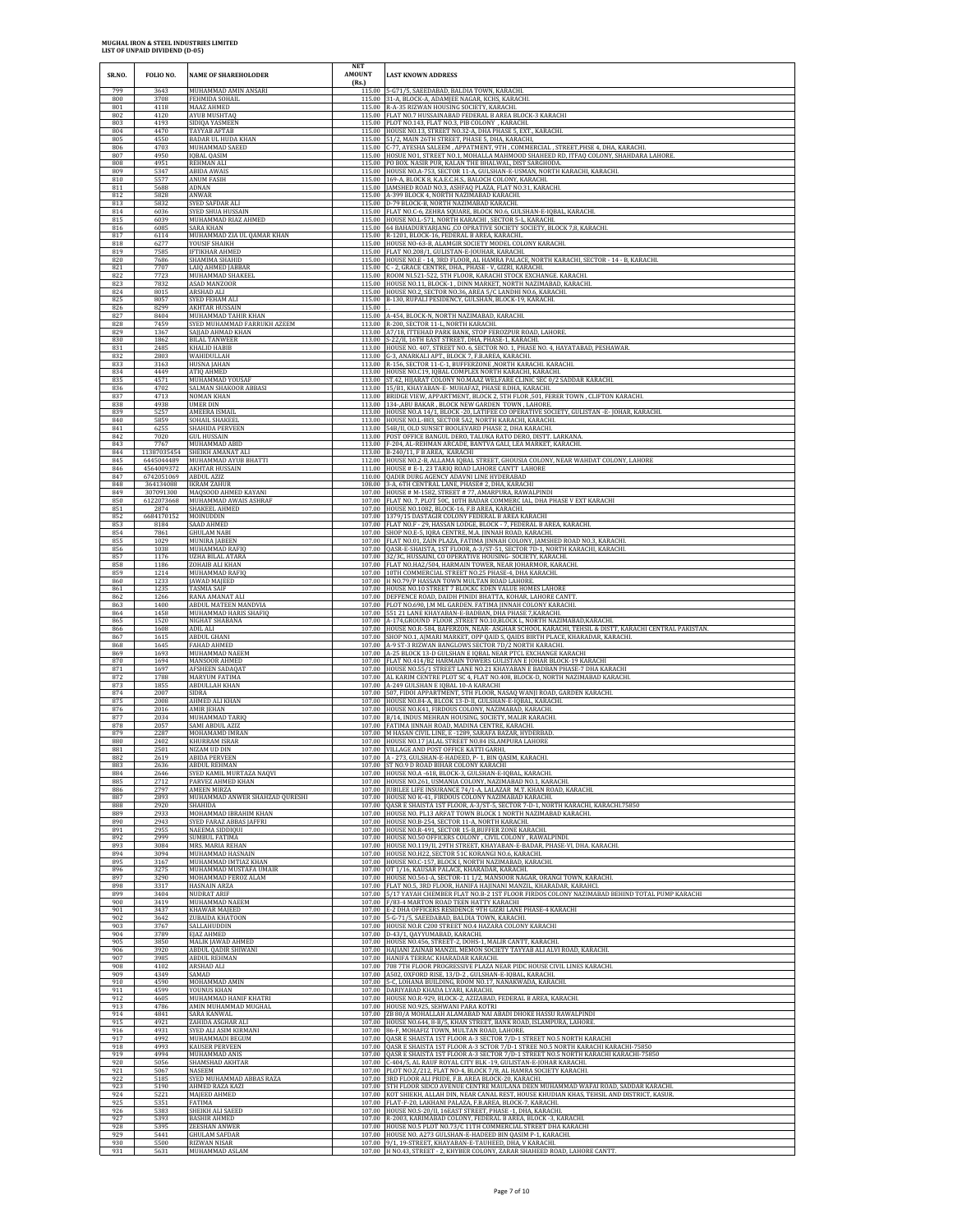| SR.NO.            | FOLIO NO.                  | <b>NAME OF SHAREHOLODER</b>                                     | <b>NET</b><br><b>AMOUNT</b><br>(Rs.) | <b>LAST KNOWN ADDRESS</b>                                                                                                                                                                                        |
|-------------------|----------------------------|-----------------------------------------------------------------|--------------------------------------|------------------------------------------------------------------------------------------------------------------------------------------------------------------------------------------------------------------|
| 799               | 3643                       | MUHAMMAD AMIN ANSARI                                            |                                      | 115.00 5-G71/5. SAEEDABAD. BALDIA TOWN, KARACHI                                                                                                                                                                  |
| 800               | 3708                       | FEHMIDA SOHAIL                                                  |                                      | 115.00 31-A, BLOCK-A, ADAMJEE NAGAR, KCHS, KARACHI                                                                                                                                                               |
| 801               | 4118                       | MAAZ AHMED                                                      |                                      | 115.00 R-A-35 RIZWAN HOUSING SOCIETY, KARACHI,                                                                                                                                                                   |
| 802               | 4120                       | AYUB MUSHTAQ                                                    |                                      | 115.00 FLAT NO.7 HUSSAINABAD FEDERAL B AREA BLOCK-3 KARACHI                                                                                                                                                      |
| 803               | 4193                       | SIDIQA YASMEEN                                                  |                                      | 115.00 PLOT NO.143, FLAT NO.3, PIB COLONY , KARACHI                                                                                                                                                              |
| 804               | 4470                       | TAYYAB AFTAB                                                    |                                      | 115.00 HOUSE NO.13, STREET NO.32-A, DHA PHASE 5, EXT., KARACHI.                                                                                                                                                  |
| 805               | 4550                       | <b>BADAR UL HUDA KHAN</b>                                       |                                      | 115.00 51/2, MAIN 26TH STREET, PHASE 5, DHA, KARACHI,                                                                                                                                                            |
| 806               | 4703                       | MUHAMMAD SAEED                                                  |                                      | 115.00 C-77, AYESHA SALEEM , APPATMENT, 9TH , COMMERCIAL , STREET, PHSE 4, DHA, KARACHI                                                                                                                          |
| 807               | 4950                       | <b>IQBAL QASIM</b>                                              |                                      | 115.00 HOSUE NO1, STREET NO.1, MOHALLA MAHMOOD SHAHEED RD, ITFAQ COLONY, SHAHDARA LAHORE.                                                                                                                        |
| 808               | 4951                       | <b>REHMAN ALI</b>                                               |                                      | 115.00 PO BOX. NASIR PUR, KALAN THE BHALWAL, DIST SARGHODA.                                                                                                                                                      |
| 809               | 5347                       | <b>ABIDA AWAIS</b>                                              |                                      | 115.00 HOUSE NO.A-753, SECTOR 11-A, GULSHAN-E-USMAN, NORTH KARACHI, KARACHI.                                                                                                                                     |
| 810               | 5577                       | ANUM FASIH                                                      |                                      | 115.00 169-A, BLOCK 8, K.A.E.C.H.S., BALOCH COLONY, KARACHI.<br>115.00 JAMSHED ROAD NO.3, ASHFAQ PLAZA, FLAT NO.31, KARACHI.                                                                                     |
| 811<br>812        | 5688<br>5828               | ADNAN<br>ANWAR                                                  |                                      | 115.00 A-399 BLOCK 4, NORTH NAZIMABAD KARACHI.                                                                                                                                                                   |
| 813               | 5832                       | SYED SAFDAR ALI                                                 |                                      | 115.00 D-79 BLOCK-B, NORTH NAZIMABAD KARACHI.                                                                                                                                                                    |
| 814               | 6036                       | SYED SHUA HUSSAIN                                               |                                      | 115.00 FLAT NO.C-6, ZEHRA SQUARE, BLOCK NO.6, GULSHAN-E-IQBAL, KARACHI.                                                                                                                                          |
| 815               | 6039                       | MUHAMMAD RIAZ AHMED                                             |                                      | 115.00 HOUSE NO.L-571, NORTH KARACHI, SECTOR 5-L, KARACHI.                                                                                                                                                       |
| 816               | 6085                       | SARA KHAN                                                       |                                      | 115.00 64 BAHADURYARJANG ,CO OPRATIVE SOCIETY SOCIETY, BLOCK 7,8, KARACHI.                                                                                                                                       |
| 817               | 6114                       | MUHAMMAD ZIA UL QAMAR KHAN                                      |                                      | 115.00 R-1201, BLOCK-16, FEDERAL B AREA, KARACHL.                                                                                                                                                                |
| 818               | 6277                       | YOUSIF SHAIKH                                                   |                                      | 115.00 HOUSE NO-63-B, ALAMGIR SOCIETY MODEL COLONY KARACHI.                                                                                                                                                      |
| 819               | 7585                       | <b>IFTIKHAR AHMED</b>                                           |                                      | 115.00 FLAT NO.208/1, GULISTAN-E-JOUHAR, KARACHI.                                                                                                                                                                |
| 820               | 7686                       | SHAMIMA SHAHID                                                  |                                      | 115.00 HOUSE NO.E - 14, 3RD FLOOR, AL HAMRA PALACE, NORTH KARACHI, SECTOR - 14 - B, KARACHI.                                                                                                                     |
| 821               | 7707                       | LAIQ AHMED JABBAR                                               |                                      | 115.00 C - 2, GRACE CENTRE, DHA., PHASE - V, GIZRI, KARACHI.                                                                                                                                                     |
| 822               | 7723                       | MUHAMMAD SHAKEEL                                                |                                      | 115.00 ROOM NL521-522, 5TH FLOOR, KARACHI STOCK EXCHANGE. KARACHI.                                                                                                                                               |
| 823               | 7832                       | ASAD MANZOOR                                                    |                                      | 115.00 HOUSE NO.11, BLOCK-1, DINN MARKET, NORTH NAZIMABAD, KARACHI.                                                                                                                                              |
| 824               | 8015                       | ARSHAD ALI                                                      |                                      | 115.00 HOUSE NO.2, SECTOR NO.36, AREA 5/C LANDHI NO.6, KARACHI.                                                                                                                                                  |
| 825               | 8057                       | SYED FEHAM ALI                                                  |                                      | 115.00 B-130, RUPALI PESIDENCY, GULSHAN, BLOCK-19, KARACHI.                                                                                                                                                      |
| 826<br>827        | 8299<br>8404               | <b>AKHTAR HUSSAIN</b><br>MUHAMMAD TAHIR KHAN                    | 115.00                               | 115.00 A-454, BLOCK-N, NORTH NAZIMABAD, KARACHI.                                                                                                                                                                 |
| 828               | 7459                       | SYED MUHAMMAD FARRUKH AZEEM                                     |                                      | 113.00 R-200, SECTOR 11-L, NORTH KARACHI.                                                                                                                                                                        |
| 829               | 1367                       | SAJJAD AHMAD KHAN                                               |                                      | 113.00 A7/18, ITTEHAD PARK BANK, STOP FEROZPUR ROAD, LAHORE                                                                                                                                                      |
| 830               | 1862                       | <b>BILAL TANWEER</b>                                            |                                      | 113.00 S-22/II, 16TH EAST STREET, DHA, PHASE-1, KARACHI.                                                                                                                                                         |
| 831               | 2485                       | <b>KHALID HABIB</b>                                             |                                      | 113.00 HOUSE NO. 407, STREET NO. 6, SECTOR NO. 1, PHASE NO. 4, HAYATABAD, PESHAWAR                                                                                                                               |
| 832               | 2803                       | WAHIDULLAH                                                      |                                      | 113.00 G-3, ANARKALI APT., BLOCK 7, F.B.AREA, KARACHI.                                                                                                                                                           |
| 833               | 3163                       | <b>HUSNA JAHAN</b>                                              |                                      | 113.00 R-156, SECTOR 11-C-1, BUFFERZONE, NORTH KARACHI. KARACHI.                                                                                                                                                 |
| 834               | 4449                       | ATIQ AHMED                                                      |                                      | 113.00 HOUSE NO.C19, IQBAL COMPLEX NORTH KARACHI, KARACHI.                                                                                                                                                       |
| 835               | 4571                       | MUHAMMAD YOUSAF                                                 |                                      | 113.00 ST.42, HIJARAT COLONY NO.MAAZ WELFARE CLINIC SEC 0/2 SADDAR KARACHI                                                                                                                                       |
| 836               | 4702                       | SALMAN SHAKOOR ABBASI                                           |                                      | 113.00 15/B1, KHAYABAN-E- MUHAFAZ, PHASE 8.DHA, KARACHI.                                                                                                                                                         |
| 837               | 4713                       | <b>NOMAN KHAN</b>                                               |                                      | 113.00 BRIDGE VIEW, APPARTMENT, BLOCK 2, 5TH FLOR ,501, FERER TOWN, CLIFTON KARACHI                                                                                                                              |
| 838               | 4938                       | <b>UMER DIN</b>                                                 |                                      | 113.00 134-, ABU BAKAR, BLOCK NEW GARDEN TOWN, LAHORE                                                                                                                                                            |
| 839               | 5257                       | AMEERA ISMAIL                                                   |                                      | 113.00 HOUSE NO.A 14/1, BLOCK -20, LATIFEE CO OPERATIVE SOCIETY, GULISTAN -E-JOHAR, KARACHI                                                                                                                      |
| 840               | 5859                       | SOHAIL SHAKEEL                                                  |                                      | 113.00 HOUSE NO.L-883, SECTOR 5A2, NORTH KARACHI, KARACHI.                                                                                                                                                       |
| 841               | 6255                       | SHAHIDA PERVEEN                                                 |                                      | 113.00 54B/II, OLD SUNSET BOOLEVARD PHASE 2, DHA KARACHI.                                                                                                                                                        |
| 842               | 7020                       | <b>GUL HUSSAIN</b>                                              |                                      | 113.00 POST OFFICE BANGUL DERO, TALUKA RATO DERO, DISTT. LARKANA                                                                                                                                                 |
| 843               | 7767                       | MUHAMMAD ABID                                                   |                                      | 113.00 F-204, AL-REHMAN ARCADE, BANTVA GALI, LEA MARKET, KARACHI.                                                                                                                                                |
| 844               | 11387035454                | SHEIKH AMANAT ALI                                               |                                      | 113.00 B-240/11, F B AREA, KARACHI                                                                                                                                                                               |
| 845               | 6445044489                 | MUHAMMAD AYUB BHATTI                                            |                                      | 112.00 HOUSE NO.2-B, ALLAMA IQBAL STREET, GHOUSIA COLONY, NEAR WAHDAT COLONY, LAHORE                                                                                                                             |
| 846               | 4564009372                 | <b>AKHTAR HUSSAIN</b>                                           |                                      | 111.00 HOUSE # E-1, 23 TARIQ ROAD LAHORE CANTT LAHORE                                                                                                                                                            |
| 847               | 6742051069                 | ABDUL AZIZ                                                      |                                      | 110.00 QADIR DURG AGENCY ADAVNI LINE HYDERABAD                                                                                                                                                                   |
| 848               | 364134088                  | <b>IKRAM ZAHUR</b>                                              |                                      | 108.00 3-A, 6TH CENTRAL LANE, PHASE# 2, DHA, KARACHI                                                                                                                                                             |
| 849               | 307091300                  | MAQSOOD AHMED KAYANI                                            |                                      | 107.00 HOUSE # M-1582, STREET # 77, AMARPURA, RAWALPINDI                                                                                                                                                         |
| 850               | 6122073668                 | MUHAMMAD AWAIS ASHRAF                                           |                                      | 107.00 FLAT NO. 7, PLOT 50C, 10TH BADAR COMMERC IAL, DHA PHASE V EXT KARACHI                                                                                                                                     |
| 851               | 2874                       | SHAKEEL AHMED                                                   |                                      | 107.00 HOUSE NO.1082, BLOCK-16, F.B AREA, KARACHI.                                                                                                                                                               |
| 852<br>853<br>854 | 6684170152<br>8184<br>7861 | MOINUDDIN<br>SAAD AHMED                                         |                                      | 107.00 1379/15 DASTAGIR COLONY FEDERAL B AREA KARACHI<br>107.00 FLAT NO.F - 29, HASSAN LODGE, BLOCK - 7, FEDERAL B AREA, KARACHI.<br>107.00 SHOP NO.E-5, IQRA CENTRE, M.A. JINNAH ROAD, KARACHI.                 |
| 855<br>856        | 1029<br>1038               | <b>GHULAM NABI</b><br>MUNIRA JABEEN<br>MUHAMMAD RAFIQ           |                                      | 107.00 FLAT NO.01, ZAIN PLAZA, FATIMA JINNAH COLONY, JAMSHED ROAD NO.3, KARACHI<br>107.00 QASR-E-SHAISTA, 1ST FLOOR, A-3/ST-51, SECTOR 7D-1, NORTH KARACHI, KARACHI.                                             |
| 857               | 1176                       | <b>UZHA BILAL ATARA</b>                                         |                                      | 107.00 32/3C, HUSSAINI, CO OPERATIVE HOUSING- SOCIETY, KARACHI                                                                                                                                                   |
| 858               | 1186                       | <b>ZOHAIB ALI KHAN</b>                                          |                                      | 107.00 FLAT NO.HA2/504, HARMAIN TOWER, NEAR JOHARMOR, KARACHI.                                                                                                                                                   |
| 859               | 1214                       | MUHAMMAD RAFIQ                                                  |                                      | 107.00 10TH COMMERCIAL STREET NO.25 PHASE-4, DHA KARACHI.                                                                                                                                                        |
| 860               | 1233                       | <b>AWAD MAJEED</b>                                              |                                      | 107.00 H NO.79/P HASSAN TOWN MULTAN ROAD LAHORE.                                                                                                                                                                 |
| 861               | 1235                       | TASMIA SAIF                                                     |                                      | 107.00 HOUSE NO.10 STREET 7 BLOCKC EDEN VALUE HOMES LAHORE                                                                                                                                                       |
| 862               | 1266                       | RANA AMANAT ALI                                                 |                                      | 107.00 DEFFENCE ROAD, DAIDH PINIDI BHATTA, KOHAR, LAHORE CANTT                                                                                                                                                   |
| 863               | 1400                       | ABDUL MATEEN MANDVIA                                            |                                      | 107.00 PLOT NO.690, J.M ML GARDEN. FATIMA JINNAH COLONY KARACHI.                                                                                                                                                 |
| 864               | 1458                       | MUHAMMAD HARIS SHAFIQ                                           |                                      | 107.00 551 21 LANE KHAYABAN-E-BADBAN, DHA PHASE 7, KARACHI.                                                                                                                                                      |
| 865               | 1520                       | NIGHAT SHABANA                                                  |                                      | 107.00 A-174, GROUND FLOOR , STREET NO.10, BLOCK L, NORTH NAZIMABAD, KARACHI.                                                                                                                                    |
| 866               | 1608                       | ADIL ALI                                                        |                                      | 107.00 HOUSE NO.R-584, BAFERZON, NEAR- ASGHAR SCHOOL KARACHI, TEHSIL & DISTT, KARACHI CENTRAL PAKISTAN.                                                                                                          |
| 867               | 1615                       | <b>ABDUL GHANI</b>                                              |                                      | 107.00 SHOP NO.1, AJMARI MARKET, OPP QAID S, QAIDS BIRTH PLACE, KHARADAR, KARACHI.                                                                                                                               |
| 868               | 1645                       | FAHAD AHMED                                                     |                                      | 107.00 A-9 ST-3 RIZWAN BANGLOWS SECTOR 7D/2 NORTH KARACHI.                                                                                                                                                       |
| 869<br>870        | 1693<br>1694<br>1697       | MUHAMMAD NAEEM<br>MANSOOR AHMED                                 |                                      | 107.00 A-25 BLOCK 13-D GULSHAN E IQBAL NEAR PTCL EXCHANGE KARACHI<br>107.00 FLAT NO.414/B2 HARMAIN TOWERS GULISTAN E JOHAR BLOCK-19 KARACHI                                                                      |
| 871<br>872<br>873 | 1788<br>1855               | AFSHEEN SADAQAT<br>MARYUM FATIMA<br>ABDULLAH KHAN               |                                      | 107.00 HOUSE NO.55/1 STREET LANE NO.21 KHAYABAN E BADBAN PHASE-7 DHA KARACHI<br>107.00 AL KARIM CENTRE PLOT SC 4, FLAT NO.408, BLOCK-D, NORTH NAZIMABAD KARACHI.<br>107.00 A-249 GULSHAN E IQBAL 10-A KARACHI    |
| 874<br>875        | 2007<br>2008               | <b>SIDRA</b><br>AHMED ALI KHAN<br><b>AMIR IEHAN</b>             |                                      | 107.00 507, FIDOI APPARTMENT, 5TH FLOOR, NASAQ WANJI ROAD, GARDEN KARACHI.<br>107.00 HOUSE NO.84-A, BLCOK 13-D-II, GULSHAN-E-IQBAL, KARACHI                                                                      |
| 876<br>877<br>878 | 2016<br>2034<br>2057       | MUHAMMAD TARIQ<br>SAMI ABDUL AZIZ                               |                                      | 107.00 HOUSE NO.K41, FIRDOUS COLONY, NAZIMABAD, KARACHI.<br>107.00 B/14, INDUS MEHRAN HOUSING, SOCIETY, MALIR KARACHI.<br>107.00 FATIMA JINNAH ROAD, MADINA CENTRE, KARACHI.                                     |
| 879               | 2287                       | MOHAMAMD IMRAN                                                  |                                      | 107.00 M HASAN CIVIL LINE, E -1289, SARAFA BAZAR, HYDERBAD.                                                                                                                                                      |
| 880               | 2402                       | KHURRAM ISRAR                                                   |                                      | 107.00 HOUSE NO.17 JALAL STREET NO.84 ISLAMPURA LAHORE                                                                                                                                                           |
| 881               | 2501                       | NIZAM UD DIN                                                    |                                      | 107.00 VILLAGE AND POST OFFICE KATTI GARHI,                                                                                                                                                                      |
| 882               | 2619                       | <b>ABIDA PERVEEN</b>                                            |                                      | 107.00 A - 273, GULSHAN-E-HADEED, P- 1, BIN QASIM, KARACHI.                                                                                                                                                      |
| 883               | 2636                       | <b>ABDUL REHMAN</b>                                             |                                      | 107.00 ST NO.9 D ROAD BIHAR COLONY KARACHI                                                                                                                                                                       |
| 884               | 2646                       | SYED KAMIL MURTAZA NAQVI                                        |                                      | 107.00 HOUSE NO.A - 618, BLOCK-3, GULSHAN-E-IQBAL, KARACHI.                                                                                                                                                      |
| 885               | 2712                       | PARVEZ AHMED KHAN                                               |                                      | 107.00 HOUSE NO.261, USMANIA COLONY, NAZIMABAD NO.1, KARACHI                                                                                                                                                     |
| 886<br>887<br>888 | 2797<br>2893<br>2920       | AMEEN MIRZA<br>MUHAMMAD ANWER SHAHZAD QURESHI<br><b>SHAHIDA</b> |                                      | 107.00 JUBILEE LIFE INSURANCE 74/1-A, LALAZAR M.T. KHAN ROAD, KARACHI.<br>107.00 HOUSE NO K-41, FIRDOUS COLONY NAZIMABAD KARACHI.                                                                                |
| 889<br>890        | 2933<br>2943               | MOHAMMAD IBRAHIM KHAN<br>SYED FARAZ ABBAS JAFFRI                |                                      | 107.00 QASR E SHAISTA 1ST FLOOR, A-3/ST-5, SECTOR 7-D-1, NORTH KARACHI, KARACHI.75850<br>107.00 HOUSE NO. PL13 ARFAT TOWN BLOCK 1 NORTH NAZIMABAD KARACHI.<br>107.00 HOUSE NO.B-254, SECTOR 11-A, NORTH KARACHI. |
| 891               | 2955                       | NAEEMA SIDDIQUI                                                 |                                      | 107.00 HOUSE NO.R-491, SECTOR 15-B,BUFFER ZONE KARACHI.                                                                                                                                                          |
| 892               | 2999                       | SUMBUL FATIMA                                                   |                                      | 107.00 HOUSE NO.50 OFFICERS COLONY, CIVIL COLONY, RAWALPINDI                                                                                                                                                     |
| 893<br>894<br>895 | 3084<br>3094<br>3167       | MRS. MARIA REHAN<br>MUHAMMAD HASNAIN<br>MUHAMMAD IMTIAZ KHAN    |                                      | 107.00 HOUSE NO.119/II, 29TH STREET, KHAYABAN-E-BADAR, PHASE-VI, DHA. KARACHI.<br>107.00 HOUSE NO.H22, SECTOR 51C KORANGI NO.6, KARACHI.<br>107.00 HOUSE NO.C-157, BLOCK I, NORTH NAZIMABAD, KARACHI.            |
| 896               | 3275                       | MUHAMMAD MUSTAFA UMAIR                                          |                                      | 107.00 OT 1/16, KAUSAR PALACE, KHARADAR, KARACHI.                                                                                                                                                                |
| 897               | 3290                       | MOHAMMAD FEROZ ALAM                                             |                                      | 107.00 HOUSE NO.561-A, SECTOR-11 1/2, MANSOOR NAGAR, ORANGI TOWN, KARACHI.                                                                                                                                       |
| 898               | 3317                       | HASNAIN ARZA                                                    |                                      | 107.00 FLAT NO.5, 3RD FLOOR, HANIFA HAJINANI MANZIL, KHARADAR, KARAHCI.                                                                                                                                          |
| 899               | 3404                       | NUDRAT ARIF                                                     |                                      | 107.00 5/17 YAYAH CHEMBER FLAT NO.B-2 1ST FLOOR FIRDOS COLONY NAZIMABAD BEHIND TOTAL PUMP KARACHI                                                                                                                |
| 900               | 3419                       | MUHAMMAD NAEEM                                                  |                                      | 107.00 F/83-4 MARTON ROAD TEEN HATTY KARACHI                                                                                                                                                                     |
| 901               | 3437                       | <b>KHAWAR MAJEED</b>                                            |                                      | 107.00 E-2 DHA OFFICERS RESIDENCE 9TH GIZRI LANE PHASE-4 KARACHI                                                                                                                                                 |
| 902               | 3642                       | ZUBAIDA KHATOON                                                 |                                      | 107.00 5-G-71/5, SAEEDABAD, BALDIA TOWN, KARACHI.                                                                                                                                                                |
| 903<br>904        | 3767<br>3789               | SALLAHUDDIN<br>EJAZ AHMED                                       |                                      | 107.00 HOUSE NO.R C200 STREET NO.4 HAZARA COLONY KARACHI<br>107.00 D-43/1, QAYYUMABAD, KARACHI.                                                                                                                  |
| 905               | 3850                       | MALIK JAWAD AHMED                                               |                                      | 107.00 HOUSE NO.456, STREET-2, DOHS-1, MALIR CANTT, KARACHI.                                                                                                                                                     |
| 906               | 3920                       | ABDUL QADIR SHIWANI                                             |                                      | 107.00 HAJIANI ZAINAB MANZIL MEMON SOCIETY TAYYAB ALI ALVI ROAD, KARACHI.                                                                                                                                        |
| 907               | 3985                       | <b>ABDUL REHMAN</b>                                             |                                      | 107.00 HANIFA TERRAC KHARADAR KARACHI.                                                                                                                                                                           |
| 908               | 4102                       | ARSHAD ALI                                                      |                                      | 107.00 708 7TH FLOOR PROGRESSIVE PLAZA NEAR PIDC HOUSE CIVIL LINES KARACHI.                                                                                                                                      |
| 909               | 4349                       | SAMAD                                                           |                                      | 107.00 A502, OXFORD RISE, 13/D-2, GULSHAN-E-IQBAL, KARACHI.                                                                                                                                                      |
| 910               | 4590                       | MOHAMMAD AMIN                                                   |                                      | 107.00 5-C, LOHANA BUILDING, ROOM NO.17, NANAKWADA, KARACHI                                                                                                                                                      |
| 911               | 4599                       | YOUNUS KHAN                                                     |                                      | 107.00 DARIYABAD KHADA LYARI, KARACHI.                                                                                                                                                                           |
| 912               | 4605                       | MUHAMMAD HANIF KHATRI                                           |                                      | 107.00 HOUSE NO.R-929, BLOCK-2, AZIZABAD, FEDERAL B AREA, KARACHI.                                                                                                                                               |
| 913               | 4786                       | AMIN MUHAMMAD MUGHAL                                            |                                      | 107.00 HOUSE NO.925, SEHWANI PARA KOTRI                                                                                                                                                                          |
| 914               | 4841                       | SARA KANWAL                                                     |                                      | 107.00 ZB 80/A MOHALLAH ALAMABAD NAI ABADI DHOKE HASSU RAWALPINDI                                                                                                                                                |
| 915<br>916        | 4921<br>4931               | ZAHIDA ASGHAR ALI<br>SYED ALI ASIM KIRMANI                      |                                      | 107.00 HOUSE NO.644, 8-B/5, KHAN STREET, BANK ROAD, ISLAMPURA, LAHORE<br>107.00 86-F, MOHAFIZ TOWN, MULTAN ROAD, LAHORE.<br>107.00 QASR E SHAISTA 1ST FLOOR A-3 SECTOR 7/D-1 STREET NO.5 NORTH KARACHI           |
| 917<br>918<br>919 | 4992<br>4993<br>4994       | MUHAMMADI BEGUM<br><b>KAUSER PERVEEN</b><br>MUHAMMAD ANIS       |                                      | 107.00 QASR E SHAISTA 1ST FLOOR A-3 SCTOR 7/D-1 STREE NO.5 NORTH KARACHI KARACHI-75850<br>107.00 QASR E SHAISTA 1ST FLOOR A-3 SECTOR 7/D-1 STREET NO.5 NORTH KARACHI KARACHI-75850                               |
| 920               | 5056                       | SHAMSHAD AKHTAR                                                 |                                      | 107.00 C-404/5, AL RAUF ROYAL CITY BLK -19, GULISTAN-E-JOHAR KARACHI.                                                                                                                                            |
| 921               | 5067                       | NASEEM                                                          |                                      | 107.00 PLOT NO.Z/212, FLAT NO-4, BLOCK 7/8, AL HAMRA SOCIETY KARACHI.                                                                                                                                            |
| 922               | 5185                       | SYED MUHAMMAD ABBAS RAZA                                        |                                      | 107.00 3RD FLOOR ALI PRIDE, F.B. AREA BLOCK-20, KARACHI.                                                                                                                                                         |
| 923               | 5190                       | AHMED RAZA KAZI                                                 |                                      | 107.00 5TH FLOOR SIDCO AVENUE CENTRE MAULANA DEEN MUHAMMAD WAFAI ROAD, SADDAR KARACHI.                                                                                                                           |
| 924               | 5221                       | MAJEED AHMED                                                    |                                      | 107.00 KOT SHIEKH, ALLAH DIN, NEAR CANAL REST, HOUSE KHUDIAN KHAS, TEHSIL AND DISTRICT, KASUR                                                                                                                    |
| 925               | 5351                       | FATIMA                                                          |                                      | 107.00 FLAT-F-20, LAKHANI PALAZA, F.B.AREA, BLOCK-7, KARACHI.                                                                                                                                                    |
| 926               | 5383                       | SHEIKH ALI SAEED                                                |                                      | 107.00 HOUSE NO.S-20/II, 16EAST STREET, PHASE -1, DHA, KARACHI                                                                                                                                                   |
| 927<br>928<br>929 | 5393<br>5395<br>5441       | <b>BASHIR AHMED</b><br>ZEESHAN ANWER                            |                                      | 107.00 R-2003, KARIMABAD COLONY, FEDERAL B AREA, BLOCK -3, KARACHI.<br>107.00 HOUSE NO.5 PLOT NO.73/C 11TH COMMERCIAL STREET DHA KARACHI<br>107.00 HOUSE NO. A273 GULSHAN-E-HADEED BIN QASIM P-1, KARACHI.       |
| 930<br>931        | 5500<br>5631               | <b>GHULAM SAFDAR</b><br><b>RIZWAN NISAR</b><br>MUHAMMAD ASLAM   |                                      | 107.00 9/1, 19-STREET, KHAYABAN-E-TAUHEED, DHA, V KARACHI.<br>107.00 H NO.43, STREET - 2, KHYBER COLONY, ZARAR SHAHEED ROAD, LAHORE CANTT.                                                                       |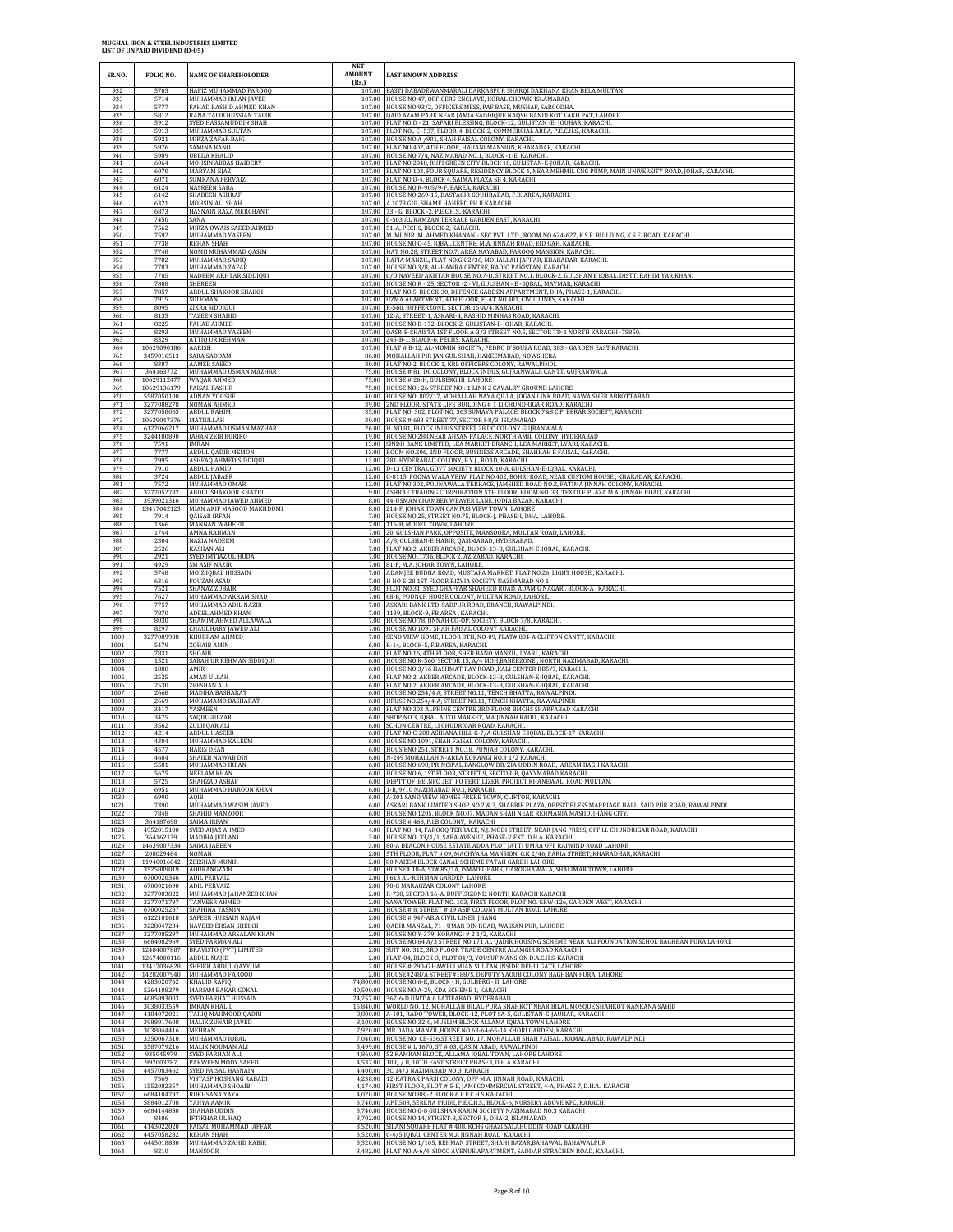$\overline{1}$ 

| SR.NO.               | FOLIO NO.                        | <b>NAME OF SHAREHOLODER</b>                                           | <b>NET</b><br><b>AMOUNT</b><br>(Rs.) | <b>LAST KNOWN ADDRESS</b>                                                                                                                                                                                                                 |
|----------------------|----------------------------------|-----------------------------------------------------------------------|--------------------------------------|-------------------------------------------------------------------------------------------------------------------------------------------------------------------------------------------------------------------------------------------|
| 932                  | 5703                             | HAFIZ MUHAMMAD FAROOQ                                                 |                                      | 107.00 BASTI DABADEWANMARALI DARKABPUR SHARQI DAKHANA KHAN BELA MULTAN                                                                                                                                                                    |
| 933                  | 5714                             | MUHAMMAD IRFAN JAVED                                                  |                                      | 107.00 HOUSE NO.47, OFFICERS ENCLAVE, KORAL CHOWK, ISLAMABAD.                                                                                                                                                                             |
| 934                  | 5777                             | FAHAD RASHID AHMED KHAN                                               | 107.00                               | 107.00 HOUSE NO.93/2, OFFICERS MESS, PAF BASE, MUSHAF, SARGODHA                                                                                                                                                                           |
| 935                  | 5812                             | RANA TALIB HUSSIAN TALIB                                              |                                      | QAID AZAM PARK NEAR JAMIA SADDIQUE NAQSH BANDI KOT LAKH PAT, LAHORE                                                                                                                                                                       |
| 936                  | 5912                             | SYED HASSAMUDDIN SHAH                                                 |                                      | 107.00 FLAT NO.D - 21, SAFARI BLESSING, BLOCK-12, GULISTAN -E- JOUHAR, KARACHI.                                                                                                                                                           |
| 937                  | 5913                             | MUHAMMAD SULTAN                                                       |                                      | 107.00 PLOT NO, C -537, FLOOR-4, BLOCK-2, COMMERCIAL AREA, P.E.C.H.S., KARACHI.                                                                                                                                                           |
| 938                  | 5921                             | MIRZA ZAFAR BAIG                                                      |                                      | 107.00 HOUSE NO.A /901, SHAH FAISAL COLONY, KARACHI.                                                                                                                                                                                      |
| 939                  | 5976                             | SAMINA BANO                                                           |                                      | 107.00 FLAT NO.402, 4TH FLOOR, HAJIANI MANSION, KHARADAR, KARACHI.                                                                                                                                                                        |
| 940                  | 5989                             | <b>UBEDA KHALID</b>                                                   |                                      | 107.00 HOUSE NO.7/4, NAZIMABAD NO.1, BLOCK -1-E, KARACHI.                                                                                                                                                                                 |
| 941<br>942<br>943    | 6064<br>6070<br>6071             | MOHSIN ABBAS HAIDERY<br>MARYAM EJAZ<br>SUMRANA PERVAIZ                | 107.00<br>107.00                     | 107.00 FLAT NO.2048, RUFI GREEN CITY BLOCK 18, GULISTAN-E-JOHAR, KARACHI.<br>FLAT NO.103, FOUR SQUARE, RESIDENCY BLOCK 4, NEAR MEHMIL CNG PUMP, MAIN UNIVERSITY ROAD, JOHAR, KARACHI.<br>FLAT NO.D-4, BLOCK 4, SAIMA PLAZA SB 4, KARACHI. |
| 944                  | 6124                             | <b>NASREEN SABA</b>                                                   |                                      | 107.00 HOUSE NO.R-905/9-F, BAREA, KARACHI.                                                                                                                                                                                                |
| 945                  | 6142                             | SHABEEN ASHRAF                                                        |                                      | 107.00 HOUSE NO.269-15, DASTAGIR GOUHRABAD, F.B. AREA, KARACHI.                                                                                                                                                                           |
| 946                  | 6321                             | MOHSIN ALI SHAH                                                       |                                      | 107.00 A 1073 GUL SHAME HAHEED PH II KARACHI                                                                                                                                                                                              |
| 947                  | 6873                             | HASNAIN RAZA MERCHANT                                                 |                                      | 107.00 73 - G, BLOCK - 2, P.E.C.H.S., KARACHI.                                                                                                                                                                                            |
| 948                  | 7450                             | SANA                                                                  |                                      | 107.00 C-503 AL RAMZAN TERRACE GARDEN EAST, KARACHI.                                                                                                                                                                                      |
| 949                  | 7562                             | MIRZA OWAIS SAEED AHMED                                               |                                      | 107.00 51-A, PECHS, BLOCK-2, KARACHI.                                                                                                                                                                                                     |
| 950                  | 7592                             | MUHAMMAD YASEEN                                                       |                                      | 107.00   M. MUNIR M. AHMED KHANANI- SEC PVT. LTD., ROOM NO.624-627, K.S.E. BUILDING, K.S.E. ROAD, KARACHI                                                                                                                                 |
| 951                  | 7738                             | <b>REHAN SHAH</b>                                                     |                                      | 107.00 HOUSE NO.C-45, IQBAL CENTRE, M.A. JINNAH ROAD, EID GAH, KARACHI.                                                                                                                                                                   |
| 952                  | 7748                             | NOMII MUHAMMAD QASIM                                                  |                                      | 107.00 HAT NO.28, STREET NO.7, AREA NAYABAD, FAROOQ MANSION. KARACHI.                                                                                                                                                                     |
| 953                  | 7782                             | MUHAMMAD SADIQ                                                        | 107.00                               | RAFIA MANZIL, FLAT NO.GK 2/36, MOHALLAH JAFFAR, KHARADAR, KARACHI.                                                                                                                                                                        |
| 954                  | 7783                             | MUHAMMAD ZAFAR                                                        |                                      | 107.00 HOUSE NO.3/8, AL-HAMRA CENTRE, RADIO PAKISTAN, KARACHI.                                                                                                                                                                            |
| 955<br>956<br>957    | 7785<br>7808<br>7857             | NADEEM AKHTAR SIDDIQUI<br><b>SHEREEN</b>                              |                                      | 107.00 C/O NAVEED AKHTAR HOUSE NO.7-D, STREET NO.1, BLOCK-2, GULSHAN E IQBAL, DISTT. RAHIM YAR KHAN<br>107.00 HOUSE NO.R - 25, SECTOR -2 - VI, GULSHAN - E - IQBAL, MAYMAR, KARACHI.                                                      |
| 958<br>959           | 7915<br>8095                     | ABDUL SHAKOOR SHAIKH<br>SULEMAN<br>ZIKRA SIDDIQUI                     |                                      | 107.00 FLAT NO.5, BLOCK-30, DEFENCE GARDEN APPARTMENT, DHA, PHASE-1, KARACHI.<br>107.00 UZMA APARTMENT, 4TH FLOOR, FLAT NO.401, CIVIL LINES, KARACHI.<br>107.00 R-560, BUFFERZONE, SECTOR 15-A/4, KARACHI.                                |
| 960                  | 8135                             | <b>TAZEEN SHAHID</b>                                                  | 107.00                               | 12-A, STREET-1, ASKARI-4, RASHID MINHAS ROAD, KARACHI                                                                                                                                                                                     |
| 961                  | 8225                             | FAHAD AHMED                                                           |                                      | 107.00 HOUSE NO.B-172, BLOCK-2, GULISTAN-E-JOHAR, KARACHI.                                                                                                                                                                                |
| 962                  | 8293                             | MUHAMMAD YASEEN                                                       |                                      | 107.00 QASR-E-SHAISTA 1ST FLOOR A-3/3 STREET NO.5, SECTOR TD-1 NORTH KARACHI -75850                                                                                                                                                       |
| 963                  | 8329                             | ATTIQ UR REHMAN                                                       |                                      | 107.00 245-B-1, BLOCK-6, PECHS, KARACHI.                                                                                                                                                                                                  |
| 964                  | 10629090186                      | AARISH                                                                |                                      | 107.00 FLAT # B-12, AL-MOMIN SOCIETY, PEDRO D'SOUZA ROAD, 383 - GARDEN EAST KARACHI                                                                                                                                                       |
| 965                  | 3459016513                       | <b>SARA SADDAM</b>                                                    |                                      | 86.00 MOHALLAH PIR JAN GUL SHAH, HAKEEMABAD, NOWSHERA                                                                                                                                                                                     |
| 966                  | 8387                             | <b>AAMER SAEED</b>                                                    |                                      | 80.00 FLAT NO.2, BLOCK-1, KRL OFFICERS COLONY, RAWALPINDI.                                                                                                                                                                                |
| 967                  | 364163772                        | MUHAMMAD USMAN MAZHAR                                                 | 75.00                                | HOUSE # 81, DC COLONY, BLOCK INDUS, GUJRANWALA CANTT, GUJRANWALA                                                                                                                                                                          |
| 968                  | 10629112477                      | WAQAR AHMED                                                           | 75.00                                | HOUSE # 26-H, GULBERG III LAHORE                                                                                                                                                                                                          |
| 969                  | 10629136179                      | <b>FAISAL BASHIR</b>                                                  | 40.00                                | 75.00 HOUSE NO: 26 STREET NO: 1 LINK 2 CAVALRY GROUND LAHORE                                                                                                                                                                              |
| 970                  | 5587050100                       | ADNAN YOUSUF                                                          |                                      | HOUSE NO. 802/17, MOHALLAH NAYA QILLA, JOGAN LINK ROAD, NAWA SHER ABBOTTABAD                                                                                                                                                              |
| 971                  | 3277088278                       | <b>NOMAN AHMED</b>                                                    | 39.00                                | 2ND FLOOR, STATE LIFE BUILDING # 1 I.I.CHUNDRIGAR ROAD, KARACHI                                                                                                                                                                           |
| 972                  | 3277058065                       | <b>ABDUL RAHIM</b>                                                    |                                      | 35.00 FLAT NO. 302, PLOT NO. 363 SUMAYA PALACE, BLOCK 7&8 C.P. BERAR SOCIETY, KARACHI                                                                                                                                                     |
| 973                  | 10629047376                      | MATIULLAH                                                             |                                      | 30.00 HOUSE # 683 STREET 77, SECTOR I-8/3 ISLAMABAD                                                                                                                                                                                       |
| 974                  | 6122066217                       | MUHAMMAD USMAN MAZHAR                                                 | 26.00                                | H. NO.81, BLOCK INDUS STREET 28 DC COLONY GUJRANWALA                                                                                                                                                                                      |
| 975                  | 3244100890                       | <b>JAHAN ZEIB BURIRO</b>                                              | 19.00                                | HOUSE NO.288, NEAR AHSAN PALACE, NORTH AMIL COLONY, HYDERABAD                                                                                                                                                                             |
| 976<br>977<br>978    | 7591<br>7777                     | <b>IMRAN</b><br>ABDUL QADIR MEMON                                     | 13.00<br>13.00                       | SINDH BANK LIMITED, LEA MARKET BRANCH, LEA MARKET, LYARI, KARACHI<br>13.00 ROOM NO.206, 2ND FLOOR, BUSINESS ARCADE, SHAHRAH E FAISAL, KARACHI.                                                                                            |
| 979<br>980           | 7995<br>7910<br>3724             | ASHFAQ AHMED SIDDIQUI<br>ABDUL HAMID<br>ABDUL JABABR                  |                                      | 281-HYDERABAD COLONY, B.Y.J , ROAD, KARACHI<br>12.00 D-13 CENTRAL GOVT SOCIETY BLOCK 10-A, GULSHAN-E-IQBAL, KARACHI.<br>12.00 G-8115, POONA WALA VEIW, FLAT NO.402, BOHRI ROAD, NEAR CUSTOM HOUSE, KHARADAR, KARACHI.                     |
| 981                  | 7572                             | MUHAMMAD OMAR                                                         |                                      | 12.00 FLAT NO.302, POUNAWALA TERRACE, JAMSHED ROAD NO.2, FATIMA JINNAH COLONY, KARACHI.                                                                                                                                                   |
| 982                  | 3277052782                       | ABDUL SHAKOOR KHATRI                                                  |                                      | 9.00 ASHRAF TRADING CORPORATION 5TH FLOOR, ROOM NO. 33, TEXTILE PLAZA M.A. JINNAH ROAD, KARACHI                                                                                                                                           |
| 983                  | 3939021316                       | MUHAMMAD IAWED AHMED                                                  |                                      | 8.00 44-USMAN CHAMBER.WEAVER LANE, JODIA BAZAR, KARACHI                                                                                                                                                                                   |
| 984                  | 13417042123                      | MIAN ARIF MASOOD MAKHDUMI                                             |                                      | 8.00 214-F, JOHAR TOWN CAMPUS VIEW TOWN LAHORE                                                                                                                                                                                            |
| 985                  | 7914                             | <b>OAISAR IRFAN</b>                                                   | 7.00                                 | HOUSE NO.25, STREET NO.75, BLOCK-J, PHASE-I, DHA, LAHORE                                                                                                                                                                                  |
| 986                  | 1366                             | MANNAN WAHEED                                                         |                                      | 7.00 116-B, MODEL TOWN, LAHORE.                                                                                                                                                                                                           |
| 987                  | 1744                             | AMNA RAHMAN                                                           |                                      | 7.00 20, GULSHAN PARK, OPPOSITE, MANSOORA, MULTAN ROAD, LAHORE                                                                                                                                                                            |
| 988                  | 2304                             | NAZIA NADEEM                                                          |                                      | 7.00 A/8, GULSHAN-E-HABIB, QASIMABAD, HYDERABAD.                                                                                                                                                                                          |
| 989                  | 2526                             | <b>KASHAN ALI</b>                                                     |                                      | 7.00 FLAT NO.2, AKBER ARCADE, BLOCK-13-B, GULSHAN-E-IQBAL, KARACHI.                                                                                                                                                                       |
| 990                  | 2921                             | SYED IMTIAZ UL HUDA                                                   |                                      | 7.00 HOUSE NO. 1736, BLOCK 2, AZIZABAD, KARACHI.                                                                                                                                                                                          |
| 991                  | 4929                             | SM ASIF NAZIR                                                         |                                      | 7.00 81-P, M.A. JOHAR TOWN, LAHORE.                                                                                                                                                                                                       |
| 992<br>993<br>994    | 5748<br>6316<br>7521             | MOIZ IQBAL HUSSAIN<br><b>FOUZAN ASAD</b><br>SHANAZ ZUBAIR             | 7.00<br>7.00                         | ADAMJEE BUDHA ROAD, MUSTAFA MARKET, FLAT NO.26, LIGHT HOUSE, KARACHI<br>H NO E-28 1ST FLOOR RIZVIA SOCIETY NAZIMABAD NO 1<br>7.00 PLOT NO.31, SYED GHAFFAR SHAHEED ROAD, ADAM G NAGAR, BLOCK-A, KARACHI                                   |
| 995                  | 7627                             | MUHAMMAD AKRAM SHAD                                                   | 7.00                                 | 68-B, POUNCH HOUSE COLONY, MULTAN ROAD, LAHORE.                                                                                                                                                                                           |
| 996                  | 7757                             | MUHAMMAD ADIL NAZIR                                                   | 7.00                                 | ASKARI BANK LTD. SADPUR ROAD, BRANCH, RAWALPINDI                                                                                                                                                                                          |
| 997                  | 7870                             | ADEEL AHMED KHAN                                                      |                                      | 7.00 1139, BLOCK-9, FB AREA, KARACHI.                                                                                                                                                                                                     |
| 998                  | 8030                             | SHAMIM AHMED ALLAWALA                                                 |                                      | 7.00 HOUSE NO.78, JINNAH CO-OP. SOCIETY, BLOCK 7/8, KARACHI.                                                                                                                                                                              |
| 999                  | 8297                             | CHAUDHARY JAWED ALI                                                   | 7.00                                 | HOUSE NO.1091 SHAH FAISAL COLONY KARACHI.                                                                                                                                                                                                 |
| 1000                 | 3277089988                       | KHURRAM AHMED                                                         | 7.00                                 | SEND VIEW HOME, FLOOR 8TH, NO-09, FLAT# 804-A CLIFTON CANTT, KARACHI                                                                                                                                                                      |
| 1001                 | 5479                             | ZOHAIB AMIN                                                           | 6.00                                 | R-14, BLOCK-5, F.B.AREA, KARACHI.                                                                                                                                                                                                         |
| 1002                 | 7831                             | SHOAIB                                                                | 6.00                                 | 6.00 FLAT NO.16, 4TH FLOOR, SHER BANO MANZIL, LYARI, KARACHI.                                                                                                                                                                             |
| 1003                 | 1521                             | SABAH UR REHMAN SIDDIQUI                                              |                                      | HOUSE NO.K-560, SECTOR 15, A/4 MOH,BABERZONE, NORTH NAZIMABAD, KARACHI.                                                                                                                                                                   |
| 1004                 | 1888                             | AMIR                                                                  |                                      | 6.00 HOUSE NO.3/16 HASHMAT RAY ROAD , KALI CENTER RB5/7, KARACHI.                                                                                                                                                                         |
| 1005                 | 2525                             | AMAN ULLAH                                                            |                                      | 6.00 FLAT NO.2, AKBER ARCADE, BLOCK-13-B, GULSHAN-E-IQBAL, KARACHI.                                                                                                                                                                       |
| 1006                 | 2530                             | ZEESHAN ALI                                                           |                                      | 6.00 FLAT NO.2, AKBER ARCADE, BLOCK-13-B, GULSHAN-E-IQBAL, KARACHI.                                                                                                                                                                       |
| 1007                 | 2668                             | MADIHA BASHARAT                                                       |                                      | 6.00 HOUSE NO.254/4 A, STREET NO.11, TENCH BHATTA, RAWALPINDI.                                                                                                                                                                            |
| 1008                 | 2669                             | MOHAMAMD BASHARAT                                                     |                                      | 6.00 HPUSE NO.254/4-A, STREET NO.11, TENCH KHATTA, RAWALPINDI                                                                                                                                                                             |
| 1009                 | 3417                             | YASMEEN                                                               | 6.00                                 | FLAT NO.303 ALPHINE CENTRE 3RD FLOOR BMCHS SHARFABAD KARACHI                                                                                                                                                                              |
| 1010                 | 3475                             | SAQIB GULZAR                                                          | 6.00                                 | SHOP NO.3, IQBAL AUTO MARKET, MA JINNAH RAOD , KARACHI.                                                                                                                                                                                   |
| 1011<br>1012         | 3562<br>4214<br>4304             | ZULIFQAR ALI<br><b>ABDUL HASEEE</b>                                   | 6.00                                 | SCHON CENTRE, LI CHUDRIGAR ROAD, KARACHI.<br>6.00 FLAT NO.C-208 ASHIANA HILL G-7/A GULSHAN E IQBAL BLOCK-17 KARACHI                                                                                                                       |
| 1013<br>1014<br>1015 | 4577<br>4684                     | MUHAMMAD KALEEM<br><b>HARIS DEAN</b><br>SHAIKH NAWAB DIN              |                                      | 6.00 HOUSE NO.1091, SHAH FAISAL COLONY, KARACHI.<br>6.00 HOUS ENO.251, STREET NO.18, PUNJAB COLONY, KARACHI<br>6.00 N-249 MOHALLAH N-AREA KORANGI NO.3 1/2 KARACHI                                                                        |
| 1016                 | 5581                             | MUHAMMAD IRFAN                                                        | 6.00                                 | 6.00 HOUSE NO.698. PRINCIPAL BANGLOW DR. ZIA UDDIN ROAD. AREAM BAGH KARACHI                                                                                                                                                               |
| 1017                 | 5675                             | <b>NEELAM KHAN</b>                                                    |                                      | HOUSE NO.6, 1ST FLOOR, STREET 9, SECTOR-B, QAYYMABAD KARACHI.                                                                                                                                                                             |
| 1018<br>1019         | 5725<br>6951<br>6990             | SHAHZAD ASHAF<br>MUHAMMAD HAROON KHAN                                 |                                      | 6.00 DEPTT OF ,EE ,NFC ,IET, PO FERTILIZER, PROJECT KHANEWAL, ROAD MULTAN<br>6.00 1-B, 9/10 NAZIMABAD NO.1, KARACHI.<br>6.00 A-201 SAND VIEW HOMES FRERE TOWN, CLIFTON, KARACHI.                                                          |
| 1020<br>1021<br>1022 | 7390<br>7848                     | AQIB<br>MUHAMMAD WASIM JAVED<br>SHAHID MANZOOR                        |                                      | 6.00 ASKARI BANK LIMITED SHOP NO.2 & 3, SHABBIR PLAZA, OPPSIT BLESS MARRIAGE HALL, SAID PUR ROAD, RAWALPINDI<br>6.00 HOUSE NO.1205, BLOCK NO.07, MADAN SHAH NEAR REHMANIA MASJID, JHANG CITY.                                             |
| 1023                 | 364187698                        | SAIMA IRFAN                                                           |                                      | 6.00 HOUSE #468, P.I.B COLONY, KARACHI                                                                                                                                                                                                    |
| 1024                 | 4952015190                       | SYED AIJAZ AHMED                                                      |                                      | 4.00 FLAT NO. 14, FAROOQ TERRACE, N.J. MODI STREET, NEAR JANG PRESS, OFF LL CHUNDRIGAR ROAD, KARACHI                                                                                                                                      |
| 1025                 | 364162139                        | MADIHA JEELANI                                                        |                                      | 3.00 HOUSE NO. 33/1/1, SABA AVENUE, PHASE-V EXT. D.H.A. KARACHI                                                                                                                                                                           |
| 1026                 | 14639007334                      | SAIMA JABEEN                                                          |                                      | 3.00 80-A BEACON HOUSE ESTATE ADDA PLOT JATTI UMRA OFF RAIWIND ROAD LAHORE                                                                                                                                                                |
| 1027                 | 208029484                        | NOMAN                                                                 |                                      | 2.00 STH FLOOR, FLAT # 09, MACHYARA MANSION, G.K 2/46, PARIA STREET, KHARADHAR, KARACHI                                                                                                                                                   |
| 1028                 | 11940016042                      | ZEESHAN MUNIR                                                         | 2.00                                 | 80 NAEEM BLOCK CANAL SCHEME FATAH GARDH LAHORE                                                                                                                                                                                            |
| 1029                 | 3525089019                       | AOURANGZAIB                                                           |                                      | 2.00 HOUSE# 18-A, ST# 85/1A, ISMAIEL PARK, DAROGHAWALA, SHALIMAR TOWN, LAHORE                                                                                                                                                             |
| 1030                 | 6700020346                       | ADIL PERVAIZ                                                          |                                      | 2.00 J 613 AL-REHMAN GARDEN LAHORE                                                                                                                                                                                                        |
| 1031                 | 6700021690                       | <b>ADIL PERVAIZ</b>                                                   |                                      | 2.00 70-G MARAGZAR COLONY LAHORE                                                                                                                                                                                                          |
| 1032                 | 3277083822                       | MUHAMMAD JAHANZEB KHAN                                                |                                      | 2.00 R-738, SECTOR 16-A, BUFFERZONE, NORTH KARACHI KARACHI                                                                                                                                                                                |
| 1033                 | 3277071797                       | <b>TANVEER AHMED</b>                                                  |                                      | 2.00 SANA TOWER, FLAT NO. 103, FIRST FLOOR, PLOT NO. GRW-126, GARDEN WEST, KARACHI.                                                                                                                                                       |
| 1034                 | 6700025287                       | SHAHINA YASMIN                                                        |                                      | 2.00 HOUSE # 8, STREET # 19 ASIF COLONY MULTAN ROAD LAHORE                                                                                                                                                                                |
| 1035                 | 6122101618                       | SAFEER HUSSAIN NAJAM                                                  | 2.00                                 | HOUSE # 947-AB.A CIVIL LINES JHANG                                                                                                                                                                                                        |
| 1036                 | 3228047234                       | <b>NAVEED EHSAN SHEIKH</b>                                            |                                      | 2.00 QADIR MANZAL, 71 - UMAR DIN ROAD, WASSAN PUR, LAHORE                                                                                                                                                                                 |
| 1037                 | 3277085297                       | MUHAMMAD ARSALAN KHAN                                                 |                                      | 2.00 HOUSE NO.Y-379, KORANGI # 2 1/2, KARACHI                                                                                                                                                                                             |
| 1038                 | 6684082969                       | SYED FARMAN ALI                                                       |                                      | 2.00 HOUSE NO.64 A/3 STREET NO.171 AL QADIR HOUSING SCHEME NEAR ALI FOUNDATION SCHOL BAGHBAN PURA LAHORE                                                                                                                                  |
| 1039                 | 12484007807                      | BRAVISTO (PVT) LIMITED                                                |                                      | 2.00 SUIT NO. 312, 3RD FLOOR TRADE CENTRE ALAMGIR ROAD KARACHI                                                                                                                                                                            |
| 1040                 | 12674008116                      | <b>ABDUL MAJID</b>                                                    |                                      | 2.00 FLAT-04, BLOCK-3, PLOT 84/3, YOUSUF MANSION D.A.C.H.S, KARACHI                                                                                                                                                                       |
| 1041                 | 13417036828                      | SHEIKH ABDUL QAYYUM                                                   |                                      | 2.00 HOUSE # 290-G HAWELI MIAN SULTAN INSIDE DEHLI GATE LAHORE                                                                                                                                                                            |
| 1042                 | 14282007940                      | MUHAMMAD FAROOQ                                                       | 2.00                                 | HOUSE#248/A STREET#188/S, DEPUTY YAQUB COLONY BAGHBAN PURA, LAHORE                                                                                                                                                                        |
| 1043                 | 4283020762                       | <b>KHALID RAFIQ</b>                                                   |                                      | 74,800.00 HOUSE NO.6-K, BLOCK - H, GULBERG - II, LAHORE                                                                                                                                                                                   |
| 1044                 | 5264108279                       | MARIAM BAKAR GOKAL                                                    |                                      | 40,500.00 HOUSE NO.A-29, KDA SCHEME 1, KARACHI                                                                                                                                                                                            |
| 1045                 | 4085093003                       | SYED FARHAT HUSSAIN                                                   |                                      | 24,257.00 367-6-D UNIT # 6 LATIFABAD HYDERABAD                                                                                                                                                                                            |
| 1046                 | 3038033559                       | <b>IMRAN KHALIL</b>                                                   | 15.840.00                            | WORLD NO. 12, MOHALLAH BILAL PURA SHAHKOT NEAR BILAL MOSQUE SHAHKOT NANKANA SAHIB                                                                                                                                                         |
| 1047                 | 4184072021                       | TARIQ MAHMOOD QADRI                                                   |                                      | 8,800.00 A-101, RADO TOWER, BLOCK-12, PLOT SA-5, GULISTAN-E-JAUHAR, KARACHI                                                                                                                                                               |
| 1048                 | 3988017608                       | MALIK ZUNAIR JAVED                                                    |                                      | 8,100.00 HOUSE NO 32-C, MUSLIM BLOCK ALLAMA IQBAL TOWN LAHORE                                                                                                                                                                             |
| 1049                 | 3038044416                       | MEHRAN                                                                |                                      | 7,920.00 MR DADA MANZIL, HOUSE NO 63-64-65-14 KHORI GARDEN, KARACHI                                                                                                                                                                       |
| 1050                 | 3350067310                       | MUHAMMAD IQBAL                                                        |                                      | 7,040.00 HOUSE NO. CB-536,STREET NO. 17, MOHALLAH SHAH FAISAL , KAMAL ABAD, RAWALPINDI                                                                                                                                                    |
| 1051                 | 5587079216                       | MALIK NOUMAN ALI                                                      |                                      | 5,499.00 HOUSE # L 1670, ST # 03, QASIM ABAD, RAWALPINDI                                                                                                                                                                                  |
| 1052                 | 935045979                        | SYED FARHAN ALI                                                       |                                      | 4,860.00 52 KAMRAN BLOCK, ALLAMA IQBAL TOWN, LAHORE LAHORE                                                                                                                                                                                |
| 1053<br>1054<br>1055 | 992003287<br>4457083462<br>7569  | PARWEEN MODY SAEED<br>SYED FAISAL HASNAIN<br>VISTASP HOSHANG RABADI   | 4,537.00<br>4.400.00                 | 10 Q / II, 10TH EAST STREET PHASE I, D H A KARACHI<br>3C 14/3 NAZIMABAD NO 3 KARACHI<br>4,238.00 12-KATRAK PARSI COLONY, OFF M.A. JINNAH ROAD, KARACHI.                                                                                   |
| 1056                 | 1552082357                       | MUHAMMAD SHOAIB                                                       |                                      | 4,174.00 FIRST FLOOR, PLOT # 5-E, JAMI COMMERCIAL STREET, 4-A, PHASE 7, D.H.A., KARACHI                                                                                                                                                   |
| 1057                 | 6684104797                       | RUKHSANA YAYA                                                         |                                      | 4,020.00 HOUSE NO.88J-2 BLOCK 6 P.E.C.H.S KARACHI                                                                                                                                                                                         |
| 1058                 | 5884012708                       | YAHYA AAMIR                                                           |                                      | 3,740.00 APT,503, SERENA PRIDE, P.E.C.H.S., BLOCK-6, NURSERY ABOVE KFC, KARACHI                                                                                                                                                           |
| 1059                 | 6684144850                       | SHAHAB UDDIN                                                          |                                      | 3,740.00 HOUSE NO.G-8 GULSHAN KARIM SOCIETY NAZIMABAD NO.3 KARACHI                                                                                                                                                                        |
| 1060<br>1061<br>1062 | 8406<br>4143022020<br>4457058282 | <b>IFTIKHAR UL HAQ</b><br>FAISAL MUHAMMAD JAFFAR<br><b>REHAN SHAH</b> | 3,702.00<br>3.520.00                 | HOUSE NO.14, STREET-8, SECTOR F, DHA-2, ISLAMABAD.<br>SILANI SQUARE FLAT # 408, KCHS GHAZI SALAHUDDIN ROAD KARACHI<br>3,520.00 C-4/5 IQBAL CENTER M.A JINNAH ROAD KARACHI                                                                 |
| 1063                 | 6445018830                       | MUHAMMAD ZAHID KABIR                                                  |                                      | 3,520.00 HOUSE NO.1/105, REHMAN STREET, SHAHI BAZAR, BAHAWAL BAHAWALPUR                                                                                                                                                                   |
| 1064                 | 8210                             | <b>MANSOOR</b>                                                        |                                      | 3,482.00 FLAT NO.A-6/4, SIDCO AVENUE APARTMENT, SADDAR STRACHEN ROAD, KARACHI.                                                                                                                                                            |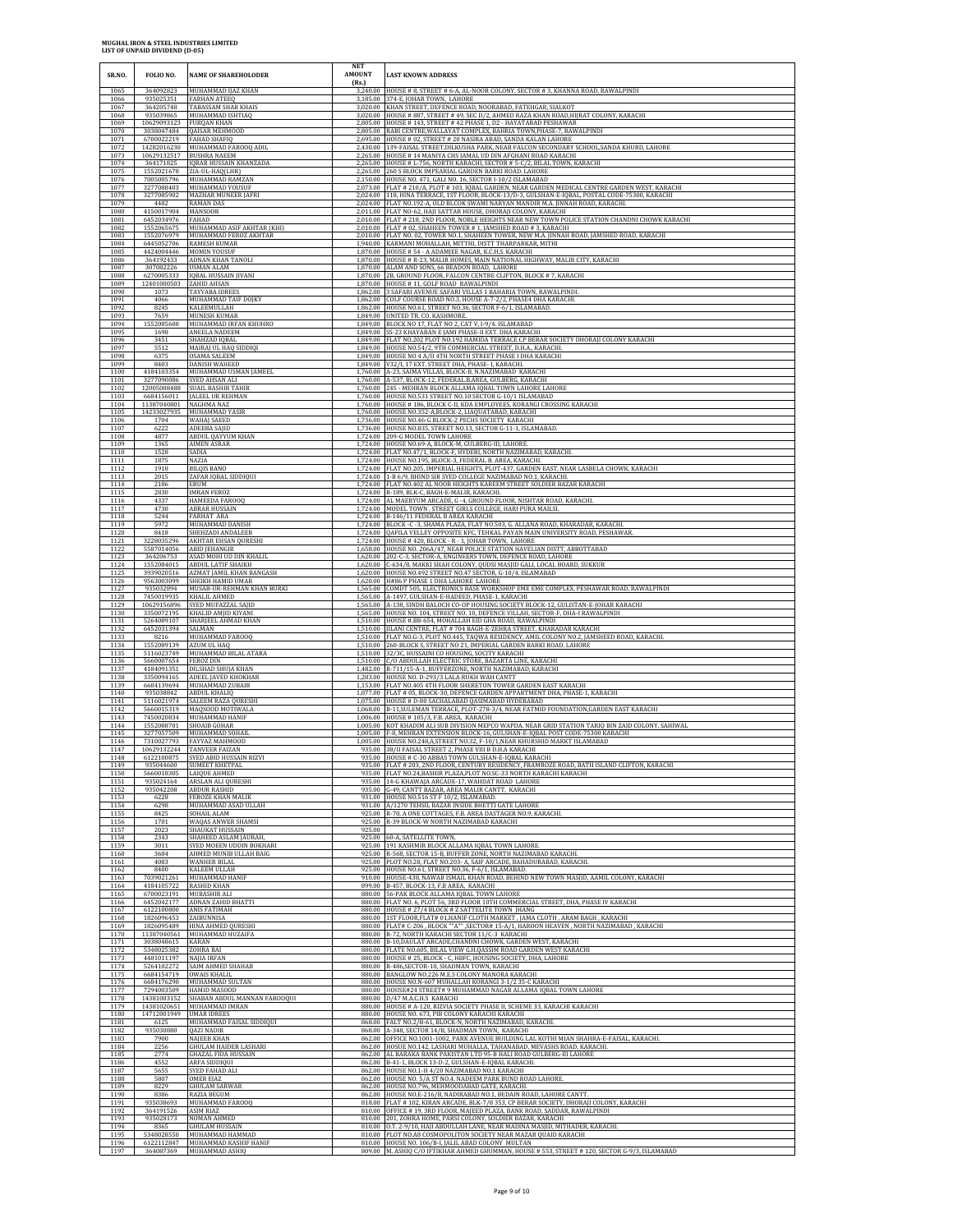| SR.NO.               | FOLIO NO.                                | <b>NAME OF SHAREHOLODER</b>                                        | <b>NET</b><br><b>AMOUNT</b><br>(Rs.) | <b>LAST KNOWN ADDRESS</b>                                                                                                                                                                                                      |
|----------------------|------------------------------------------|--------------------------------------------------------------------|--------------------------------------|--------------------------------------------------------------------------------------------------------------------------------------------------------------------------------------------------------------------------------|
| 1065                 | 364092823                                | MUHAMMAD IJAZ KHAN                                                 | 3,240.00                             | HOUSE # 8, STREET # 6-A, AL-NOOR COLONY, SECTOR # 3, KHANNA ROAD, RAWALPINDI                                                                                                                                                   |
| 1066                 | 935025351                                | <b>FARHAN ATEEQ</b>                                                |                                      | 3,185.00 374-E, JOHAR TOWN, LAHORE                                                                                                                                                                                             |
| 1067                 | 364205748                                | <b>TABASSAM SHAB KHAIS</b>                                         |                                      | 3,020.00 KHAN STREET, DEFENCE ROAD, NOORABAD, FATEHGAR, SIALKOT                                                                                                                                                                |
| 1068                 | 935039865                                | MUHAMMAD ISHTIAQ                                                   |                                      | 3,020.00 HOUSE # 887, STREET # 49, SEC D/2, AHMED RAZA KHAN ROAD, HIJRAT COLONY, KARACHI                                                                                                                                       |
| 1069                 | 10629093123                              | <b>FURQAN KHAN</b>                                                 |                                      | 2,805.00 HOUSE # 143, STREET # 42 PHASE 1, D2 - HAYATABAD PESHAWAR                                                                                                                                                             |
| 1070                 | 3038047484                               | QAISAR MEHMOOD                                                     |                                      | 2,805.00 RABI CENTRE, WALLAYAT COMPLEX, BAHRIA TOWN, PHASE-7, RAWALPINDI                                                                                                                                                       |
| 1071<br>1072<br>1073 | 6700022219<br>14282016230<br>10629132517 | <b>FAHAD SHAFIQ</b><br>MUHAMMAD FAROOQ ADIL<br><b>BUSHRA NAEEM</b> | 2.430.00<br>2,265.00                 | 2,695.00 HOUSE # 02, STREET # 20 NASIRA ABAD, SANDA KALAN LAHORE<br>139-FAISAL STREET, DILKUSHA PARK, NEAR FALCON SECONDARY SCHOOL, SANDA KHURD, LAHORE<br>HOUSE # 14 MANIYA CHS JAMAL UD DIN AFGHANI ROAD KARACHI             |
| 1074                 | 364171825                                | <b>IQRAR HUSSAIN KHANZADA</b>                                      |                                      | 2,265.00 HOUSE # L-756, NORTH KARACHI, SECTOR # 5-C/2, BILAL TOWN, KARACHI                                                                                                                                                     |
| 1075                 | 1552021678                               | ZIA-UL-HAQ(LHR)                                                    |                                      | 2,265.00 260 S BLOCK IMPEARIAL GARDEN BARKI ROAD. LAHORE                                                                                                                                                                       |
| 1076                 | 7005005796                               | MUHAMMAD RAMZAN                                                    |                                      | 2,150.00 HOUSE NO. 471, GALI NO. 16, SECTOR I-10/2 ISLAMABAD                                                                                                                                                                   |
| 1077                 | 3277088403                               | MUHAMMAD YOUSUF                                                    |                                      | 2,073.00 FLAT # 210/A, PLOT # 103, IQBAL GARDEN, NEAR GARDEN MEDICAL CENTRE GARDEN WEST, KARACHI                                                                                                                               |
| 1078                 | 3277085902                               | <b>MAZHAR MUNEER JAFRI</b>                                         | 2.024.00                             | 2,024.00 118, HINA TERRACE, 1ST FLOOR, BLOCK-13/D-3, GULSHAN-E-IQBAL, POSTAL CODE-75300, KARACHI                                                                                                                               |
| 1079                 | 4482                                     | RAMAN DAS                                                          |                                      | FLAT NO.192-A, OLD BLCOK SWAMI NARYAN MANDIR M.A. JINNAH ROAD, KARACHI.                                                                                                                                                        |
| 1080<br>1081<br>1082 | 4150017904<br>6452034976                 | <b>MANSOOR</b><br>FAHAD<br>MUHAMMAD ASIF AKHTAR (KHI)              | 2,011.00                             | FLAT NO-62, HAJI SATTAR HOUSE, DHORAJI COLONY, KARACHI<br>2,010.00 FLAT # 218, 2ND FLOOR, NOBLE HEIGHTS NEAR NEW TOWN POLICE STATION CHANDNI CHOWK KARACHI<br>2,010.00 FLAT # 02, SHAHEEN TOWER # 1, JAMSHED ROAD # 3, KARACHI |
| 1083<br>1084         | 1552065675<br>1552076979<br>6445052706   | MUHAMMAD FEROZ AKHTAR<br><b>RAMESH KUMAR</b>                       |                                      | 2,010.00 FLAT NO. 02, TOWER NO.1, SHAHEEN TOWER, NEW M.A. JINNAH ROAD, JAMSHED ROAD, KARACHI<br>1,940.00 KARMANI MOHALLAH, MITTHI, DISTT THARPARKAR, MITHI                                                                     |
| 1085                 | 4424004446                               | <b>MOMIN YOUSUF</b>                                                |                                      | 1,870.00 HOUSE # 54 - A ADAMIEE NAGAR, K.C.H.S. KARACHI                                                                                                                                                                        |
| 1086                 | 364192433                                | <b>ADNAN KHAN TANOLI</b>                                           |                                      | 1,870.00 HOUSE # R-23, MALIR HOMES, MAIN NATIONAL HIGHWAY, MALIR CITY, KARACHI                                                                                                                                                 |
| 1087                 | 307082226                                | USMAN ALAM                                                         |                                      | 1,870.00 ALAM AND SONS, 66 BEADON ROAD, LAHORE                                                                                                                                                                                 |
| 1088                 | 6270005333                               | <b>IQBAL HUSSAIN JIVANI</b>                                        |                                      | 1,870.00 2B, GROUND FLOOR, FALCON CENTRE CLIFTON, BLOCK # 7, KARACHI                                                                                                                                                           |
| 1089                 | 12401000503                              | ZAHID AHSAN                                                        | 1.862.00                             | 1,870.00 HOUSE #11, GOLF ROAD RAWALPINDI                                                                                                                                                                                       |
| 1090                 | 1073                                     | TAYYABA IDREES                                                     |                                      | 3 SAFARI AVENUE SAFARI VILLAS 1 BAHARIA TOWN, RAWALPINDI                                                                                                                                                                       |
| 1091                 | 4066                                     | MUHAMMAD TAIF DOJKY                                                |                                      | 1,862.00 COLF COURSE ROAD NO.3, HOUSE A-7-2/2, PHASE4 DHA KARACHI.                                                                                                                                                             |
| 1092                 | 8245                                     | KALEEMULLAH                                                        |                                      | 1,862.00 HOUSE NO.61, STREET NO.36, SECTOR F-6/1, ISLAMABAD                                                                                                                                                                    |
| 1093                 | 7659                                     | <b>MUNESH KUMAR</b>                                                |                                      | 1,849.00 UNITED TR. CO. KASHMORE.                                                                                                                                                                                              |
| 1094                 | 1552085608                               | MUHAMMAD IRFAN KHUHRO                                              |                                      | 1,849.00 BLOCK NO 17, FLAT NO 2, CAT V, I-9/4. ISLAMABAD                                                                                                                                                                       |
| 1095                 | 1698                                     | ANEELA NADEEM                                                      |                                      | 1,849.00 SS-23 KHAYABAN E JAMI PHASE-II EXT. DHA KARACHI                                                                                                                                                                       |
| 1096                 | 3451                                     | SHAHZAD IQBAL                                                      | 1.849.00                             | 1,849.00 FLAT NO.202 PLOT NO.192 HAMIDA TERRACE CP BERAR SOCIETY DHORAJI COLONY KARACHI                                                                                                                                        |
| 1097                 | 5512                                     | MAIRAJ UL HAQ SIDDIQI                                              |                                      | HOUSE NO.54/2, 9TH COMMERCIAL STREET, D.H.A., KARACHI                                                                                                                                                                          |
| 1098                 | 6375                                     | OSAMA SALEEM                                                       |                                      | 1,849.00 HOUSE NO 4 A/II 4TH NORTH STREET PHASE I DHA KARACHI                                                                                                                                                                  |
| 1099                 | 8403                                     | <b>DANISH WAHEED</b>                                               |                                      | 1,849.00 V32/I, 17 EXT. STREET DHA, PHASE- I, KARACHI                                                                                                                                                                          |
| 1100                 | 4184103354                               | MUHAMMAD USMAN JAMEEL                                              |                                      | 1,760.00 A-23, SAIMA VILLAS, BLOCK-B, N.NAZIMABAD KARACHI                                                                                                                                                                      |
| 1101                 | 3277090086                               | SYED AHSAN ALI                                                     |                                      | 1,760.00 A-537, BLOCK-12, FEDERAL B.AREA, GULBERG, KARACHI                                                                                                                                                                     |
| 1102                 | 12005008488                              | <b>SUAIL BASHIR TAHIR</b>                                          |                                      | 1,760.00 245 - MEHRAN BLOCK ALLAMA IQBAL TOWN LAHORE LAHORE                                                                                                                                                                    |
| 1103                 | 6684156011                               | <b>JALEEL UR REHMAN</b>                                            | 1.760.00                             | 1,760.00 HOUSE NO.531 STREET NO.10 SECTOR G-10/1 ISLAMABAD                                                                                                                                                                     |
| 1104                 | 11387040801                              | <b>NAGHMA NAZ</b>                                                  |                                      | HOUSE # 186, BLOCK C-II, KDA EMPLOYEES, KORANGI CROSSING KARACHI                                                                                                                                                               |
| 1105                 | 14233027935                              | MUHAMMAD YASIR                                                     |                                      | 1,760.00 HOUSE NO.352-A,BLOCK-2, LIAQUATABAD, KARACHI                                                                                                                                                                          |
| 1106                 | 1704                                     | <b>WAHAJ SAEED</b>                                                 |                                      | 1,736.00 HOUSE NO.46-G BLOCK-2 PECHS SOCIETY KARACHI                                                                                                                                                                           |
| 1107                 | 6222                                     | ADEEBA SAJID                                                       | 1.724.00                             | 1,736.00 HOUSE NO.835, STREET NO.13, SECTOR G-11-1, ISLAMABAD.                                                                                                                                                                 |
| 1108                 | 4877                                     | ABDUL QAYYUM KHAN                                                  |                                      | 209-G MODEL TOWN LAHORE                                                                                                                                                                                                        |
| 1109                 | 1365                                     | <b>AIMEN ASRAR</b>                                                 |                                      | 1,724.00 HOUSE NO.69-A, BLOCK-M, GULBERG-III, LAHORE.                                                                                                                                                                          |
| 1110                 | 1528                                     | SADIA                                                              |                                      | 1,724.00 FLAT NO.47/1, BLOCK-F, HYDERI, NORTH NAZIMABAD, KARACHI.                                                                                                                                                              |
| 1111                 | 1875                                     | NAZIA                                                              |                                      | 1,724.00 HOUSE NO.195, BLOCK-3, FEDERAL B. AREA, KARACHI.                                                                                                                                                                      |
| 1112                 | 1918                                     | <b>BILQIS BANO</b>                                                 |                                      | 1,724.00 FLAT NO.205, IMPERIAL HEIGHTS, PLOT-437, GARDEN EAST, NEAR LASBELA CHOWK, KARACHI                                                                                                                                     |
| 1113                 | 2015                                     | ZAFAR IQBAL SIDDIQUI                                               |                                      | 1,724.00 1-B 6/9, BHIND SIR SYED COLLEGE NAZIMABAD NO.1, KARACHI.                                                                                                                                                              |
| 1114<br>1115         | 2186<br>2830                             | ERUM<br><b>IMRAN FEROZ</b><br>HAMEEDA FAROOC                       | 1,724.00                             | 1,724.00 FLAT NO.402 AL NOOR HEIGHTS KAREEM STREET SOLDIER BAZAR KARACHI<br>R-189, BLK-C, BAGH-E-MALIR, KARACHL                                                                                                                |
| 1116<br>1117<br>1118 | 4337<br>4730<br>5244                     | ABRAR HUSSAIN<br><b>FARHAT ARA</b>                                 |                                      | 1,724.00 AL MAERYUM ARCADE, G -4, GROUND FLOOR, NISHTAR ROAD, KARACHI.<br>1,724.00 MODEL TOWN , STREET GIRLS COLLEGE, HARI PURA MAILSI.<br>1,724.00 B-146/11 FEDERAL B AREA KARACHI                                            |
| 1119                 | 5972                                     | MUHAMMAD DANISH                                                    |                                      | 1,724.00 BLOCK -C -3, SHAMA PLAZA, FLAT NO.503, G. ALLANA ROAD, KHARADAR, KARACHI.                                                                                                                                             |
| 1120                 | 8418                                     | SHEHZADI ANDALEEB                                                  |                                      | 1,724.00 QAFILA VELLEY OPPOSITE KFC, TEHKAL PAYAN MAIN UNIVERSITY ROAD, PESHAWAR                                                                                                                                               |
| 1121                 | 3228035296                               | AKHTAR EHSAN QURESHI                                               | 1.658.00                             | 1,724.00 HOUSE #420, BLOCK - R - 1, JOHAR TOWN, LAHORE                                                                                                                                                                         |
| 1122                 | 5587014056                               | <b>ABID JEHANGIR</b>                                               |                                      | HOUSE NO. 206A/47, NEAR POLICE STATION HAVELIAN DISTT, ABBOTTABAD                                                                                                                                                              |
| 1123                 | 364206753                                | ASAD MOHI UD DIN KHALIL                                            |                                      | 1,620.00 202-C-3, SECTOR-A, ENGINEERS TOWN, DEFENCE ROAD, LAHORE                                                                                                                                                               |
| 1124                 | 1552084015                               | <b>ABDUL LATIF SHAIKH</b>                                          |                                      | 1,620.00 C-634/8, MAKKI SHAH COLONY, QUDSI MASJID GALI, LOCAL BOARD, SUKKUR                                                                                                                                                    |
| 1125                 | 3939020516                               | AZMAT JAMIL KHAN BANGASH                                           |                                      | 1,620.00 HOUSE NO.492 STREET NO.47 SECTOR, G-10/4. ISLAMABAD                                                                                                                                                                   |
| 1126                 | 9563003099                               | SHEIKH HAMID UMAR                                                  |                                      | 1,620.00 H#86 P PHASE 1 DHA LAHORE LAHORE                                                                                                                                                                                      |
| 1127                 | 935032894                                | MUSAB-UR-REHMAN KHAN BURKI                                         |                                      | 1,565.00 COMDT 505, ELECTRONICS BASE WORKSHOP EME EME COMPLEX, PESHAWAR ROAD, RAWALPINDI                                                                                                                                       |
| 1128                 | 7450019935                               | KHALIL AHMED                                                       | 1.565.00                             | 1,565.00 A-1497, GULSHAN-E-HADEED, PHASE-1, KARACHI                                                                                                                                                                            |
| 1129                 | 10629156896                              | SYED MUFAZZAL SAJID                                                |                                      | A-138, SINDH BALOCH CO-OP HOUSING SOCIETY BLOCK-12, GULISTAN-E-JOHAR KARACHI                                                                                                                                                   |
| 1130                 | 3350072195                               | KHALID AMJID KIYANI                                                | 1,565.00                             | HOUSE NO. 104, STREET NO. 10, DEFENCE VILLAH, SECTOR-F, DHA-I RAWALPINDI                                                                                                                                                       |
| 1131                 | 5264089107                               | SHARJEEL AHMAD KHAN                                                |                                      | 1,510.00 HOUSE #.BB-654, MOHALLAH EID GHA ROAD, RAWALPINDI                                                                                                                                                                     |
| 1132                 | 6452031394                               | SALMAN                                                             |                                      | 1,510.00 JILANI CENTRE, FLAT # 704 BAGH-E-ZEHRA STREET, KHARADAR KARACHI                                                                                                                                                       |
| 1133                 | 8216                                     | MUHAMMAD FAROOQ                                                    | 1,510.00                             | FLAT NO.G-3, PLOT NO.445, TAQWA RESIDENCY, AMIL COLONY NO.2, JAMSHEED ROAD, KARACHI.                                                                                                                                           |
| 1134                 | 1552089139                               | AZUM UL HAQ                                                        |                                      | 1,510.00 260-BLOCK S, STREET NO 21, IMPERIAL GARDEN BARKI ROAD. LAHORE                                                                                                                                                         |
| 1135<br>1136<br>1137 | 5116023749<br>5660007654<br>4184091351   | MUHAMMAD BILAL ATARA<br><b>FEROZ DIN</b><br>DILSHAD SHUJA KHAN     | 1.510.00<br>1,482.00                 | 1,510.00 32/3C, HUSSAINI CO HOUSING, SOCITY KARACHI<br>C/O ABDULLAH ELECTRIC STORE, BAZARTA LINE, KARACHI<br>R-711/15-A-1, BUFFERZONE, NORTH NAZIMABAD, KARACHI                                                                |
| 1138                 | 3350094165                               | ADEEL JAVED KHOKHAR                                                |                                      | 1,283.00 HOUSE NO. D-293/3 LALA RUKH WAH CANTT                                                                                                                                                                                 |
| 1139                 | 6684139694                               | MUHAMMAD ZUBAIR                                                    |                                      | 1,153.00 FLAT NO.405 4TH FLOOR SHERETON TOWER GARDEN EAST KARACHI                                                                                                                                                              |
| 1140                 | 935038842                                | <b>ABDUL KHALIQ</b>                                                | 1.077.00                             | FLAT # 05, BLOCK-30, DEFENCE GARDEN APPARTMENT DHA, PHASE-1, KARACHI                                                                                                                                                           |
| 1141                 | 5116021974                               | SALEEM RAZA QURESHI                                                |                                      | 1,075.00 HOUSE # D-80 SACHALABAD QASIMABAD HYDERABAD                                                                                                                                                                           |
| 1142                 | 5660015319                               | MAQSOOD MOTIWALA                                                   |                                      | 1,068.00 B-11, SULEMAN TERRACE, PLOT-278-3/4, NEAR FATMID FOUNDATION, GARDEN EAST KARACHI                                                                                                                                      |
| 1143                 | 7450020834                               | MUHAMMAD HANIF                                                     |                                      | 1,006.00 HOUSE #105/3, F.B. AREA, KARACHI                                                                                                                                                                                      |
| 1144                 | 1552088701                               | SHOAIB GOHAR                                                       |                                      | 1,005.00 KOT KHADIM ALI SUB DIVISION MEPCO WAPDA. NEAR GRID STATION TARIO BIN ZAID COLONY. SAHIWAL                                                                                                                             |
| 1145                 | 3277057509                               | MUHAMMAD SOHAIL                                                    |                                      | 1,005.00 F-8, MEHRAN EXTENSION BLOCK-16, GULSHAN-E-IQBAL POST CODE-75300 KARACHI                                                                                                                                               |
| 1146                 | 7310027793                               | FAYYAZ MAHMOOD                                                     |                                      | 1,005.00 HOUSE NO.248, A, STREET NO.32, F-10/1, NEAR KHURSHID MARKT ISLAMABAD                                                                                                                                                  |
| 1147<br>1148         |                                          | 10629132244 TANVEER FAIZAN<br>6122100875 SYED ABID HUSSAIN RIZVI   |                                      | 935.00 38/II FAISAL STREET 2. PHASE VIII B D.H.A KARACHI<br>935.00 HOUSE # C-30 ABBAS TOWN GULSHAN-E-IQBAL KARACHI                                                                                                             |
| 1149                 | 935044600                                | <b>SUMEET KHETPAI</b>                                              |                                      | 935.00 FLAT # 203, 2ND FLOOR, CENTURY RESIDENCY, FRAMROZE ROAD, BATH ISLAND CLIFTON, KARACHI                                                                                                                                   |
| 1150                 | 5660018305                               | <b>LAIQUE AHMED</b>                                                |                                      | 935.00 FLAT NO.24, BASHIR PLAZA, PLOT NO.SC-33 NORTH KARACHI KARACHI                                                                                                                                                           |
| 1151                 | 935024164                                | ARSLAN ALI QURESHI                                                 |                                      | 935.00 14-G KHAWAJA ARCADE-17, WAHDAT ROAD LAHORE                                                                                                                                                                              |
| 1152                 | 935042208                                | ABDUR RASHID                                                       |                                      | 935.00 G-49, CANTT BAZAR, AREA MALIR CANTT, KARACHI                                                                                                                                                                            |
| 1153                 | 6228                                     | <b>FEROZE KHAN MALIK</b>                                           |                                      | 931.00 HOUSE NO.516 ST F 10/2, ISLAMABAD.                                                                                                                                                                                      |
| 1154                 | 6298                                     | MUHAMMAD ASAD ULLAH                                                | 931.00                               | A/1270 TEHSIL BAZAR INSIDE BHETTI GATE LAHORE                                                                                                                                                                                  |
| 1155                 | 8425                                     | SOHAIL ALAM                                                        | 925.00                               | R-70, A ONE COTTAGES, F.B. AREA DASTAGER NO.9, KARACHI.                                                                                                                                                                        |
| 1156<br>1157<br>1158 | 1701<br>2023<br>2343                     | WAQAS ANWER SHAMSI<br>SHAUKAT HUSSAIN<br>SHAHEED ASLAM JAURAH      | 925.00<br>925.00<br>925.00           | R-39 BLOCK-W NORTH NAZIMABAD KARACHI<br>60-A, SATELLITE TOWN,                                                                                                                                                                  |
| 1159                 | 3011                                     | SYED MOEEN UDDIN BOKHARI                                           |                                      | 925.00 191 KASHMIR BLOCK ALLAMA IQBAL TOWN LAHORE.                                                                                                                                                                             |
| 1160                 | 3684                                     | AHMED MUNIB ULLAH BAIG                                             |                                      | 925.00 R-568, SECTOR 15-B, BUFFER ZONE, NORTH NAZIMABAD KARACHI.                                                                                                                                                               |
| 1161                 | 4083                                     | <b>WANHER BILAL</b>                                                | 925.00                               | PLOT NO.28, FLAT NO.203- A, SAIF ARCADE, BAHADURABAD, KARACHI.                                                                                                                                                                 |
| 1162                 | 8400                                     | KALEEM ULLAH                                                       | 925.00                               | HOUSE NO.61, STREET NO.36, F-6/1, ISLAMABAD.                                                                                                                                                                                   |
| 1163                 | 7039021261                               | MUHAMMAD HANIF                                                     | 880.00                               | 910.00 HOUSE-438, NAWAB ISMAIL KHAN ROAD, BEHIND NEW TOWN MASJID, AAMIL COLONY, KARACHI                                                                                                                                        |
| 1164                 | 4184105722                               | <b>RASHID KHAN</b>                                                 |                                      | 899.00 B-457, BLOCK-13, F.B AREA, KARACHI                                                                                                                                                                                      |
| 1165                 | 6700023191                               | MUBASHIR ALI                                                       |                                      | 56-PAK BLOCK ALLAMA IQBAL TOWN LAHORE                                                                                                                                                                                          |
| 1166                 | 6452042177                               | ADNAN ZAHID BHATTI                                                 |                                      | 880.00 FLAT NO. 6, PLOT 56, 3RD FLOOR 10TH COMMERCIAL STREET, DHA, PHASE IV KARACHI                                                                                                                                            |
| 1167                 | 6122100800                               | <b>ANIS FATIMAH</b>                                                |                                      | 880.00 HOUSE # 27/4 BLOCK # Z SATTELITE TOWN JHANG                                                                                                                                                                             |
| 1168<br>1169<br>1170 | 1826096453<br>1826095489<br>11387040561  | ZAIBUNNISA<br>HINA AHMED QURESHI<br>MUHAMMAD HUZAIFA               |                                      | 880.00 1ST FLOOR, FLAT# 01, HANIF CLOTH MARKET, JAMA CLOTH, ARAM BAGH, KARACHI<br>880.00 FLAT# C-206, BLOCK ""A"" ,SECTOR# 15-A/1, HAROON HEAVEN, NORTH NAZIMABAD, KARACHI                                                     |
| 1171<br>1172         | 3038048615<br>5348025382                 | KARAN<br>ZOHRA BAI                                                 | 880.00                               | 880.00 R-72, NORTH KARACHI SECTOR 11/C-3 KARACHI<br>880.00 B-10, DAULAT ARCADE, CHANDNI CHOWK, GARDEN WEST, KARACHI<br>FLATE NO.605, BILAL VIEW G.H.QASSIM ROAD GARDEN WEST KARACHI                                            |
| 1173                 | 4481011197                               | <b>NAJIA IRFAN</b>                                                 |                                      | 880.00 HOUSE # 25, BLOCK - C, HBFC, HOUSING SOCIETY, DHA, LAHORE                                                                                                                                                               |
| 1174                 | 5264102272                               | SAIM AHMED SHAHAB                                                  |                                      | 880.00 R-486, SECTOR-10, SHADMAN TOWN, KARACHI                                                                                                                                                                                 |
| 1175<br>1176<br>1177 | 6684154719<br>6684176290                 | <b>OWAIS KHALIL</b><br>MUHAMMAD SULTAN                             |                                      | 880.00 BANGLOW NO.226 M.E.S COLONY MANORA KARACHI<br>880.00 HOUSE NO.N-607 MUHALLAH KORANGI 3-1/2 35-C KARACHI                                                                                                                 |
| 1178<br>1179         | 7294003509<br>14381003152<br>14381020651 | HAMID MASOOD<br>SHABAN ABDUL MANNAN FAROOQUI<br>MUHAMMAD IMRAN     |                                      | 880.00 HOUSE#24 STREET# 9 MUHAMMAD NAGAR ALLAMA IQBAL TOWN LAHORE<br>880.00 D/47 M.A.C.H.S KARACHI<br>880.00 HOUSE # A-120, RIZVIA SOCIETY PHASE II, SCHEME 33, KARACHI KARACHI                                                |
| 1180                 | 14712001949                              | <b>UMAR IDREES</b>                                                 |                                      | 880.00 HOUSE NO. 673, PIB COLONY KARACHI KARACHI                                                                                                                                                                               |
| 1181                 | 6125                                     | MUHAMMAD FAISAL SIDDIQUI                                           |                                      | 868.00 FALT NO.2/B-61, BLOCK-N, NORTH NAZIMABAD, KARACHI                                                                                                                                                                       |
| 1182                 | 935030880                                | QAZI NADIR                                                         | 862.00                               | 868.00 A-348, SECTOR 14/B, SHADMAN TOWN, KARACHI                                                                                                                                                                               |
| 1183                 | 7900                                     | <b>NAJEEB KHAN</b>                                                 |                                      | OFFICE NO.1001-1002, PARK AVENUE BUILDING LAL KOTHI MIAN SHAHRA-E-FAISAL, KARACHI                                                                                                                                              |
| 1184                 | 2256                                     | <b>GHULAM HAIDER LASHARI</b>                                       |                                      | 862.00 HOSUE NO.142, LASHARI MUHALLA, TAHANABAD, MEVASHS ROAD, KARACHI.                                                                                                                                                        |
| 1185                 | 2774                                     | <b>GHAZAL FIDA HUSSAIN</b>                                         |                                      | 862.00 AL BARAKA BANK PAKISTAN LTD 95-B HALI ROAD GULBERG-III LAHORE                                                                                                                                                           |
| 1186                 | 4552                                     | ARFA SIDDIQUI                                                      |                                      | 862.00 B-41-1, BLOCK 13-D-2, GULSHAN-E-IQBAL KARACHI.                                                                                                                                                                          |
| 1187                 | 5655                                     | SYED FAHAD ALI                                                     |                                      | 862.00 HOUSE NO.1-H 4/20 NAZIMABAD NO.1 KARACHI                                                                                                                                                                                |
| 1188                 | 5807                                     | <b>OMER EJAZ</b>                                                   |                                      | 862.00 HOUSE NO. 5/A ST NO.4, NADEEM PARK BUND ROAD LAHORE.                                                                                                                                                                    |
| 1189                 | 8229                                     | <b>GHULAM SARWAR</b>                                               | 862.00                               | 862.00 HOUSE NO.796, MEHMOODABAD GATE, KARACHI.                                                                                                                                                                                |
| 1190                 | 8386                                     | <b>RAZIA BEGUM</b>                                                 |                                      | HOUSE NO.E-216/B, NADIRABAD NO.1, BEDAIN ROAD, LAHORE CANTT.                                                                                                                                                                   |
| 1191                 | 935038693                                | MUHAMMAD FAROOQ                                                    |                                      | 818.00 FLAT # 102, KIRAN ARCADE, BLK-7/8 353, CP BERAR SOCIETY, DHORAJI COLONY, KARACHI                                                                                                                                        |
| 1192                 | 364191526                                | ASIM RIAZ                                                          |                                      | 810.00 OFFICE #19, 3RD FLOOR, MAJEED PLAZA, BANK ROAD, SADDAR, RAWALPINDI                                                                                                                                                      |
| 1193                 | 935028173                                | <b>NOMAN AHMED</b>                                                 |                                      | 810.00 201, ZOHRA HOME, PARSI COLONY, SOLDIER BAZAR, KARACHI                                                                                                                                                                   |
| 1194                 | 8365                                     | <b>GHULAM HUSSAIN</b>                                              |                                      | 810.00 O.T. 2-9/10, HAJI ABDULLAH LANE, NEAR MADINA MASJID, MITHADER, KARACHI.                                                                                                                                                 |
| 1195                 | 5348028550                               | MUHAMMAD HAMMAD                                                    |                                      | 810.00 PLOT NO.A8 COSMOPOLITON SOCIETY NEAR MAZAR QUAID KARACHI                                                                                                                                                                |
| 1196                 | 6122112847                               | MUHAMMAD KASHIF HANIF                                              |                                      | 810.00 HOUSE NO. 106/B-I, JALIL ABAD COLONY MULTAN                                                                                                                                                                             |
| 1197                 | 364087369                                | MUHAMMAD ASHIQ                                                     |                                      | 809.00 M. ASHIQ C/O IFTIKHAR AHMED GHUMMAN, HOUSE # 553, STREET # 120, SECTOR G-9/3, ISLAMABAD                                                                                                                                 |